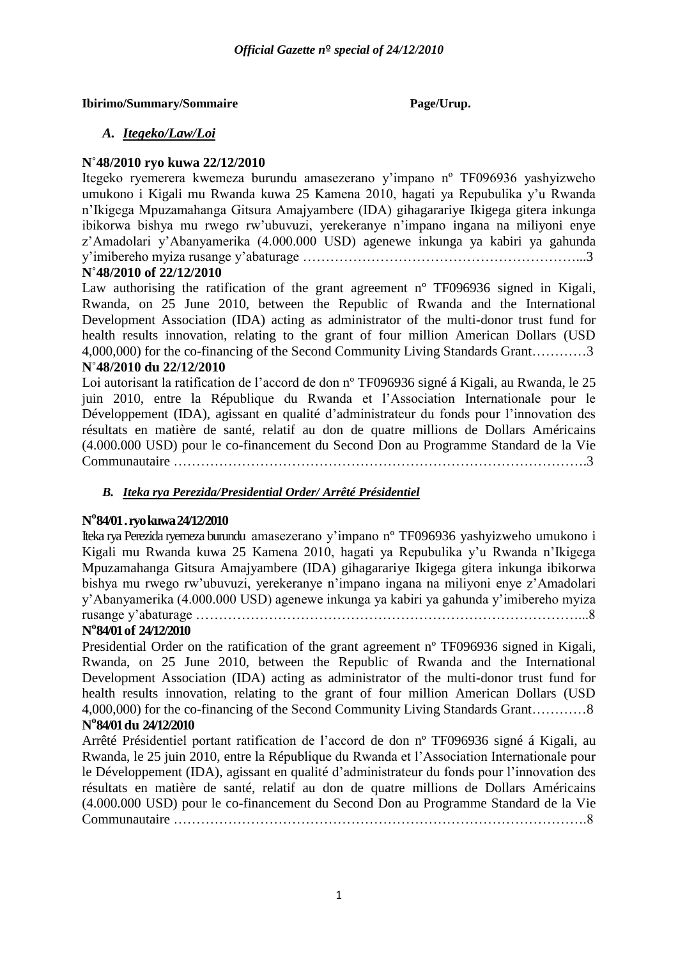### **Ibirimo/Summary/Sommaire Page/Urup.**

### *A. Itegeko/Law/Loi*

### **N˚48/2010 ryo kuwa 22/12/2010**

Itegeko ryemerera kwemeza burundu amasezerano y'impano nº TF096936 yashyizweho umukono i Kigali mu Rwanda kuwa 25 Kamena 2010, hagati ya Repubulika y'u Rwanda n'Ikigega Mpuzamahanga Gitsura Amajyambere (IDA) gihagarariye Ikigega gitera inkunga ibikorwa bishya mu rwego rw'ubuvuzi, yerekeranye n'impano ingana na miliyoni enye z'Amadolari y'Abanyamerika (4.000.000 USD) agenewe inkunga ya kabiri ya gahunda y'imibereho myiza rusange y'abaturage ……………………………………………………...3

### **N˚48/2010 of 22/12/2010**

Law authorising the ratification of the grant agreement n<sup>o</sup> TF096936 signed in Kigali, Rwanda, on 25 June 2010, between the Republic of Rwanda and the International Development Association (IDA) acting as administrator of the multi-donor trust fund for health results innovation, relating to the grant of four million American Dollars (USD 4,000,000) for the co-financing of the Second Community Living Standards Grant…………3

### **N˚48/2010 du 22/12/2010**

Loi autorisant la ratification de l'accord de don n<sup>o</sup> TF096936 signé á Kigali, au Rwanda, le 25 juin 2010, entre la République du Rwanda et l'Association Internationale pour le Développement (IDA), agissant en qualité d'administrateur du fonds pour l'innovation des résultats en matière de santé, relatif au don de quatre millions de Dollars Américains (4.000.000 USD) pour le co-financement du Second Don au Programme Standard de la Vie Communautaire ……………………………………………………………………………….3

### *B. Iteka rya Perezida/Presidential Order/ Arrêté Présidentiel*

### **N o 84/01 . ryo kuwa 24/12/2010**

Iteka rya Perezida ryemeza burundu amasezerano y'impano nº TF096936 yashyizweho umukono i Kigali mu Rwanda kuwa 25 Kamena 2010, hagati ya Repubulika y'u Rwanda n'Ikigega Mpuzamahanga Gitsura Amajyambere (IDA) gihagarariye Ikigega gitera inkunga ibikorwa bishya mu rwego rw'ubuvuzi, yerekeranye n'impano ingana na miliyoni enye z'Amadolari y'Abanyamerika (4.000.000 USD) agenewe inkunga ya kabiri ya gahunda y'imibereho myiza rusange y'abaturage …………………………………………………………………………...8

## **N o 84/01 of 24/12/2010**

Presidential Order on the ratification of the grant agreement n<sup>o</sup> TF096936 signed in Kigali, Rwanda, on 25 June 2010, between the Republic of Rwanda and the International Development Association (IDA) acting as administrator of the multi-donor trust fund for health results innovation, relating to the grant of four million American Dollars (USD 4,000,000) for the co-financing of the Second Community Living Standards Grant…………8 **N o 84/01 du 24/12/2010**

### Arrêté Présidentiel portant ratification de l'accord de don nº TF096936 signé á Kigali, au Rwanda, le 25 juin 2010, entre la République du Rwanda et l'Association Internationale pour le Développement (IDA), agissant en qualité d'administrateur du fonds pour l'innovation des résultats en matière de santé, relatif au don de quatre millions de Dollars Américains (4.000.000 USD) pour le co-financement du Second Don au Programme Standard de la Vie Communautaire ……………………………………………………………………………….8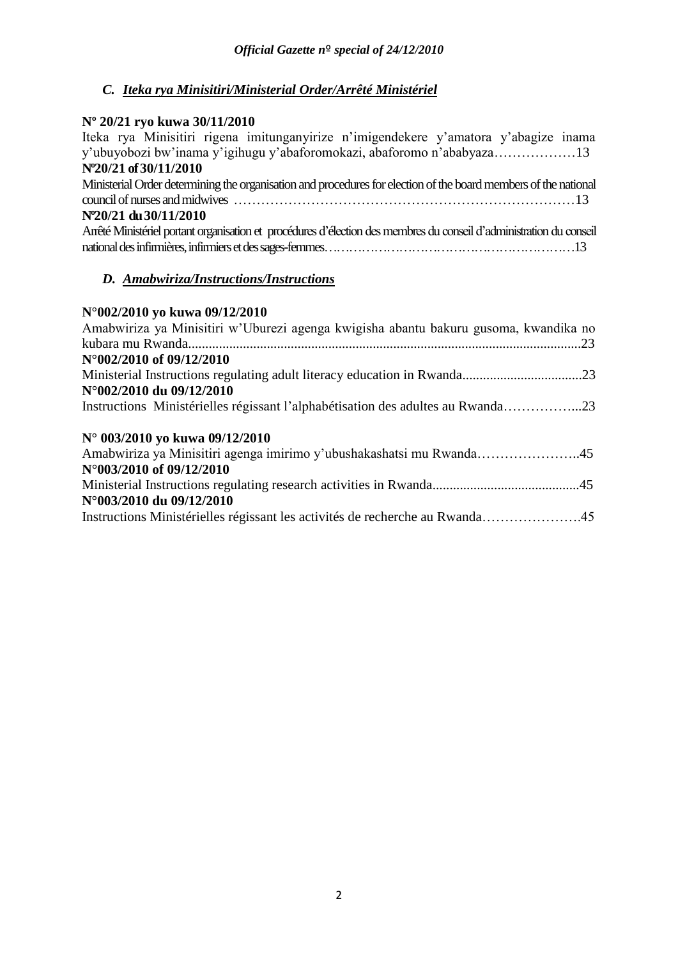# *C. Iteka rya Minisitiri/Ministerial Order/Arrêté Ministériel*

# **Nº 20/21 ryo kuwa 30/11/2010**

| Iteka rya Minisitiri rigena imitunganyirize n'imigendekere y'amatora y'abagize inama                                |
|---------------------------------------------------------------------------------------------------------------------|
| y'ubuyobozi bw'inama y'igihugu y'abaforomokazi, abaforomo n'ababyaza13                                              |
| N°20/21 of 30/11/2010                                                                                               |
| Ministerial Order determining the organisation and procedures for election of the board members of the national     |
|                                                                                                                     |
| N°20/21 du 30/11/2010                                                                                               |
| Arrêté Ministériel portant organisation et procédures d'élection des membres du conseil d'administration du conseil |
|                                                                                                                     |
|                                                                                                                     |

### *D. Amabwiriza/Instructions/Instructions*

### **N°002/2010 yo kuwa 09/12/2010**

| Amabwiriza ya Minisitiri w'Uburezi agenga kwigisha abantu bakuru gusoma, kwandika no |  |
|--------------------------------------------------------------------------------------|--|
|                                                                                      |  |
| N°002/2010 of 09/12/2010                                                             |  |
|                                                                                      |  |
| N°002/2010 du 09/12/2010                                                             |  |
| Instructions Ministérielles régissant l'alphabétisation des adultes au Rwanda23      |  |
| N° 003/2010 yo kuwa 09/12/2010                                                       |  |
| Amabwiriza ya Minisitiri agenga imirimo y'ubushakashatsi mu Rwanda45                 |  |
| N°003/2010 of 09/12/2010                                                             |  |
|                                                                                      |  |
| N°003/2010 du 09/12/2010                                                             |  |
| Instructions Ministérielles régissant les activités de recherche au Rwanda45         |  |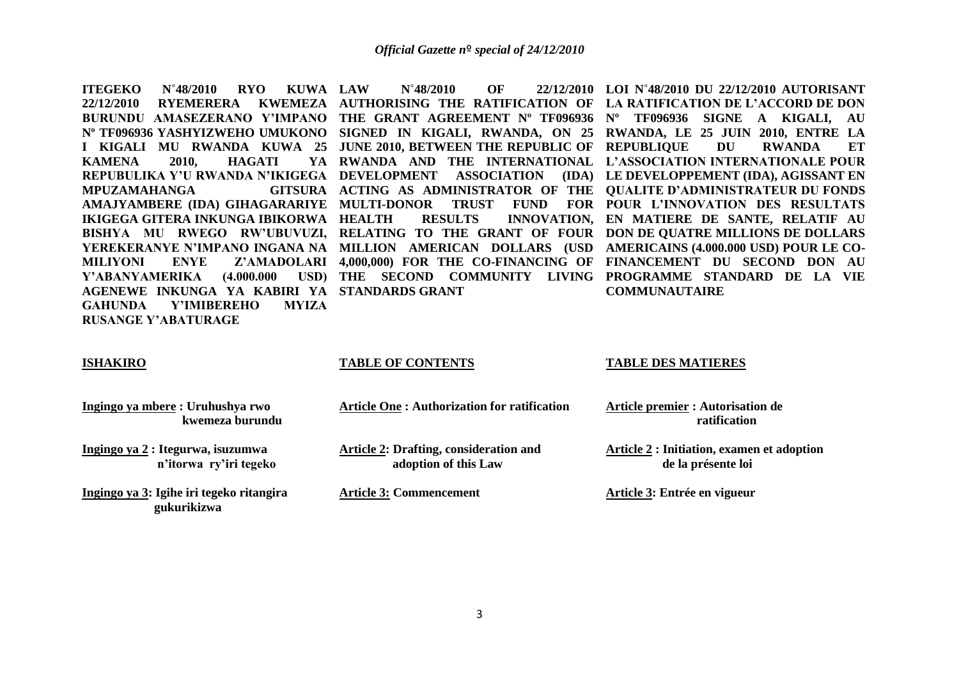**ITEGEKO N˚48/2010 RYO KUWA 22/12/2010 RYEMERERA KWEMEZA**  KAMENA 2010, HAGATI **MPUZAMAHANGA IKIGEGA GITERA INKUNGA IBIKORWA Y'ABANYAMERIKA AGENEWE INKUNGA YA KABIRI YA STANDARDS GRANT GAHUNDA Y'IMIBEREHO MYIZA RUSANGE Y'ABATURAGE** 

**LAW N°48/2010 OF** 

**BURUNDU AMASEZERANO Y'IMPANO THE GRANT AGREEMENT Nº TF096936 Nº TF096936 SIGNE A KIGALI, AU Nº TF096936 YASHYIZWEHO UMUKONO SIGNED IN KIGALI, RWANDA, ON 25 RWANDA, LE 25 JUIN 2010, ENTRE LA I KIGALI MU RWANDA KUWA 25 JUNE 2010, BETWEEN THE REPUBLIC OF REPUBLIQUE DU RWANDA ET REPUBULIKA Y'U RWANDA N'IKIGEGA DEVELOPMENT ASSOCIATION (IDA) LE DEVELOPPEMENT (IDA), AGISSANT EN AMAJYAMBERE (IDA) GIHAGARARIYE MULTI-DONOR TRUST FUND FOR POUR L'INNOVATION DES RESULTATS BISHYA MU RWEGO RW'UBUVUZI, RELATING TO THE GRANT OF FOUR DON DE QUATRE MILLIONS DE DOLLARS YEREKERANYE N'IMPANO INGANA NA MILLION AMERICAN DOLLARS (USD AMERICAINS (4.000.000 USD) POUR LE CO-MILIYONI ENYE Z'AMADOLARI 4,000,000) FOR THE CO-FINANCING OF FINANCEMENT DU SECOND DON AU AUTHORISING THE RATIFICATION OF LA RATIFICATION DE L'ACCORD DE DON RWANDA AND THE INTERNATIONAL L'ASSOCIATION INTERNATIONALE POUR ACTING AS ADMINISTRATOR OF THE QUALITE D'ADMINISTRATEUR DU FONDS HEALTH RESULTS INNOVATION, EN MATIERE DE SANTE, RELATIF AU THE SECOND COMMUNITY LIVING PROGRAMME STANDARD DE LA VIE LOI N˚48/2010 DU 22/12/2010 AUTORISANT COMMUNAUTAIRE** 

### **ISHAKIRO**

### **TABLE OF CONTENTS**

**Ingingo ya mbere : Uruhushya rwo kwemeza burundu**

**Ingingo ya 2 : Itegurwa, isuzumwa n'itorwa ry'iri tegeko**

**Ingingo ya 3: Igihe iri tegeko ritangira gukurikizwa** 

**Article One : Authorization for ratification** 

**Article 2: Drafting, consideration and adoption of this Law**

**Article 3: Commencement**

### **TABLE DES MATIERES**

**Article premier : Autorisation de ratification**

**Article 2 : Initiation, examen et adoption de la présente loi**

**Article 3: Entrée en vigueur**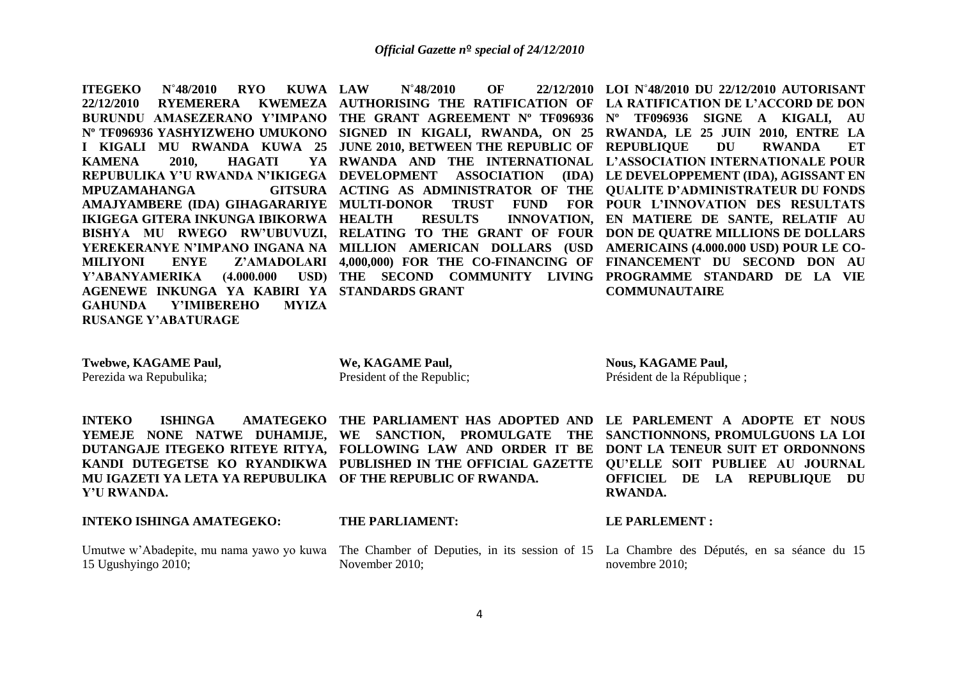**ITEGEKO N˚48/2010 RYO KUWA** KAMENA 2010, HAGATI **MPUZAMAHANGA IKIGEGA GITERA INKUNGA IBIKORWA Y'ABANYAMERIKA AGENEWE INKUNGA YA KABIRI YA STANDARDS GRANT GAHUNDA Y'IMIBEREHO MYIZA RUSANGE Y'ABATURAGE** 

**LAW N˚48/2010 OF 22/12/2010 LOI N˚48/2010 DU 22/12/2010 AUTORISANT** 

**22/12/2010 RYEMERERA KWEMEZA AUTHORISING THE RATIFICATION OF LA RATIFICATION DE L'ACCORD DE DON BURUNDU AMASEZERANO Y'IMPANO THE GRANT AGREEMENT Nº TF096936 Nº TF096936 SIGNE A KIGALI, AU Nº TF096936 YASHYIZWEHO UMUKONO SIGNED IN KIGALI, RWANDA, ON 25 RWANDA, LE 25 JUIN 2010, ENTRE LA I KIGALI MU RWANDA KUWA 25 JUNE 2010, BETWEEN THE REPUBLIC OF REPUBLIQUE DU RWANDA ET REPUBULIKA Y'U RWANDA N'IKIGEGA DEVELOPMENT ASSOCIATION (IDA) LE DEVELOPPEMENT (IDA), AGISSANT EN AMAJYAMBERE (IDA) GIHAGARARIYE MULTI-DONOR TRUST FUND FOR POUR L'INNOVATION DES RESULTATS BISHYA MU RWEGO RW'UBUVUZI, RELATING TO THE GRANT OF FOUR DON DE QUATRE MILLIONS DE DOLLARS YEREKERANYE N'IMPANO INGANA NA MILLION AMERICAN DOLLARS (USD AMERICAINS (4.000.000 USD) POUR LE CO-MILIYONI ENYE Z'AMADOLARI 4,000,000) FOR THE CO-FINANCING OF FINANCEMENT DU SECOND DON AU RWANDA AND THE INTERNATIONAL L'ASSOCIATION INTERNATIONALE POUR ACTING AS ADMINISTRATOR OF THE QUALITE D'ADMINISTRATEUR DU FONDS HEALTH RESULTS INNOVATION, EN MATIERE DE SANTE, RELATIF AU THE SECOND COMMUNITY LIVING PROGRAMME STANDARD DE LA VIE COMMUNAUTAIRE** 

**Twebwe, KAGAME Paul,** 

Perezida wa Repubulika;

**We, KAGAME Paul,**  President of the Republic; **Nous, KAGAME Paul,**  Président de la République ;

**MU IGAZETI YA LETA YA REPUBULIKA OF THE REPUBLIC OF RWANDA. Y'U RWANDA.**

### **INTEKO ISHINGA AMATEGEKO:**

15 Ugushyingo 2010;

**INTEKO ISHINGA AMATEGEKO THE PARLIAMENT HAS ADOPTED AND LE PARLEMENT A ADOPTE ET NOUS YEMEJE NONE NATWE DUHAMIJE, WE SANCTION, PROMULGATE THE SANCTIONNONS, PROMULGUONS LA LOI DUTANGAJE ITEGEKO RITEYE RITYA, FOLLOWING LAW AND ORDER IT BE DONT LA TENEUR SUIT ET ORDONNONS KANDI DUTEGETSE KO RYANDIKWA PUBLISHED IN THE OFFICIAL GAZETTE QU'ELLE SOIT PUBLIEE AU JOURNAL** 

### **THE PARLIAMENT:**

November 2010;

### **LE PARLEMENT :**

**RWANDA.**

Umutwe w'Abadepite, mu nama yawo yo kuwa The Chamber of Deputies, in its session of 15 La Chambre des Députés, en sa séance du 15 novembre 2010;

**OFFICIEL DE LA REPUBLIQUE DU**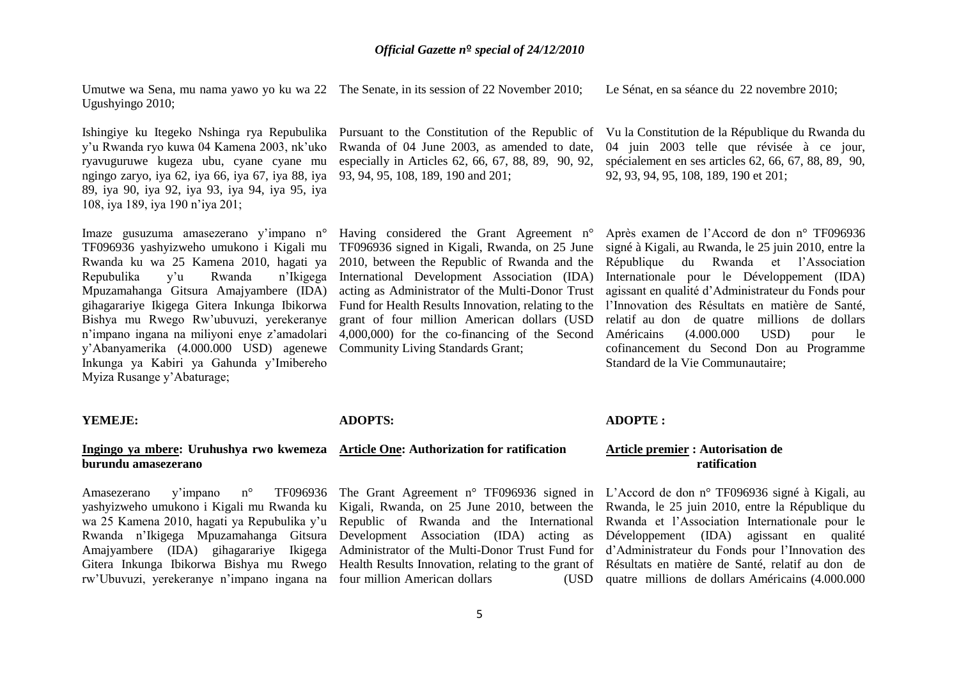Umutwe wa Sena, mu nama yawo yo ku wa 22 The Senate, in its session of 22 November 2010; Ugushyingo 2010; Le Sénat, en sa séance du 22 novembre 2010;

y'u Rwanda ryo kuwa 04 Kamena 2003, nk'uko ryavuguruwe kugeza ubu, cyane cyane mu ngingo zaryo, iya 62, iya 66, iya 67, iya 88, iya 93, 94, 95, 108, 189, 190 and 201; 89, iya 90, iya 92, iya 93, iya 94, iya 95, iya 108, iya 189, iya 190 n'iya 201;

Imaze gusuzuma amasezerano y'impano n° Having considered the Grant Agreement n° Rwanda ku wa 25 Kamena 2010, hagati ya Repubulika y'u Rwanda Mpuzamahanga Gitsura Amajyambere (IDA) Bishya mu Rwego Rw'ubuvuzi, yerekeranye y'Abanyamerika (4.000.000 USD) agenewe Community Living Standards Grant; Inkunga ya Kabiri ya Gahunda y'Imibereho Myiza Rusange y'Abaturage;

Rwanda of 04 June 2003, as amended to date,

TF096936 yashyizweho umukono i Kigali mu TF096936 signed in Kigali, Rwanda, on 25 June gihagarariye Ikigega Gitera Inkunga Ibikorwa Fund for Health Results Innovation, relating to the n'impano ingana na miliyoni enye z'amadolari 4,000,000) for the co-financing of the Second 2010, between the Republic of Rwanda and the n'Ikigega International Development Association (IDA) acting as Administrator of the Multi-Donor Trust grant of four million American dollars (USD

Ishingiye ku Itegeko Nshinga rya Repubulika Pursuant to the Constitution of the Republic of Vula Constitution de la République du Rwanda du especially in Articles 62, 66, 67, 88, 89, 90, 92, spécialement en ses articles 62, 66, 67, 88, 89, 90, 04 juin 2003 telle que révisée à ce jour, 92, 93, 94, 95, 108, 189, 190 et 201;

> Après examen de l'Accord de don n° TF096936 signé à Kigali, au Rwanda, le 25 juin 2010, entre la République du Rwanda et l'Association Internationale pour le Développement (IDA) agissant en qualité d'Administrateur du Fonds pour l'Innovation des Résultats en matière de Santé, relatif au don de quatre millions de dollars  $(4.000.000 \text{ USD})$  pour le cofinancement du Second Don au Programme Standard de la Vie Communautaire;

### **YEMEJE:**

### **Ingingo ya mbere: Uruhushya rwo kwemeza Article One: Authorization for ratification burundu amasezerano**

Amasezerano v'impano n° yashyizweho umukono i Kigali mu Rwanda ku wa 25 Kamena 2010, hagati ya Repubulika y'u Rwanda n'Ikigega Mpuzamahanga Gitsura rw'Ubuvuzi, yerekeranye n'impano ingana na four million American dollars (USD

### **ADOPTS:**

The Grant Agreement n° TF096936 signed in L'Accord de don n° TF096936 signé à Kigali, au

### **ADOPTE :**

### **Article premier : Autorisation de ratification**

Amajyambere (IDA) gihagarariye Ikigega Administrator of the Multi-Donor Trust Fund for d'Administrateur du Fonds pour l'Innovation des Gitera Inkunga Ibikorwa Bishya mu Rwego Health Results Innovation, relating to the grant of Résultats en matière de Santé, relatif au don de Kigali, Rwanda, on 25 June 2010, between the Rwanda, le 25 juin 2010, entre la République du Republic of Rwanda and the International Rwanda et l'Association Internationale pour le Development Association (IDA) acting as Développement (IDA) agissant en qualité quatre millions de dollars Américains (4.000.000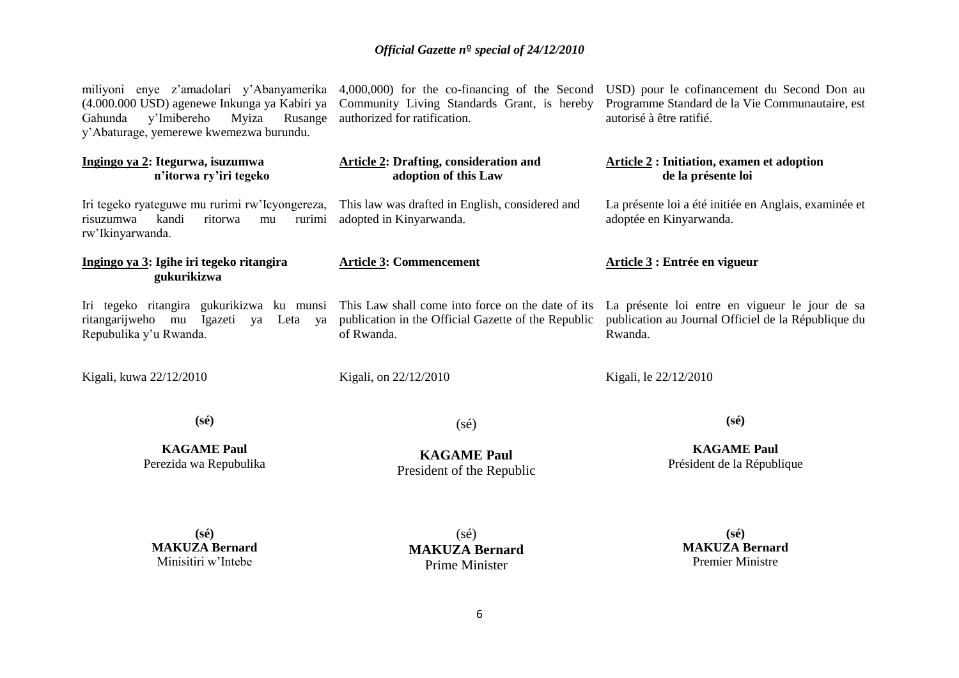Gahunda y'Imibereho Myiza Rusange authorized for ratification. y'Abaturage, yemerewe kwemezwa burundu.

### **Ingingo ya 2: Itegurwa, isuzumwa n'itorwa ry'iri tegeko**

Iri tegeko ryateguwe mu rurimi rw'Icyongereza, risuzumwa kandi ritorwa mu rurimi rw'Ikinyarwanda.

### **Ingingo ya 3: Igihe iri tegeko ritangira gukurikizwa**

Repubulika y'u Rwanda.

Kigali, kuwa 22/12/2010

(4.000.000 USD) agenewe Inkunga ya Kabiri ya Community Living Standards Grant, is hereby

### **Article 2: Drafting, consideration and adoption of this Law**

This law was drafted in English, considered and adopted in Kinyarwanda.

### **Article 3: Commencement**

ritangarijweho mu Igazeti ya Leta ya publication in the Official Gazette of the Republic of Rwanda.

Kigali, on 22/12/2010

miliyoni enye z'amadolari y'Abanyamerika 4,000,000) for the co-financing of the Second USD) pour le cofinancement du Second Don au Programme Standard de la Vie Communautaire, est autorisé à être ratifié.

### **Article 2 : Initiation, examen et adoption de la présente loi**

La présente loi a été initiée en Anglais, examinée et adoptée en Kinyarwanda.

### **Article 3 : Entrée en vigueur**

Iri tegeko ritangira gukurikizwa ku munsi This Law shall come into force on the date of its La présente loi entre en vigueur le jour de sa publication au Journal Officiel de la République du Rwanda.

Kigali, le 22/12/2010

**(sé)**

**KAGAME Paul** Perezida wa Repubulika (sé)

**KAGAME Paul** President of the Republic **(sé)**

**KAGAME Paul** Président de la République

**(sé) MAKUZA Bernard** Minisitiri w'Intebe

(sé) **MAKUZA Bernard** Prime Minister

**(sé) MAKUZA Bernard** Premier Ministre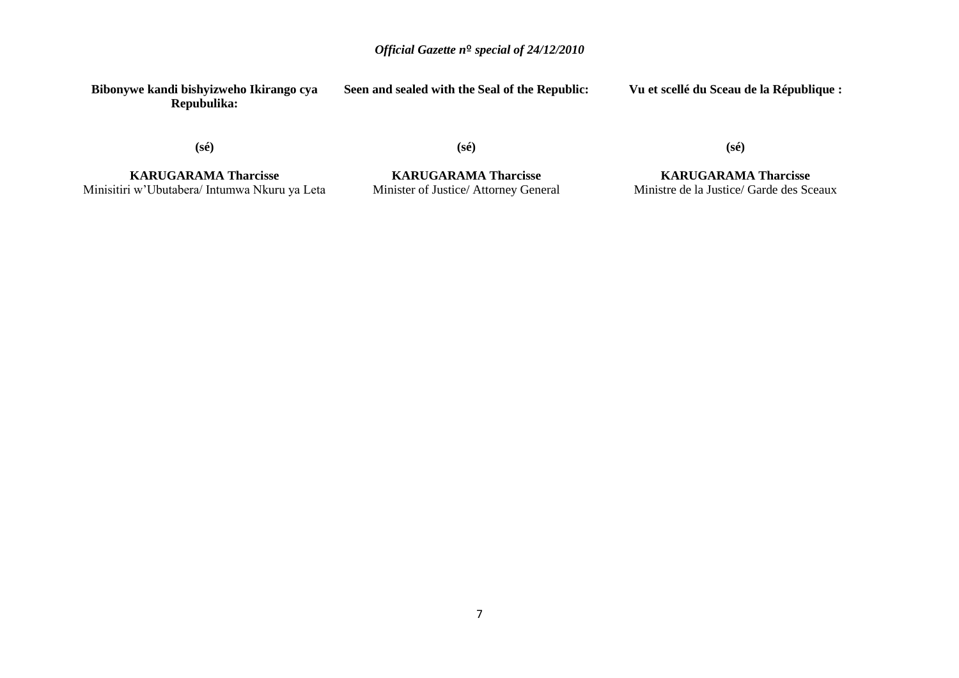**Bibonywe kandi bishyizweho Ikirango cya Repubulika:**

**Seen and sealed with the Seal of the Republic:**

**Vu et scellé du Sceau de la République :**

**(sé)**

**(sé)**

**(sé)**

**KARUGARAMA Tharcisse** Minisitiri w'Ubutabera/ Intumwa Nkuru ya Leta

**KARUGARAMA Tharcisse** Minister of Justice/ Attorney General

**KARUGARAMA Tharcisse** Ministre de la Justice/ Garde des Sceaux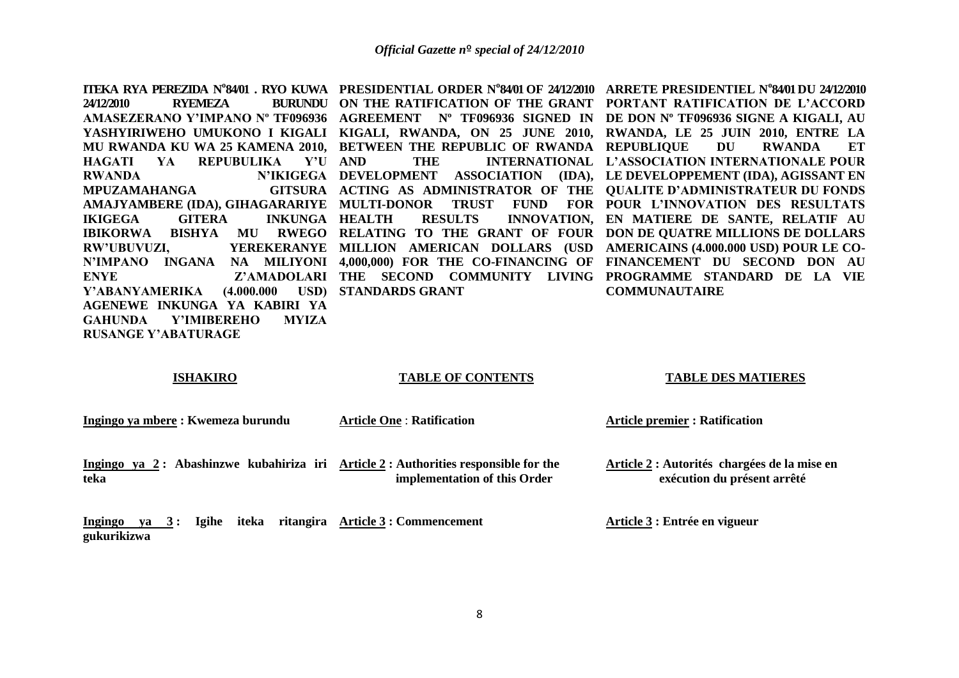**HAGATI YA REPUBULIKA Y'U MPUZAMAHANGA IKIGEGA GITERA INKUNGA Y'ABANYAMERIKA AGENEWE INKUNGA YA KABIRI YA GAHUNDA Y'IMIBEREHO MYIZA RUSANGE Y'ABATURAGE** 

**STANDARDS GRANT**

**ITEKA RYA PEREZIDA N°84/01 . RYO KUWA PRESIDENTIAL ORDER N°84/01 OF 24/12/2010 ARRETE PRESIDENTIEL N°84/01 DU 24/12/2010 24/12/2010 RYEMEZA BURUNDU ON THE RATIFICATION OF THE GRANT PORTANT RATIFICATION DE L'ACCORD AMASEZERANO Y'IMPANO Nº TF096936 AGREEMENT Nº TF096936 SIGNED IN DE DON Nº TF096936 SIGNE A KIGALI, AU YASHYIRIWEHO UMUKONO I KIGALI KIGALI, RWANDA, ON 25 JUNE 2010, RWANDA, LE 25 JUIN 2010, ENTRE LA MU RWANDA KU WA 25 KAMENA 2010, BETWEEN THE REPUBLIC OF RWANDA REPUBLIQUE DU RWANDA ET RWANDA N'IKIGEGA DEVELOPMENT ASSOCIATION (IDA), LE DEVELOPPEMENT (IDA), AGISSANT EN AMAJYAMBERE (IDA), GIHAGARARIYE MULTI-DONOR TRUST FUND FOR POUR L'INNOVATION DES RESULTATS IBIKORWA BISHYA MU RWEGO RELATING TO THE GRANT OF FOUR DON DE QUATRE MILLIONS DE DOLLARS RW'UBUVUZI, YEREKERANYE MILLION AMERICAN DOLLARS (USD AMERICAINS (4.000.000 USD) POUR LE CO-N'IMPANO INGANA NA MILIYONI 4,000,000) FOR THE CO-FINANCING OF FINANCEMENT DU SECOND DON AU ENYE Z'AMADOLARI THE SECOND COMMUNITY LIVING PROGRAMME STANDARD DE LA VIE AND THE INTERNATIONAL L'ASSOCIATION INTERNATIONALE POUR ACTING AS ADMINISTRATOR OF THE QUALITE D'ADMINISTRATEUR DU FONDS HEALTH RESULTS INNOVATION, EN MATIERE DE SANTE, RELATIF AU COMMUNAUTAIRE** 

### **ISHAKIRO**

### **TABLE OF CONTENTS**

### **TABLE DES MATIERES**

**Ingingo ya mbere : Kwemeza burundu**

**Article One** : **Ratification** 

**Article premier : Ratification** 

Ingingo ya 2: Abashinzwe kubahiriza iri Article 2: Authorities responsible for the **teka implementation of this Order**

**Article 2 : Autorités chargées de la mise en exécution du présent arrêté** 

**Ingingo ya 3 : Igihe iteka ritangira Article 3 : Commencement gukurikizwa**

**Article 3 : Entrée en vigueur**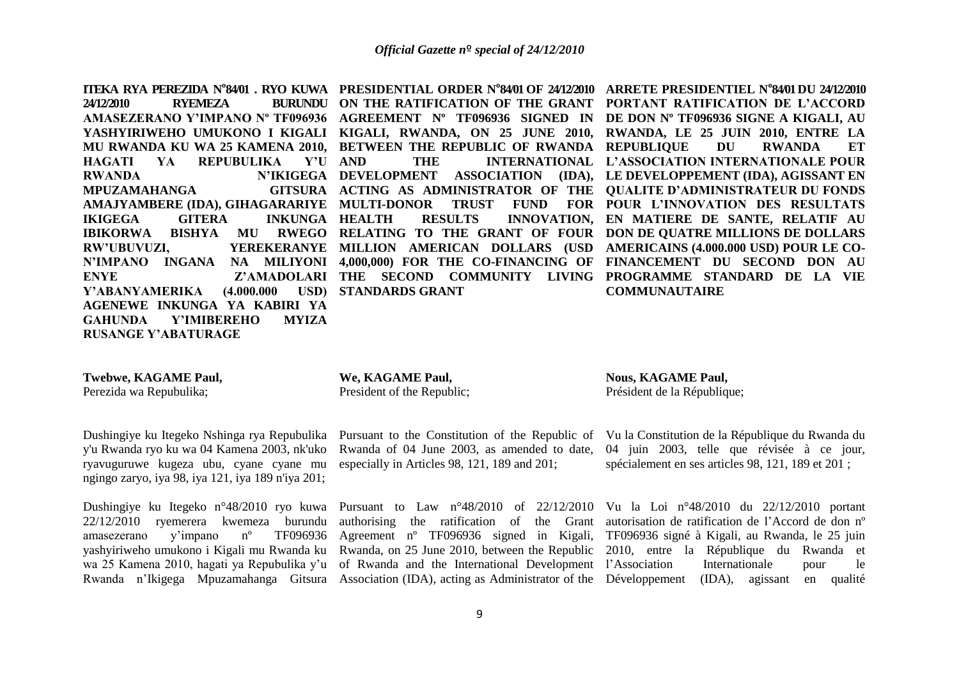**HAGATI YA REPUBULIKA Y'U MPUZAMAHANGA IKIGEGA GITERA INKUNGA Y'ABANYAMERIKA AGENEWE INKUNGA YA KABIRI YA GAHUNDA Y'IMIBEREHO MYIZA RUSANGE Y'ABATURAGE** 

**STANDARDS GRANT**

**ITEKA RYA PEREZIDA N°84/01 . RYO KUWA PRESIDENTIAL ORDER N°84/01 OF 24/12/2010 ARRETE PRESIDENTIEL N°84/01 DU 24/12/2010 24/12/2010 RYEMEZA BURUNDU ON THE RATIFICATION OF THE GRANT PORTANT RATIFICATION DE L'ACCORD AMASEZERANO Y'IMPANO Nº TF096936 AGREEMENT Nº TF096936 SIGNED IN DE DON Nº TF096936 SIGNE A KIGALI, AU YASHYIRIWEHO UMUKONO I KIGALI KIGALI, RWANDA, ON 25 JUNE 2010, RWANDA, LE 25 JUIN 2010, ENTRE LA MU RWANDA KU WA 25 KAMENA 2010, BETWEEN THE REPUBLIC OF RWANDA REPUBLIQUE DU RWANDA ET RWANDA N'IKIGEGA DEVELOPMENT ASSOCIATION (IDA), LE DEVELOPPEMENT (IDA), AGISSANT EN AMAJYAMBERE (IDA), GIHAGARARIYE MULTI-DONOR TRUST FUND FOR POUR L'INNOVATION DES RESULTATS IBIKORWA BISHYA MU RWEGO RELATING TO THE GRANT OF FOUR DON DE QUATRE MILLIONS DE DOLLARS RW'UBUVUZI, YEREKERANYE MILLION AMERICAN DOLLARS (USD AMERICAINS (4.000.000 USD) POUR LE CO-N'IMPANO INGANA NA MILIYONI 4,000,000) FOR THE CO-FINANCING OF FINANCEMENT DU SECOND DON AU ENYE Z'AMADOLARI THE SECOND COMMUNITY LIVING PROGRAMME STANDARD DE LA VIE AND THE INTERNATIONAL L'ASSOCIATION INTERNATIONALE POUR ACTING AS ADMINISTRATOR OF THE QUALITE D'ADMINISTRATEUR DU FONDS HEALTH RESULTS INNOVATION, EN MATIERE DE SANTE, RELATIF AU COMMUNAUTAIRE** 

### **Twebwe, KAGAME Paul,**

Perezida wa Repubulika;

y'u Rwanda ryo ku wa 04 Kamena 2003, nk'uko ryavuguruwe kugeza ubu, cyane cyane mu especially in Articles 98, 121, 189 and 201; ngingo zaryo, iya 98, iya 121, iya 189 n'iya 201;

Dushingiye ku Itegeko n°48/2010 ryo kuwa Pursuant to Law n°48/2010 of 22/12/2010 Vu la Loi n°48/2010 du 22/12/2010 portant 22/12/2010 ryemerera kwemeza burundu amasezerano y'impano  $n^{\circ}$ 

### **We, KAGAME Paul,**

President of the Republic;

Rwanda of 04 June 2003, as amended to date,

### **Nous, KAGAME Paul,**

Président de la République;

Dushingiye ku Itegeko Nshinga rya Repubulika Pursuant to the Constitution of the Republic of Vu la Constitution de la République du Rwanda du 04 juin 2003, telle que révisée à ce jour, spécialement en ses articles 98, 121, 189 et 201 ;

yashyiriweho umukono i Kigali mu Rwanda ku Rwanda, on 25 June 2010, between the Republic 2010, entre la République du Rwanda et wa 25 Kamena 2010, hagati ya Repubulika y'u of Rwanda and the International Development l'Association Internationale pour le Rwanda n'Ikigega Mpuzamahanga Gitsura Association (IDA), acting as Administrator of the Développement (IDA), agissant en qualité authorising the ratification of the Grant autorisation de ratification de l'Accord de don nº Agreement nº TF096936 signed in Kigali, TF096936 signé à Kigali, au Rwanda, le 25 juin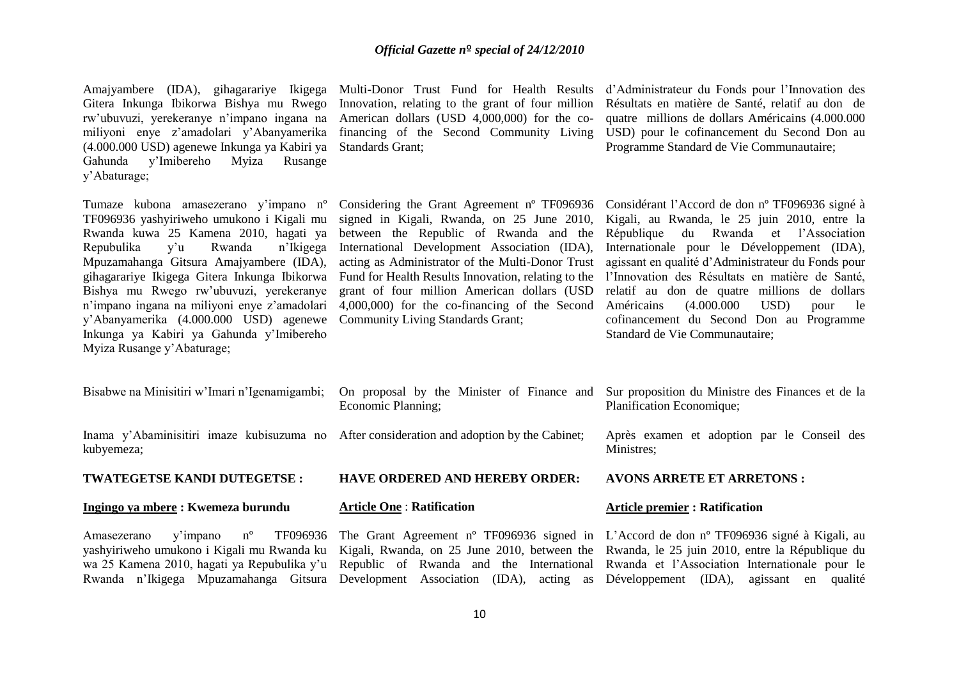Gitera Inkunga Ibikorwa Bishya mu Rwego rw'ubuvuzi, yerekeranye n'impano ingana na American dollars (USD 4,000,000) for the comiliyoni enye z'amadolari y'Abanyamerika financing of the Second Community Living (4.000.000 USD) agenewe Inkunga ya Kabiri ya Standards Grant; Gahunda y'Imibereho Myiza Rusange y'Abaturage;

Repubulika y'u Rwanda n'Ikigega Mpuzamahanga Gitsura Amajyambere (IDA), Bishya mu Rwego rw'ubuvuzi, yerekeranye y'Abanyamerika (4.000.000 USD) agenewe Community Living Standards Grant; Inkunga ya Kabiri ya Gahunda y'Imibereho Myiza Rusange y'Abaturage;

Innovation, relating to the grant of four million

Amajyambere (IDA), gihagarariye Ikigega Multi-Donor Trust Fund for Health Results d'Administrateur du Fonds pour l'Innovation des Résultats en matière de Santé, relatif au don de quatre millions de dollars Américains (4.000.000 USD) pour le cofinancement du Second Don au Programme Standard de Vie Communautaire;

TF096936 yashyiriweho umukono i Kigali mu signed in Kigali, Rwanda, on 25 June 2010, Rwanda kuwa 25 Kamena 2010, hagati ya between the Republic of Rwanda and the n'impano ingana na miliyoni enye z'amadolari 4,000,000) for the co-financing of the Second International Development Association (IDA), grant of four million American dollars (USD

Tumaze kubona amasezerano y'impano nº Considering the Grant Agreement nº TF096936 Considérant l'Accord de don nº TF096936 signé à gihagarariye Ikigega Gitera Inkunga Ibikorwa Fund for Health Results Innovation, relating to the l'Innovation des Résultats en matière de Santé, acting as Administrator of the Multi-Donor Trust agissant en qualité d'Administrateur du Fonds pour Kigali, au Rwanda, le 25 juin 2010, entre la République du Rwanda et l'Association Internationale pour le Développement (IDA), relatif au don de quatre millions de dollars  $(4.000.000 \quad \text{USD})$  pour le cofinancement du Second Don au Programme Standard de Vie Communautaire;

| Bisabwe na Minisitiri w'Imari n'Igenamigambi; | Economic Planning;                                                                         | On proposal by the Minister of Finance and Sur proposition du Ministre des Finances et de la<br>Planification Economique;                                                                                                                    |
|-----------------------------------------------|--------------------------------------------------------------------------------------------|----------------------------------------------------------------------------------------------------------------------------------------------------------------------------------------------------------------------------------------------|
| kubyemeza;                                    | Inama y'Abaminisitiri imaze kubisuzuma no After consideration and adoption by the Cabinet; | Après examen et adoption par le Conseil des<br>Ministres;                                                                                                                                                                                    |
| <b>TWATEGETSE KANDI DUTEGETSE:</b>            | <b>HAVE ORDERED AND HEREBY ORDER:</b>                                                      | <b>AVONS ARRETE ET ARRETONS :</b>                                                                                                                                                                                                            |
| Ingingo ya mbere : Kwemeza burundu            | <b>Article One: Ratification</b>                                                           | <b>Article premier : Ratification</b>                                                                                                                                                                                                        |
| y'impano n <sup>o</sup><br>Amasezerano        |                                                                                            | TF096936 The Grant Agreement n° TF096936 signed in L'Accord de don n° TF096936 signé à Kigali, au<br>yashyiriweho umukono i Kigali mu Rwanda ku Kigali, Rwanda, on 25 June 2010, between the Rwanda, le 25 juin 2010, entre la République du |

wa 25 Kamena 2010, hagati ya Repubulika y'u Republic of Rwanda and the International Rwanda et l'Association Internationale pour le Rwanda n'Ikigega Mpuzamahanga Gitsura Development Association (IDA), acting as Développement (IDA), agissant en qualité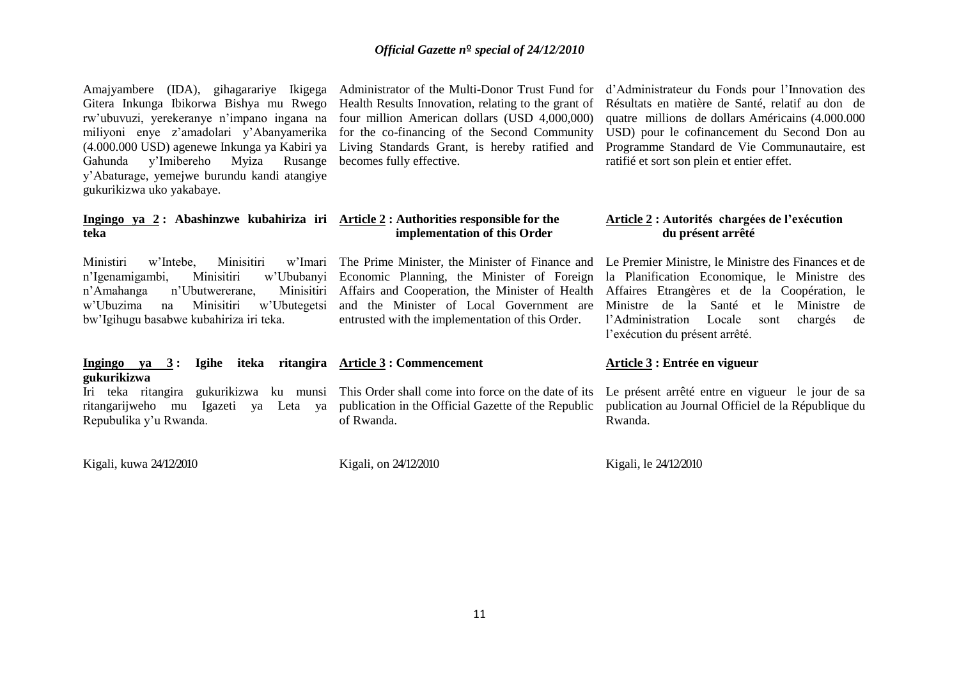Gitera Inkunga Ibikorwa Bishya mu Rwego Health Results Innovation, relating to the grant of Gahunda y'Imibereho Myiza Rusange becomes fully effective. y'Abaturage, yemejwe burundu kandi atangiye gukurikizwa uko yakabaye.

**Ingingo ya 2 : Abashinzwe kubahiriza iri Article 2 : Authorities responsible for the teka**

n'Igenamigambi, Minisitiri n'Amahanga n'Ubutwererane, bw'Igihugu basabwe kubahiriza iri teka.

**Ingingo ya 3 : Igihe iteka ritangira Article 3 : Commencement gukurikizwa**

ritangarijweho mu Igazeti ya Leta ya Repubulika y'u Rwanda.

Kigali, kuwa 24/12/2010 Kigali, on 24/12/2010 Kigali, le 24/12/2010

rw'ubuvuzi, yerekeranye n'impano ingana na four million American dollars (USD 4,000,000) miliyoni enye z'amadolari y'Abanyamerika for the co-financing of the Second Community (4.000.000 USD) agenewe Inkunga ya Kabiri ya Living Standards Grant, is hereby ratified and

 **implementation of this Order**

w'Ubuzima na Minisitiri w'Ubutegetsi and the Minister of Local Government are w'Ububanyi Economic Planning, the Minister of Foreign Affairs and Cooperation, the Minister of Health entrusted with the implementation of this Order.

Amajyambere (IDA), gihagarariye Ikigega Administrator of the Multi-Donor Trust Fund for d'Administrateur du Fonds pour l'Innovation des Résultats en matière de Santé, relatif au don de quatre millions de dollars Américains (4.000.000 USD) pour le cofinancement du Second Don au Programme Standard de Vie Communautaire, est ratifié et sort son plein et entier effet.

### **Article 2 : Autorités chargées de l'exécution du présent arrêté**

Ministiri w'Intebe, Minisitiri w'Imari The Prime Minister, the Minister of Finance and Le Premier Ministre, le Ministre des Finances et de la Planification Economique, le Ministre des Affaires Etrangères et de la Coopération, le Ministre de la Santé et le Ministre de l'Administration Locale sont chargés de l'exécution du présent arrêté.

### Iri teka ritangira gukurikizwa ku munsi This Order shall come into force on the date of its publication in the Official Gazette of the Republic of Rwanda.

**Article 3 : Entrée en vigueur**

Le présent arrêté entre en vigueur le jour de sa publication au Journal Officiel de la République du Rwanda.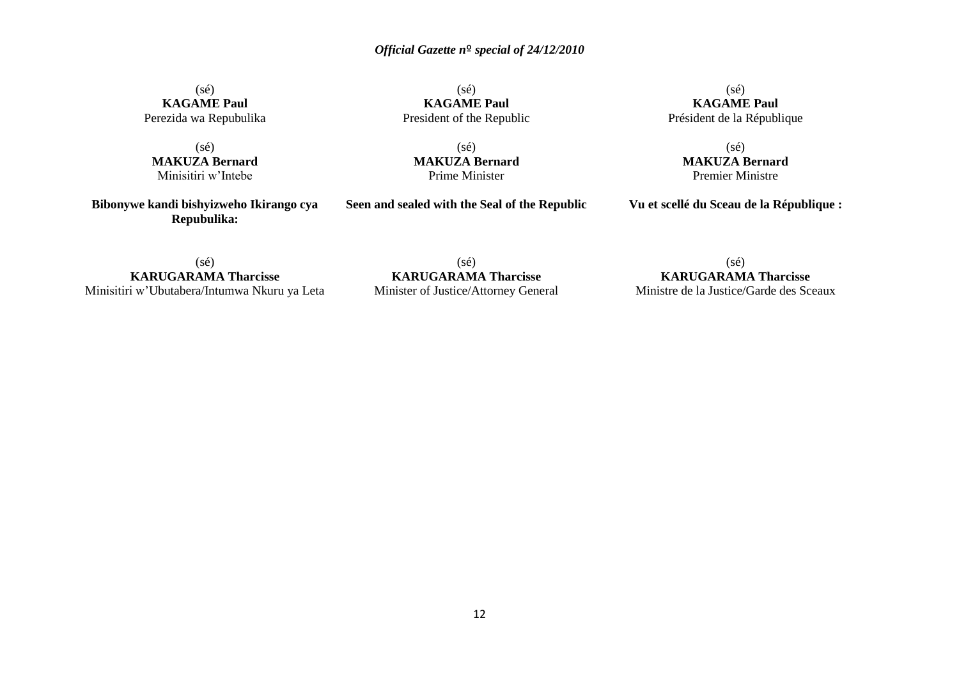(sé) **KAGAME Paul** Perezida wa Repubulika

(sé) **MAKUZA Bernard** Minisitiri w'Intebe

**Bibonywe kandi bishyizweho Ikirango cya Repubulika:**

(sé) **KAGAME Paul** President of the Republic

(sé) **MAKUZA Bernard** Prime Minister

**Seen and sealed with the Seal of the Republic**

(sé) **KAGAME Paul** Président de la République

(sé) **MAKUZA Bernard** Premier Ministre

**Vu et scellé du Sceau de la République :**

(sé) **KARUGARAMA Tharcisse** Minisitiri w'Ubutabera/Intumwa Nkuru ya Leta

(sé) **KARUGARAMA Tharcisse** Minister of Justice/Attorney General

(sé) **KARUGARAMA Tharcisse** Ministre de la Justice/Garde des Sceaux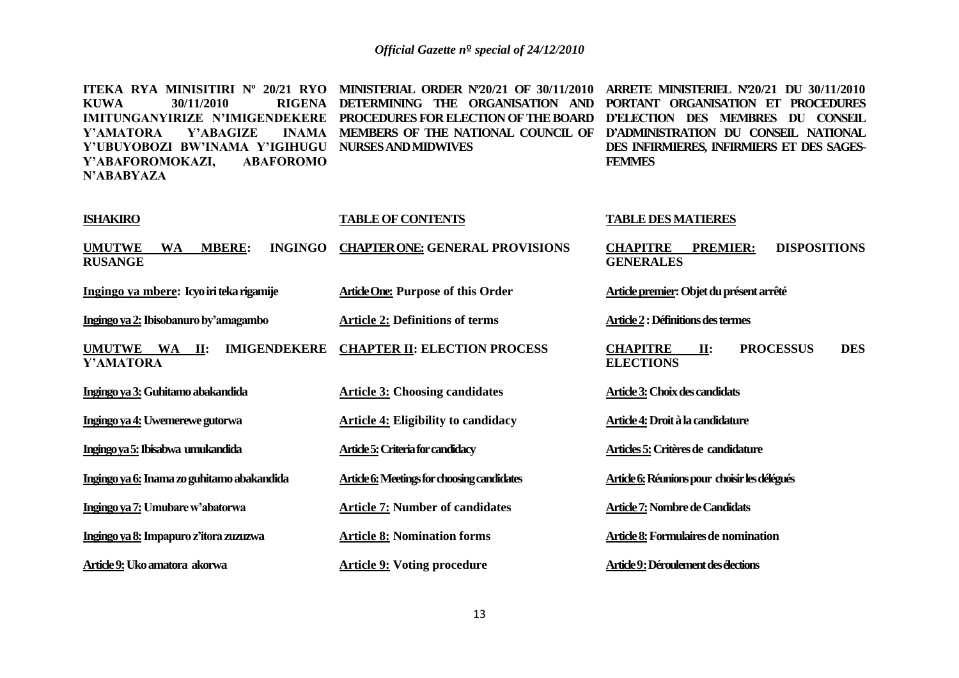| ITEKA RYA MINISITIRI Nº 20/21 RYO<br><b>KUWA</b><br>30/11/2010<br><b>RIGENA</b><br><b>IMITUNGANYIRIZE N'IMIGENDEKERE</b><br>Y'ABAGIZE<br><b>INAMA</b><br>Y'AMATORA<br>Y'UBUYOBOZI BW'INAMA Y'IGIHUGU<br><b>ABAFOROMO</b><br>Y'ABAFOROMOKAZI,<br>N'ABABYAZA | MINISTERIAL ORDER N°20/21 OF 30/11/2010<br>DETERMINING THE ORGANISATION AND<br>PROCEDURES FOR ELECTION OF THE BOARD<br>MEMBERS OF THE NATIONAL COUNCIL OF<br><b>NURSES AND MIDWIVES</b> | ARRETE MINISTERIEL N'20/21 DU 30/11/2010<br>PORTANT ORGANISATION ET PROCEDURES<br>D'ELECTION DES MEMBRES DU CONSEIL<br>D'ADMINISTRATION DU CONSEIL NATIONAL<br>DES INFIRMIERES, INFIRMIERS ET DES SAGES-<br><b>FEMMES</b> |
|------------------------------------------------------------------------------------------------------------------------------------------------------------------------------------------------------------------------------------------------------------|-----------------------------------------------------------------------------------------------------------------------------------------------------------------------------------------|---------------------------------------------------------------------------------------------------------------------------------------------------------------------------------------------------------------------------|
| <b>ISHAKIRO</b>                                                                                                                                                                                                                                            | <b>TABLE OF CONTENTS</b>                                                                                                                                                                | <b>TABLE DES MATIERES</b>                                                                                                                                                                                                 |
| <b>MBERE:</b><br><b>INGINGO</b><br><b>UMUTWE</b><br><b>WA</b><br><b>RUSANGE</b>                                                                                                                                                                            | <b>CHAPTER ONE: GENERAL PROVISIONS</b>                                                                                                                                                  | <b>DISPOSITIONS</b><br><b>CHAPITRE</b><br><b>PREMIER:</b><br><b>GENERALES</b>                                                                                                                                             |
| Ingingo ya mbere: Icyo iri teka rigamije                                                                                                                                                                                                                   | <b>Article One: Purpose of this Order</b>                                                                                                                                               | Article premier: Objet du présent arrêté                                                                                                                                                                                  |
| Ingingo ya 2: Ibisobanuro by'amagambo                                                                                                                                                                                                                      | <b>Article 2: Definitions of terms</b>                                                                                                                                                  | Article 2 : Définitions des termes                                                                                                                                                                                        |
| <b>IMIGENDEKERE</b><br>UMUTWE WA II:<br>Y'AMATORA                                                                                                                                                                                                          | <b>CHAPTER II: ELECTION PROCESS</b>                                                                                                                                                     | <b>CHAPITRE</b><br><b>PROCESSUS</b><br><b>DES</b><br>II:<br><b>ELECTIONS</b>                                                                                                                                              |
| Ingingo ya 3: Guhitamo abakandida                                                                                                                                                                                                                          | <b>Article 3: Choosing candidates</b>                                                                                                                                                   | Article 3: Choix des candidats                                                                                                                                                                                            |
| Ingingo ya 4: Uwemerewe gutorwa                                                                                                                                                                                                                            | <b>Article 4: Eligibility to candidacy</b>                                                                                                                                              | Article 4: Droit à la candidature                                                                                                                                                                                         |
| Ingingo ya 5: Ibisabwa umukandida                                                                                                                                                                                                                          | <b>Article 5:</b> Criteria for candidacy                                                                                                                                                | Articles 5: Critères de candidature                                                                                                                                                                                       |
| Ingingo ya 6: Inama zo guhitamo abakandida                                                                                                                                                                                                                 | Article 6: Meetings for choosing candidates                                                                                                                                             | Article 6: Réunions pour choisir les délégués                                                                                                                                                                             |
| Ingingo ya 7: Umubare w'abatorwa                                                                                                                                                                                                                           | <b>Article 7: Number of candidates</b>                                                                                                                                                  | <b>Article 7: Nombre de Candidats</b>                                                                                                                                                                                     |
| Ingingo ya 8: Impapuro z'itora zuzuzwa                                                                                                                                                                                                                     | <b>Article 8: Nomination forms</b>                                                                                                                                                      | Article 8: Formulaires de nomination                                                                                                                                                                                      |
| Article 9: Uko amatora akorwa                                                                                                                                                                                                                              | <b>Article 9: Voting procedure</b>                                                                                                                                                      | Article 9: Déroulement des élections                                                                                                                                                                                      |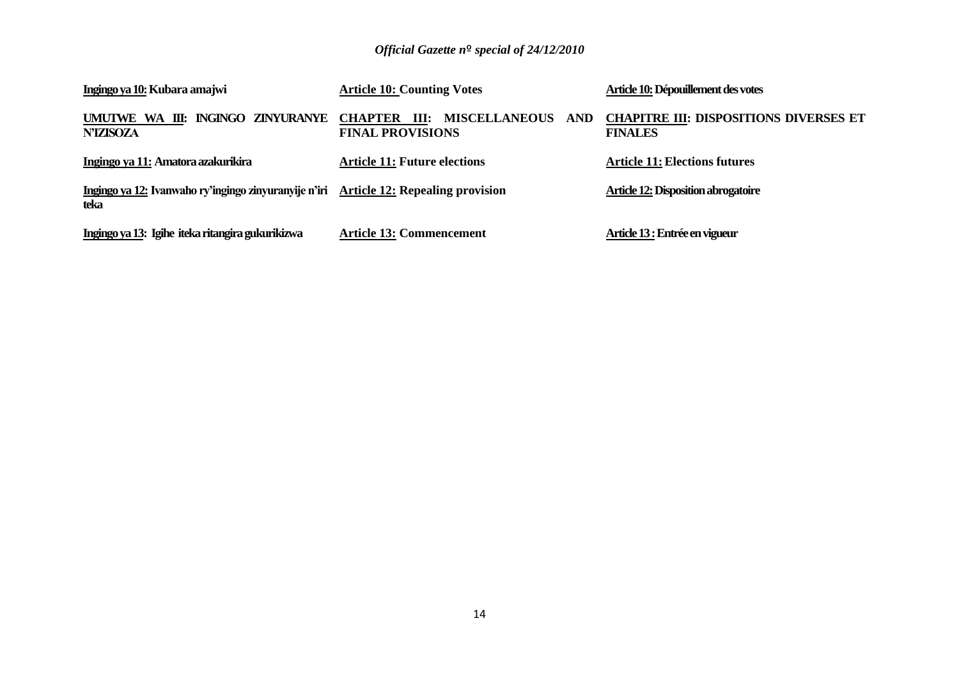| Ingingo ya 10: Kubara amajwi                                                                  | <b>Article 10: Counting Votes</b>            | Article 10: Dépouillement des votes                             |
|-----------------------------------------------------------------------------------------------|----------------------------------------------|-----------------------------------------------------------------|
| UMUTWE WA III: INGINGO ZINYURANYE CHAPTER III:<br><b>N'IZISOZA</b>                            | MISCELLANEOUS AND<br><b>FINAL PROVISIONS</b> | <b>CHAPITRE III: DISPOSITIONS DIVERSES ET</b><br><b>FINALES</b> |
| Ingingo ya 11: Amatora azakurikira                                                            | <b>Article 11: Future elections</b>          | <b>Article 11: Elections futures</b>                            |
| Ingingo ya 12: Ivanwaho ry'ingingo zinyuranyije n'iri Article 12: Repealing provision<br>teka |                                              | Article 12: Disposition abrogatoire                             |
| Ingingo ya 13: Igihe iteka ritangira gukurikizwa                                              | <b>Article 13: Commencement</b>              | Article 13 : Entrée en vigueur                                  |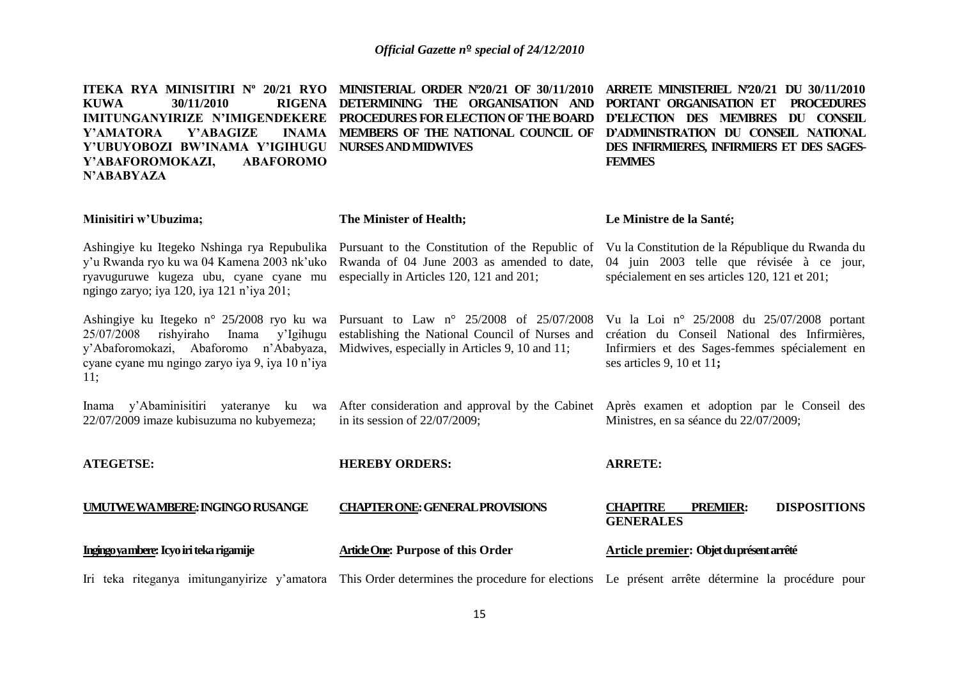| ITEKA RYA MINISITIRI Nº 20/21 RYO<br>30/11/2010<br>RIGENA<br><b>KUWA</b><br>IMITUNGANYIRIZE N'IMIGENDEKERE<br>Y'ABAGIZE<br>Y'AMATORA<br><b>INAMA</b><br>Y'UBUYOBOZI BW'INAMA Y'IGIHUGU<br><b>ABAFOROMO</b><br>Y'ABAFOROMOKAZI,<br>N'ABABYAZA | <b>MINISTERIAL ORDER N°20/21 OF 30/11/2010</b><br>DETERMINING THE ORGANISATION AND<br>PROCEDURES FOR ELECTION OF THE BOARD<br>MEMBERS OF THE NATIONAL COUNCIL OF<br><b>NURSES AND MIDWIVES</b> | ARRETE MINISTERIEL N'20/21 DU 30/11/2010<br>PORTANT ORGANISATION ET<br><b>PROCEDURES</b><br>D'ELECTION DES MEMBRES DU CONSEIL<br>D'ADMINISTRATION DU CONSEIL NATIONAL<br>DES INFIRMIERES, INFIRMIERS ET DES SAGES-<br><b>FEMMES</b> |  |  |
|----------------------------------------------------------------------------------------------------------------------------------------------------------------------------------------------------------------------------------------------|------------------------------------------------------------------------------------------------------------------------------------------------------------------------------------------------|-------------------------------------------------------------------------------------------------------------------------------------------------------------------------------------------------------------------------------------|--|--|
| Minisitiri w'Ubuzima;                                                                                                                                                                                                                        | The Minister of Health;                                                                                                                                                                        | Le Ministre de la Santé;                                                                                                                                                                                                            |  |  |
| Ashingiye ku Itegeko Nshinga rya Repubulika<br>y'u Rwanda ryo ku wa 04 Kamena 2003 nk'uko<br>ryavuguruwe kugeza ubu, cyane cyane mu<br>ngingo zaryo; iya 120, iya 121 n'iya 201;                                                             | Rwanda of 04 June 2003 as amended to date,<br>especially in Articles 120, 121 and 201;                                                                                                         | Pursuant to the Constitution of the Republic of Vu la Constitution de la République du Rwanda du<br>04 juin 2003 telle que révisée à ce jour,<br>spécialement en ses articles 120, 121 et 201;                                      |  |  |
| Ashingiye ku Itegeko n° 25/2008 ryo ku wa<br>Inama y'Igihugu<br>25/07/2008<br>rishyiraho<br>y'Abaforomokazi, Abaforomo n'Ababyaza,<br>cyane cyane mu ngingo zaryo iya 9, iya 10 n'iya<br>11:                                                 | Pursuant to Law $n^{\circ}$ 25/2008 of 25/07/2008<br>establishing the National Council of Nurses and<br>Midwives, especially in Articles 9, 10 and 11;                                         | Vu la Loi nº 25/2008 du 25/07/2008 portant<br>création du Conseil National des Infirmières,<br>Infirmiers et des Sages-femmes spécialement en<br>ses articles 9, 10 et 11;                                                          |  |  |
| Inama y'Abaminisitiri yateranye ku wa<br>22/07/2009 imaze kubisuzuma no kubyemeza;                                                                                                                                                           | After consideration and approval by the Cabinet<br>in its session of $22/07/2009$ ;                                                                                                            | Après examen et adoption par le Conseil des<br>Ministres, en sa séance du 22/07/2009;                                                                                                                                               |  |  |
| <b>ATEGETSE:</b>                                                                                                                                                                                                                             | <b>HEREBY ORDERS:</b>                                                                                                                                                                          | <b>ARRETE:</b>                                                                                                                                                                                                                      |  |  |
| UMUTWEWAMBERE: INGINGO RUSANGE                                                                                                                                                                                                               | <b>CHAPTER ONE: GENERAL PROVISIONS</b>                                                                                                                                                         | <b>CHAPITRE</b><br><b>DISPOSITIONS</b><br><b>PREMIER:</b><br><b>GENERALES</b>                                                                                                                                                       |  |  |
| Ingingo ya mbere: Icyo iri teka rigamije                                                                                                                                                                                                     | Article One: Purpose of this Order                                                                                                                                                             | Article premier: Objet du présent arrêté                                                                                                                                                                                            |  |  |
| Iri teka riteganya imitunganyirize y'amatora                                                                                                                                                                                                 |                                                                                                                                                                                                | This Order determines the procedure for elections Le présent arrête détermine la procédure pour                                                                                                                                     |  |  |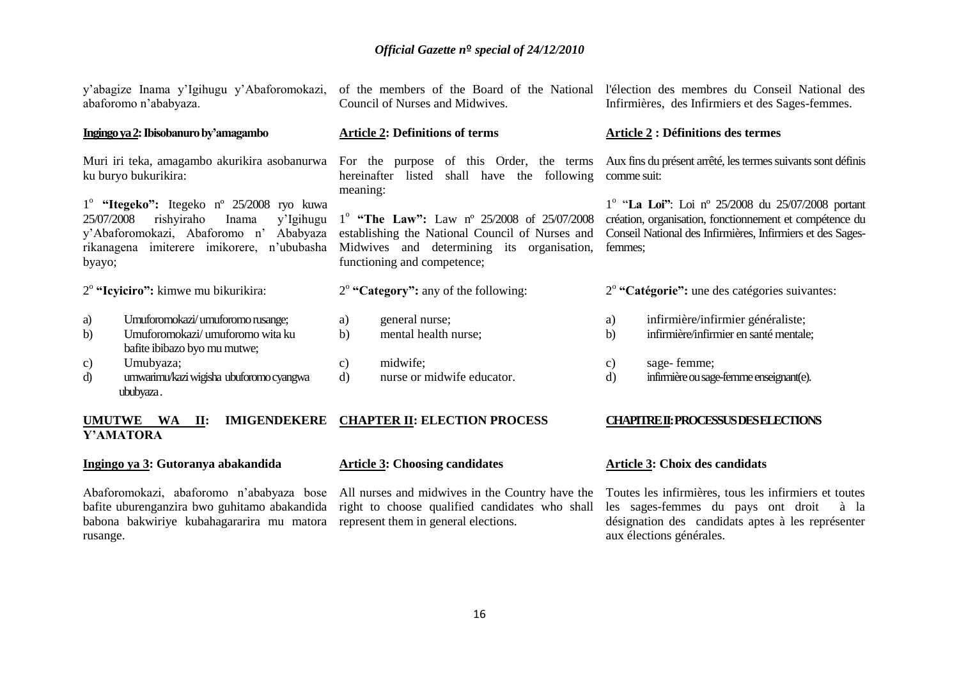|                      | y'abagize Inama y'Igihugu y'Abaforomokazi,<br>abaforomo n'ababyaza.                                                                                                                  | of the members of the Board of the National<br>Council of Nurses and Midwives.                                                                                                      |               | l'élection des membres du Conseil National des<br>Infirmières, des Infirmiers et des Sages-femmes.                                                                                  |
|----------------------|--------------------------------------------------------------------------------------------------------------------------------------------------------------------------------------|-------------------------------------------------------------------------------------------------------------------------------------------------------------------------------------|---------------|-------------------------------------------------------------------------------------------------------------------------------------------------------------------------------------|
|                      | Ingingo ya 2: Ibisobanuro by'amagambo                                                                                                                                                | <b>Article 2: Definitions of terms</b>                                                                                                                                              |               | <b>Article 2 : Définitions des termes</b>                                                                                                                                           |
|                      | Muri iri teka, amagambo akurikira asobanurwa For the purpose<br>ku buryo bukurikira:                                                                                                 | of this Order, the terms<br>hereinafter<br>shall have the following<br>listed<br>meaning:                                                                                           | comme suit:   | Aux fins du présent arrêté, les termes suivants sont définis                                                                                                                        |
| 25/07/2008<br>byayo; | 1 <sup>°</sup> "Itegeko": Itegeko nº 25/2008 ryo kuwa<br>rishyiraho<br>Inama<br>y'Igihugu<br>y'Abaforomokazi, Abaforomo n'<br>Ababyaza<br>rikanagena imiterere imikorere, n'ububasha | $1^{\circ}$ "The Law": Law n° 25/2008 of 25/07/2008<br>establishing the National Council of Nurses and<br>Midwives and determining its organisation,<br>functioning and competence; | femmes;       | $1^{\circ}$ "La Loi": Loi nº 25/2008 du 25/07/2008 portant<br>création, organisation, fonctionnement et compétence du<br>Conseil National des Infirmières, Infirmiers et des Sages- |
|                      | $2^{\circ}$ "Icyiciro": kimwe mu bikurikira:                                                                                                                                         | $2^{\circ}$ "Category": any of the following:                                                                                                                                       |               | $2^{\circ}$ "Catégorie": une des catégories suivantes:                                                                                                                              |
| a)<br>b)             | Umuforomokazi/umuforomo rusange;<br>Umuforomokazi/umuforomo wita ku<br>bafite ibibazo byo mu mutwe;                                                                                  | general nurse;<br>a)<br>b)<br>mental health nurse;                                                                                                                                  | a)<br>b)      | infirmière/infirmier généraliste;<br>infirmière/infirmier en santé mentale;                                                                                                         |
| c)<br>d)             | Umubyaza;<br>umwarimu/kazi wigisha ubuforomo cyangwa                                                                                                                                 | midwife;<br>c)<br>d)<br>nurse or midwife educator.                                                                                                                                  | c)<br>$\rm d$ | sage-femme;<br>infirmière ou sage-femme enseignant(e).                                                                                                                              |

### **UMUTWE WA II: IMIGENDEKERE CHAPTER II: ELECTION PROCESS Y'AMATORA**

### **Ingingo ya 3: Gutoranya abakandida**

ububyaza .

Abaforomokazi, abaforomo n'ababyaza bose All nurses and midwives in the Country have the Toutes les infirmières, tous les infirmiers et toutes babona bakwiriye kubahagararira mu matora represent them in general elections. rusange.

### **Article 3: Choosing candidates**

### **CHAPITRE II: PROCESSUS DES ELECTIONS**

### **Article 3: Choix des candidats**

bafite uburenganzira bwo guhitamo abakandida right to choose qualified candidates who shall les sages-femmes du pays ont droit à la désignation des candidats aptes à les représenter aux élections générales.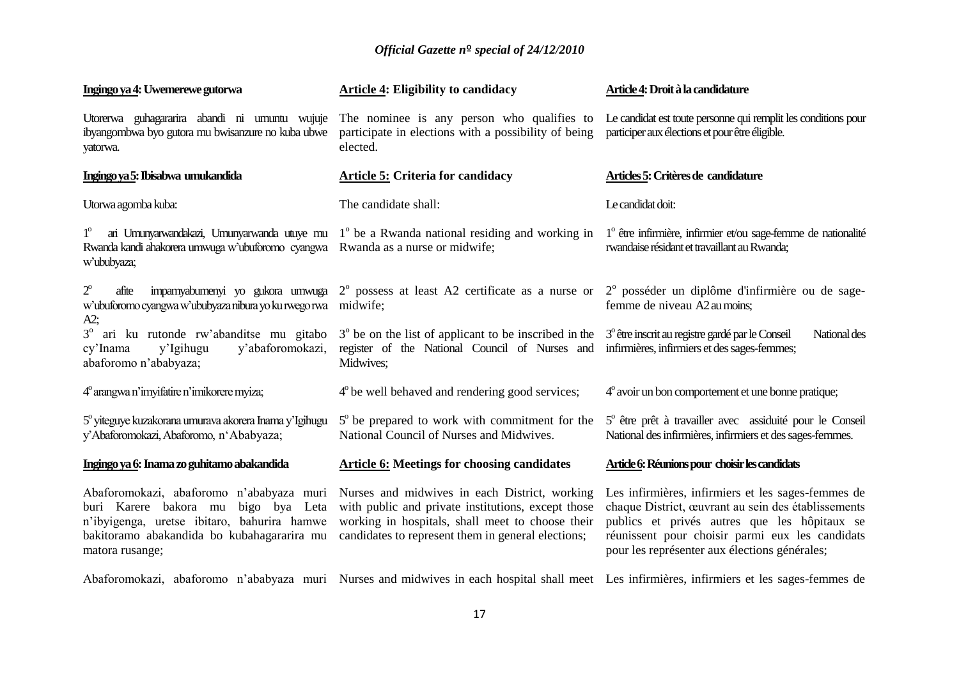| Ingingo ya 4: Uwemerewe gutorwa                                                                                                                                                                    | <b>Article 4: Eligibility to candidacy</b>                                                                                                                                                                    | Article 4: Droit à la candidature                                                                                                                                                                                                                             |
|----------------------------------------------------------------------------------------------------------------------------------------------------------------------------------------------------|---------------------------------------------------------------------------------------------------------------------------------------------------------------------------------------------------------------|---------------------------------------------------------------------------------------------------------------------------------------------------------------------------------------------------------------------------------------------------------------|
| Utorerwa guhagararira abandi ni umuntu wujuje<br>ibyangombwa byo gutora mu bwisanzure no kuba ubwe<br>yatorwa.                                                                                     | The nominee is any person who qualifies to<br>participate in elections with a possibility of being<br>elected.                                                                                                | Le candidat est toute personne qui remplit les conditions pour<br>participer aux élections et pour être éligible.                                                                                                                                             |
| Ingingo ya 5: Ibisabwa umukandida                                                                                                                                                                  | <b>Article 5: Criteria for candidacy</b>                                                                                                                                                                      | Articles 5: Critères de candidature                                                                                                                                                                                                                           |
| Utorwa agomba kuba:                                                                                                                                                                                | The candidate shall:                                                                                                                                                                                          | Le candidat doit:                                                                                                                                                                                                                                             |
| ari Umunyarwandakazi, Umunyarwanda utuye mu<br>$1^{\circ}$<br>Rwanda kandi ahakorera umwuga w'ubuforomo cyangwa<br>w'ububyaza;                                                                     | 1 <sup>°</sup> be a Rwanda national residing and working in<br>Rwanda as a nurse or midwife;                                                                                                                  | $1^\circ$ être infirmière, infirmier et/ou sage-femme de nationalité<br>rwandaise résidant et travaillant au Rwanda;                                                                                                                                          |
| $2^{\circ}$<br>impamyabumenyi yo gukora umwuga<br>afite<br>w'ubuforomo cyangwa w'ububyaza nibura yo ku rwego rwa<br>$A2$ ;                                                                         | $2^{\circ}$ possess at least A2 certificate as a nurse or<br>midwife;                                                                                                                                         | 2 <sup>°</sup> posséder un diplôme d'infirmière ou de sage-<br>femme de niveau A2 au moins;                                                                                                                                                                   |
| 3 <sup>°</sup> ari ku rutonde rw'abanditse mu gitabo<br>y'abaforomokazi,<br>cy'Inama<br>y'Igihugu<br>abaforomo n'ababyaza;                                                                         | $3o$ be on the list of applicant to be inscribed in the<br>register of the National Council of Nurses and<br>Midwives;                                                                                        | 3 <sup>°</sup> être inscrit au registre gardé par le Conseil<br>National des<br>infirmières, infirmiers et des sages-femmes;                                                                                                                                  |
| 4° arangwa n'imyifatire n'imikorere myiza;                                                                                                                                                         | $4^{\circ}$ be well behaved and rendering good services;                                                                                                                                                      | $4^\circ$ avoir un bon comportement et une bonne pratique;                                                                                                                                                                                                    |
| 5° yiteguye kuzakorana umurava akorera Inama y'Igihugu<br>y'Abaforomokazi, Abaforomo, n'Ababyaza;                                                                                                  | $5^\circ$ be prepared to work with commitment for the<br>National Council of Nurses and Midwives.                                                                                                             | 5° être prêt à travailler avec assiduité pour le Conseil<br>National des infirmières, infirmiers et des sages-femmes.                                                                                                                                         |
| Ingingo ya 6: Inama zo guhitamo abakandida                                                                                                                                                         | <b>Article 6: Meetings for choosing candidates</b>                                                                                                                                                            | Article 6: Réunions pour choisir les candidats                                                                                                                                                                                                                |
| Abaforomokazi, abaforomo n'ababyaza muri<br>buri Karere bakora mu<br>bigo bya Leta<br>n'ibyigenga, uretse ibitaro, bahurira hamwe<br>bakitoramo abakandida bo kubahagararira mu<br>matora rusange; | Nurses and midwives in each District, working<br>with public and private institutions, except those<br>working in hospitals, shall meet to choose their<br>candidates to represent them in general elections; | Les infirmières, infirmiers et les sages-femmes de<br>chaque District, œuvrant au sein des établissements<br>publics et privés autres que les hôpitaux se<br>réunissent pour choisir parmi eux les candidats<br>pour les représenter aux élections générales; |
|                                                                                                                                                                                                    |                                                                                                                                                                                                               | Abaforomokazi, abaforomo n'ababyaza muri Nurses and midwives in each hospital shall meet Les infirmières, infirmiers et les sages-femmes de                                                                                                                   |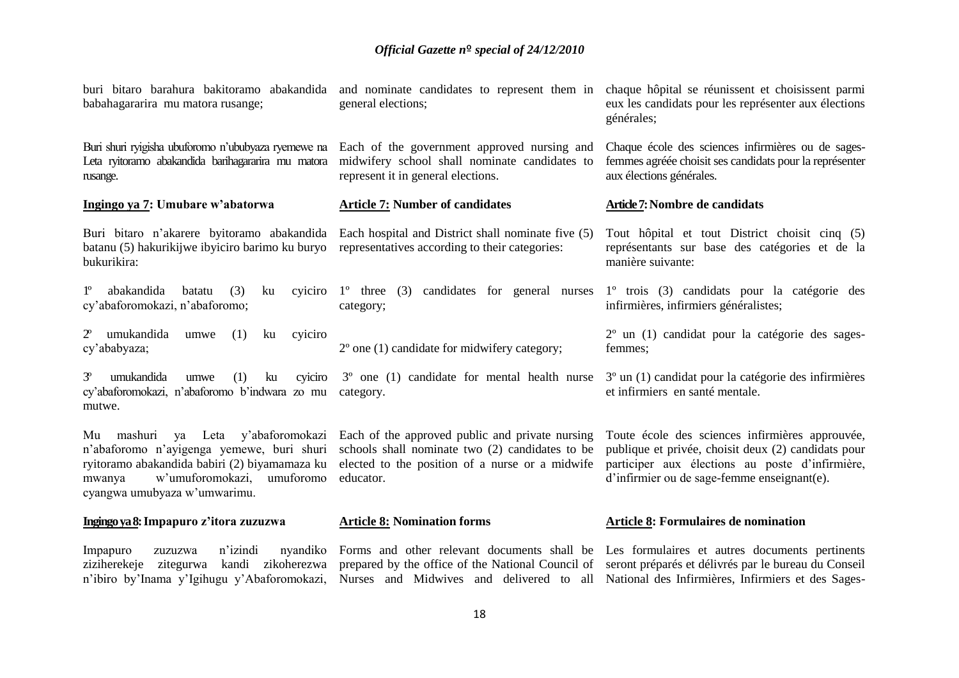| buri bitaro barahura bakitoramo abakandida<br>babahagararira mu matora rusange;                                                                                                                                | and nominate candidates to represent them in<br>general elections;                                                                                                 | chaque hôpital se réunissent et choisissent parmi<br>eux les candidats pour les représenter aux élections<br>générales;                                                                                     |
|----------------------------------------------------------------------------------------------------------------------------------------------------------------------------------------------------------------|--------------------------------------------------------------------------------------------------------------------------------------------------------------------|-------------------------------------------------------------------------------------------------------------------------------------------------------------------------------------------------------------|
| Buri shuri ryigisha ubuforomo n'ububyaza ryemewe na<br>Leta ryitoramo abakandida barihagararira mu matora<br>rusange.                                                                                          | Each of the government approved nursing and<br>midwifery school shall nominate candidates to<br>represent it in general elections.                                 | Chaque école des sciences infirmières ou de sages-<br>femmes agréée choisit ses candidats pour la représenter<br>aux élections générales.                                                                   |
| Ingingo ya 7: Umubare w'abatorwa                                                                                                                                                                               | <b>Article 7: Number of candidates</b>                                                                                                                             | Article 7: Nombre de candidats                                                                                                                                                                              |
| Buri bitaro n'akarere byitoramo abakandida<br>batanu (5) hakurikijwe ibyiciro barimo ku buryo<br>bukurikira:                                                                                                   | Each hospital and District shall nominate five (5)<br>representatives according to their categories:                                                               | Tout hôpital et tout District choisit cinq (5)<br>représentants sur base des catégories et de la<br>manière suivante:                                                                                       |
| $1^{\circ}$<br>abakandida<br>(3)<br>batatu<br>ku<br>cyiciro<br>cy'abaforomokazi, n'abaforomo;                                                                                                                  | $1^{\circ}$ three (3)<br>candidates for general nurses<br>category;                                                                                                | 1º trois (3) candidats pour la catégorie des<br>infirmières, infirmiers généralistes;                                                                                                                       |
| $2^{\circ}$<br>umukandida<br>(1)<br>umwe<br>ku<br>cyiciro<br>cy'ababyaza;                                                                                                                                      | $2^{\circ}$ one (1) candidate for midwifery category;                                                                                                              | $2^{\circ}$ un (1) candidat pour la catégorie des sages-<br>femmes;                                                                                                                                         |
| $3^{\circ}$<br>umukandida<br>(1)<br>umwe<br>ku<br>cyiciro<br>cy'abaforomokazi, n'abaforomo b'indwara zo mu<br>mutwe.                                                                                           | 3° one (1) candidate for mental health nurse<br>category.                                                                                                          | $3o$ un $(1)$ candidat pour la catégorie des infirmières<br>et infirmiers en santé mentale.                                                                                                                 |
| Mu mashuri ya Leta<br>y'abaforomokazi<br>n'abaforomo n'avigenga yemewe, buri shuri<br>ryitoramo abakandida babiri (2) biyamamaza ku<br>w'umuforomokazi,<br>umuforomo<br>mwanya<br>cyangwa umubyaza w'umwarimu. | Each of the approved public and private nursing<br>schools shall nominate two (2) candidates to be<br>elected to the position of a nurse or a midwife<br>educator. | Toute école des sciences infirmières approuvée,<br>publique et privée, choisit deux (2) candidats pour<br>participer aux élections au poste d'infirmière,<br>$d'$ infirmier ou de sage-femme enseignant(e). |
| Ingingo ya 8: Impapuro z'itora zuzuzwa                                                                                                                                                                         | <b>Article 8: Nomination forms</b>                                                                                                                                 | <b>Article 8: Formulaires de nomination</b>                                                                                                                                                                 |

Impapuro zuzuzwa n'izindi

ziziherekeje zitegurwa kandi zikoherezwa prepared by the office of the National Council of seront préparés et délivrés par le bureau du Conseil n'ibiro by'Inama y'Igihugu y'Abaforomokazi, Nurses and Midwives and delivered to all National des Infirmières, Infirmiers et des Sages-Forms and other relevant documents shall be Les formulaires et autres documents pertinents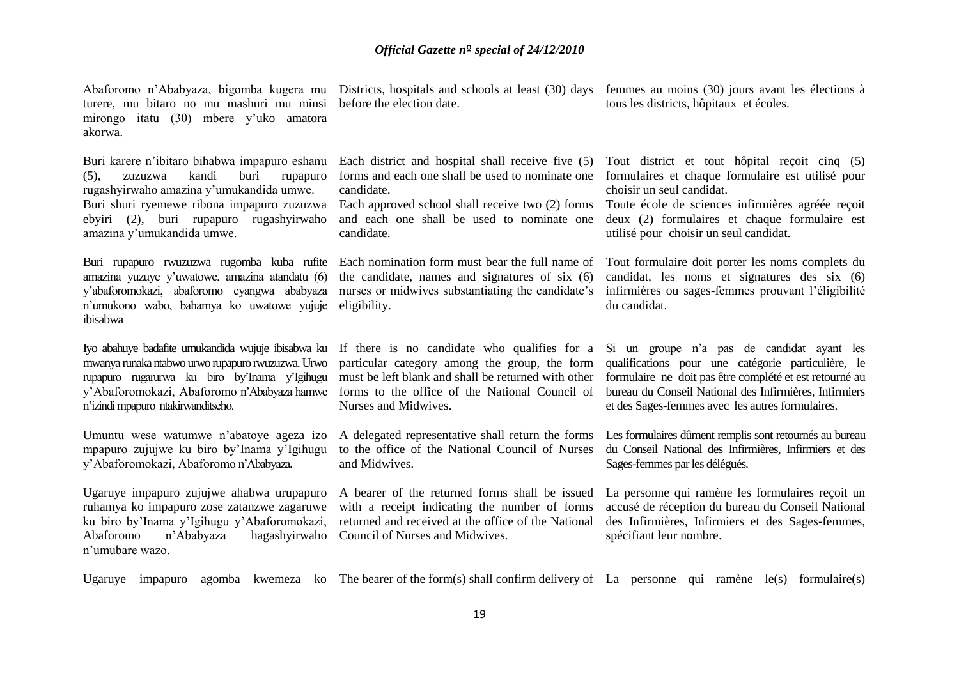turere, mu bitaro no mu mashuri mu minsi mirongo itatu (30) mbere y'uko amatora akorwa.

Buri karere n'ibitaro bihabwa impapuro eshanu (5), zuzuzwa kandi buri rupapuro rugashyirwaho amazina y'umukandida umwe. Buri shuri ryemewe ribona impapuro zuzuzwa Each approved school shall receive two (2) forms Toute école de sciences infirmières agréée reçoit ebyiri (2), buri rupapuro rugashyirwaho amazina y'umukandida umwe.

amazina yuzuye y'uwatowe, amazina atandatu (6) n'umukono wabo, bahamya ko uwatowe yujuje eligibility. ibisabwa

mwanya runaka ntabwo urwo rupapuro rwuzuzwa. Urwo n'izindi mpapuro ntakirwanditseho.

mpapuro zujujwe ku biro by'Inama y'Igihugu y'Abaforomokazi, Abaforomo n'Ababyaza.

Ugaruye impapuro zujujwe ahabwa urupapuro ruhamya ko impapuro zose zatanzwe zagaruwe ku biro by'Inama y'Igihugu y'Abaforomokazi, Abaforomo n'Ababyaza hagashyirwaho Council of Nurses and Midwives. n'umubare wazo.

before the election date.

candidate.

and each one shall be used to nominate one candidate.

the candidate, names and signatures of six (6)

Nurses and Midwives.

to the office of the National Council of Nurses and Midwives.

with a receipt indicating the number of forms returned and received at the office of the National

Abaforomo n'Ababyaza, bigomba kugera mu Districts, hospitals and schools at least (30) days femmes au moins (30) jours avant les élections à tous les districts, hôpitaux et écoles.

> Each district and hospital shall receive five (5) Tout district et tout hôpital reçoit cinq (5) forms and each one shall be used to nominate one formulaires et chaque formulaire est utilisé pour choisir un seul candidat.

> > deux (2) formulaires et chaque formulaire est utilisé pour choisir un seul candidat.

Buri rupapuro rwuzuzwa rugomba kuba rufite Each nomination form must bear the full name of Tout formulaire doit porter les noms complets du y'abaforomokazi, abaforomo cyangwa ababyaza nurses or midwives substantiating the candidate's infirmières ou sages-femmes prouvant l'éligibilité candidat, les noms et signatures des six (6) du candidat.

Iyo abahuye badafite umukandida wujuje ibisabwa ku If there is no candidate who qualifies for a Si un groupe n'a pas de candidat ayant les rupapuro rugarurwa ku biro by'Inama y'Igihugu must be left blank and shall be returned with other formulaire ne doit pas être complété et est retourné au y'Abaforomokazi, Abaforomo n'Ababyaza hamwe forms to the office of the National Council of bureau du Conseil National des Infirmières, Infirmiers particular category among the group, the form qualifications pour une catégorie particulière, le et des Sages-femmes avec les autres formulaires.

Umuntu wese watumwe n'abatoye ageza izo A delegated representative shall return the forms Les formulaires dûment remplis sont retournés au bureau du Conseil National des Infirmières, Infirmiers et des Sages-femmes par les délégués.

> A bearer of the returned forms shall be issued La personne qui ramène les formulaires reçoit un accusé de réception du bureau du Conseil National des Infirmières, Infirmiers et des Sages-femmes, spécifiant leur nombre.

Ugaruye impapuro agomba kwemeza ko The bearer of the form(s) shall confirm delivery of La personne qui ramène le(s) formulaire(s)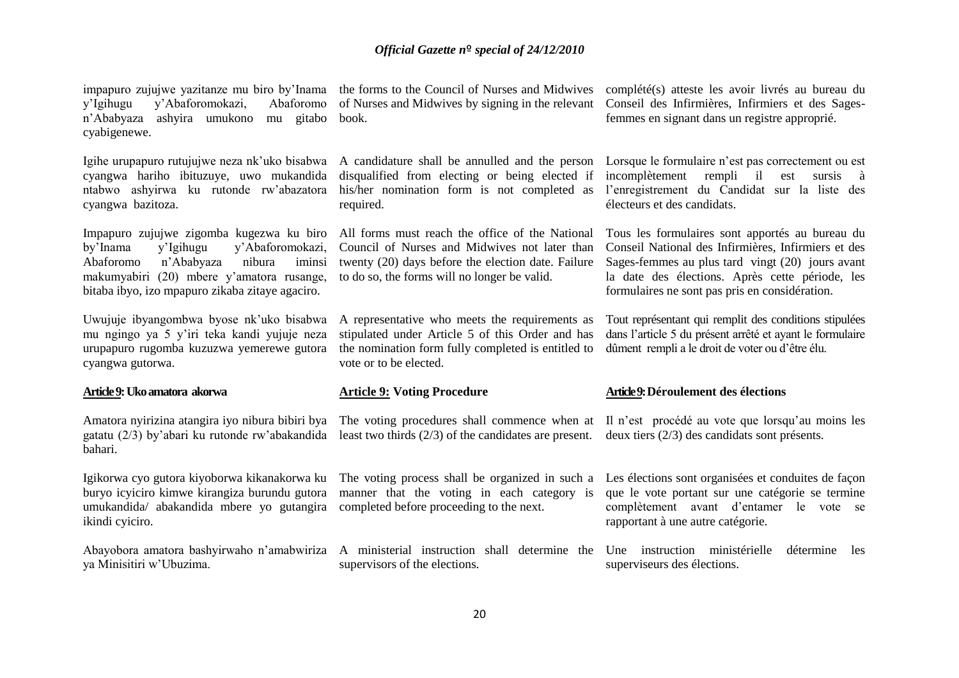y'Igihugu y'Abaforomokazi, Abaforomo n'Ababyaza ashyira umukono mu gitabo book. cyabigenewe.

Igihe urupapuro rutujujwe neza nk'uko bisabwa cyangwa hariho ibituzuye, uwo mukandida ntabwo ashyirwa ku rutonde rw'abazatora cyangwa bazitoza.

Impapuro zujujwe zigomba kugezwa ku biro by'Inama y'Igihugu y'Abaforomokazi, Abaforomo n'Ababyaza nibura iminsi makumyabiri (20) mbere y'amatora rusange, bitaba ibyo, izo mpapuro zikaba zitaye agaciro.

Uwujuje ibyangombwa byose nk'uko bisabwa mu ngingo ya 5 y'iri teka kandi yujuje neza urupapuro rugomba kuzuzwa yemerewe gutora cyangwa gutorwa.

### **Article 9: Uko amatora akorwa**

Amatora nyirizina atangira iyo nibura bibiri bya bahari.

buryo icyiciro kimwe kirangiza burundu gutora umukandida/ abakandida mbere yo gutangira completed before proceeding to the next. ikindi cyiciro.

ya Minisitiri w'Ubuzima.

impapuro zujujwe yazitanze mu biro by'Inama the forms to the Council of Nurses and Midwives of Nurses and Midwives by signing in the relevant

> disqualified from electing or being elected if required.

All forms must reach the office of the National Council of Nurses and Midwives not later than twenty (20) days before the election date. Failure to do so, the forms will no longer be valid.

A representative who meets the requirements as stipulated under Article 5 of this Order and has the nomination form fully completed is entitled to vote or to be elected.

### **Article 9: Voting Procedure**

gatatu (2/3) by'abari ku rutonde rw'abakandida least two thirds (2/3) of the candidates are present. deux tiers (2/3) des candidats sont présents. The voting procedures shall commence when at Il n'est procédé au vote que lorsqu'au moins les

manner that the voting in each category is

Abayobora amatora bashyirwaho n'amabwiriza A ministerial instruction shall determine the Une instruction ministérielle détermine les supervisors of the elections.

complété(s) atteste les avoir livrés au bureau du Conseil des Infirmières, Infirmiers et des Sagesfemmes en signant dans un registre approprié.

A candidature shall be annulled and the person Lorsque le formulaire n'est pas correctement ou est his/her nomination form is not completed as l'enregistrement du Candidat sur la liste des incomplètement rempli il est sursis à électeurs et des candidats.

> Tous les formulaires sont apportés au bureau du Conseil National des Infirmières, Infirmiers et des Sages-femmes au plus tard vingt (20) jours avant la date des élections. Après cette période, les formulaires ne sont pas pris en considération.

> Tout représentant qui remplit des conditions stipulées dans l'article 5 du présent arrêté et ayant le formulaire dûment rempli a le droit de voter ou d'être élu.

### **Article 9: Déroulement des élections**

Igikorwa cyo gutora kiyoborwa kikanakorwa ku The voting process shall be organized in such a Les élections sont organisées et conduites de façon que le vote portant sur une catégorie se termine complètement avant d'entamer le vote se rapportant à une autre catégorie.

superviseurs des élections.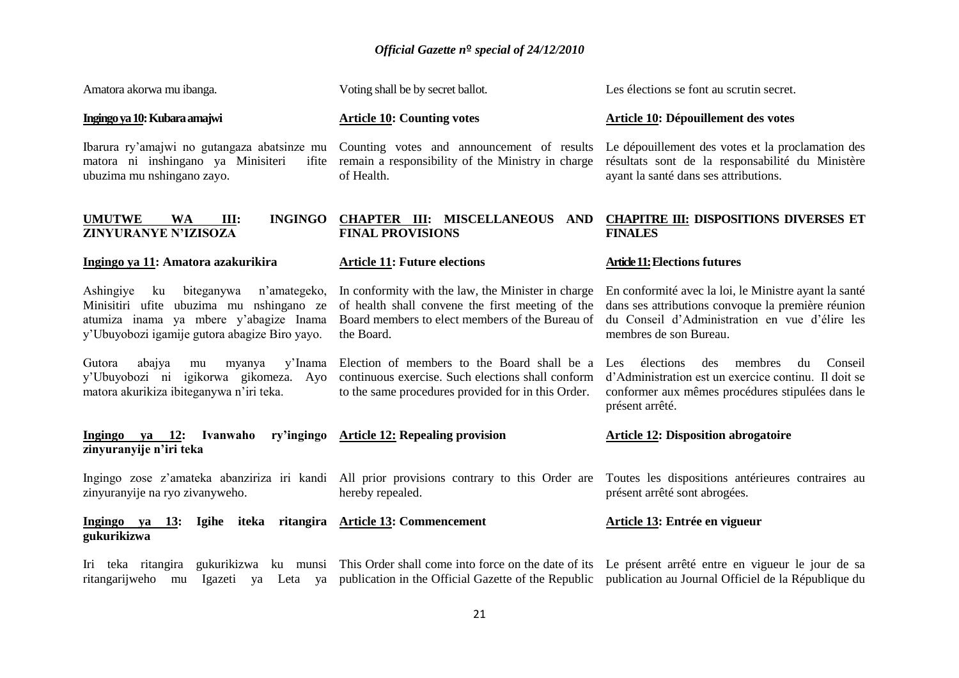| Amatora akorwa mu ibanga.                                                                                                                                                            | Voting shall be by secret ballot.                                                                                                                                       | Les élections se font au scrutin secret.                                                                                                                                                                                                            |
|--------------------------------------------------------------------------------------------------------------------------------------------------------------------------------------|-------------------------------------------------------------------------------------------------------------------------------------------------------------------------|-----------------------------------------------------------------------------------------------------------------------------------------------------------------------------------------------------------------------------------------------------|
| Ingingo ya 10: Kubara amajwi                                                                                                                                                         | <b>Article 10: Counting votes</b>                                                                                                                                       | Article 10: Dépouillement des votes                                                                                                                                                                                                                 |
| Ibarura ry'amajwi no gutangaza abatsinze mu<br>matora ni inshingano ya Minisiteri<br>ifite<br>ubuzima mu nshingano zayo.                                                             | Counting votes and announcement of results<br>remain a responsibility of the Ministry in charge<br>of Health.                                                           | Le dépouillement des votes et la proclamation des<br>résultats sont de la responsabilité du Ministère<br>ayant la santé dans ses attributions.                                                                                                      |
| <b>UMUTWE</b><br><b>INGINGO</b><br><b>WA</b><br>III:<br>ZINYURANYE N'IZISOZA                                                                                                         | <b>CHAPTER III: MISCELLANEOUS</b><br>AND<br><b>FINAL PROVISIONS</b>                                                                                                     | <b>CHAPITRE III: DISPOSITIONS DIVERSES ET</b><br><b>FINALES</b>                                                                                                                                                                                     |
| Ingingo ya 11: Amatora azakurikira                                                                                                                                                   | <b>Article 11: Future elections</b>                                                                                                                                     | <b>Article 11: Elections futures</b>                                                                                                                                                                                                                |
| Ashingiye<br>biteganywa<br>n'amategeko,<br>ku<br>Minisitiri ufite ubuzima mu nshingano ze<br>atumiza inama ya mbere y'abagize Inama<br>y'Ubuyobozi igamije gutora abagize Biro yayo. | In conformity with the law, the Minister in charge<br>of health shall convene the first meeting of the<br>Board members to elect members of the Bureau of<br>the Board. | En conformité avec la loi, le Ministre ayant la santé<br>dans ses attributions convoque la première réunion<br>du Conseil d'Administration en vue d'élire les<br>membres de son Bureau.                                                             |
| abajya<br>y'Inama<br>Gutora<br>myanya<br>mu<br>y'Ubuyobozi ni igikorwa gikomeza. Ayo<br>matora akurikiza ibiteganywa n'iri teka.                                                     | Election of members to the Board shall be a<br>continuous exercise. Such elections shall conform<br>to the same procedures provided for in this Order.                  | élections<br>membres<br>des<br>Conseil<br>Les<br>du<br>d'Administration est un exercice continu. Il doit se<br>conformer aux mêmes procédures stipulées dans le<br>présent arrêté.                                                                  |
| $Ingingo$ ya 12:<br>Ivanwaho<br>ry'ingingo<br>zinyuranyije n'iri teka                                                                                                                | <b>Article 12: Repealing provision</b>                                                                                                                                  | <b>Article 12: Disposition abrogatoire</b>                                                                                                                                                                                                          |
| zinyuranyije na ryo zivanyweho.                                                                                                                                                      | Ingingo zose z'amateka abanziriza iri kandi All prior provisions contrary to this Order are<br>hereby repealed.                                                         | Toutes les dispositions antérieures contraires au<br>présent arrêté sont abrogées.                                                                                                                                                                  |
| Ingingo ya<br><b>13:</b><br>gukurikizwa                                                                                                                                              | Igihe iteka ritangira Article 13: Commencement                                                                                                                          | Article 13: Entrée en vigueur                                                                                                                                                                                                                       |
| Iri<br>Igazeti ya Leta ya<br>ritangarijweho<br>mu                                                                                                                                    |                                                                                                                                                                         | teka ritangira gukurikizwa ku munsi This Order shall come into force on the date of its Le présent arrêté entre en vigueur le jour de sa<br>publication in the Official Gazette of the Republic publication au Journal Officiel de la République du |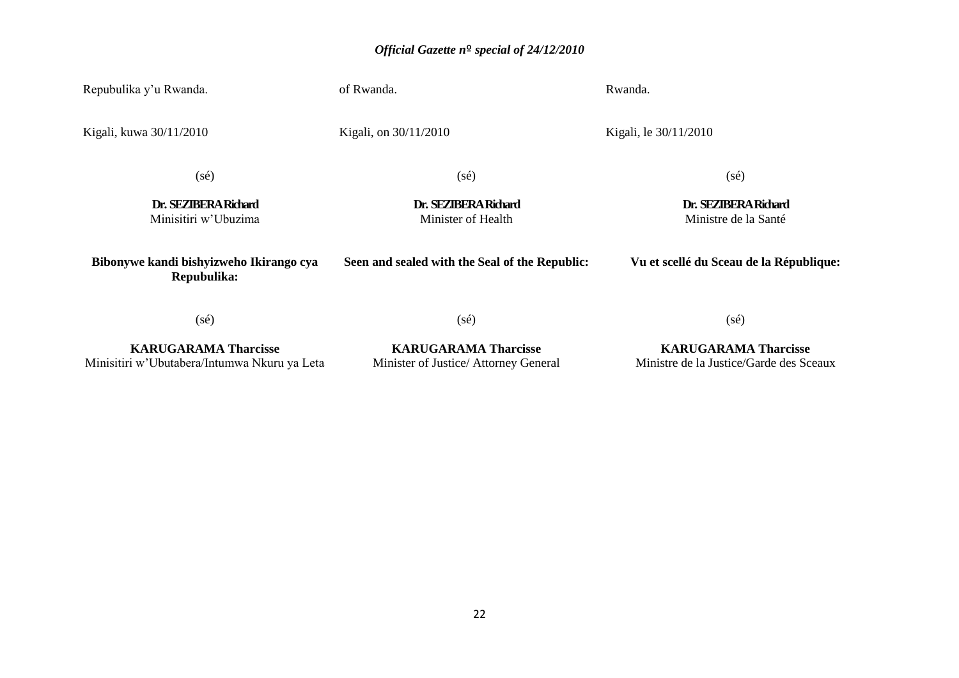| Repubulika y'u Rwanda.                                 | of Rwanda.                                     | Rwanda.                                      |
|--------------------------------------------------------|------------------------------------------------|----------------------------------------------|
| Kigali, kuwa 30/11/2010                                | Kigali, on 30/11/2010                          | Kigali, le 30/11/2010                        |
| $(s\acute{e})$                                         | $(s\acute{e})$                                 | $(s\acute{e})$                               |
| Dr. SEZIBERA Richard<br>Minisitiri w'Ubuzima           | Dr. SEZIBERA Richard<br>Minister of Health     | Dr. SEZIBERA Richard<br>Ministre de la Santé |
| Bibonywe kandi bishyizweho Ikirango cya<br>Repubulika: | Seen and sealed with the Seal of the Republic: | Vu et scellé du Sceau de la République:      |
| $(s\acute{e})$                                         | $(s\acute{e})$                                 | (s <sub>e</sub> )                            |

**KARUGARAMA Tharcisse** Minisitiri w'Ubutabera/Intumwa Nkuru ya Leta

**KARUGARAMA Tharcisse** Minister of Justice/ Attorney General

### **KARUGARAMA Tharcisse** Ministre de la Justice/Garde des Sceaux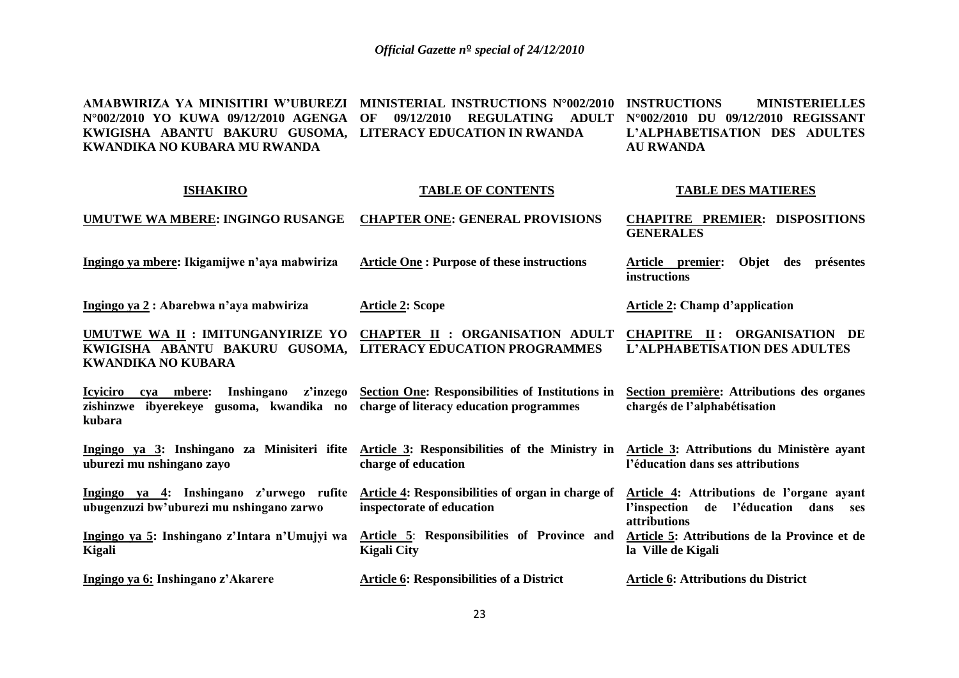**AMABWIRIZA YA MINISITIRI W'UBUREZI MINISTERIAL INSTRUCTIONS N°002/2010 N°002/2010 YO KUWA 09/12/2010 AGENGA OF 09/12/2010 REGULATING ADULT N°002/2010 DU 09/12/2010 REGISSANT KWIGISHA ABANTU BAKURU GUSOMA, LITERACY EDUCATION IN RWANDA KWANDIKA NO KUBARA MU RWANDA MINISTERIELLES L'ALPHABETISATION DES ADULTES AU RWANDA**

| <b>ISHAKIRO</b>                                                                                  | <b>TABLE OF CONTENTS</b>                                                                                        | <b>TABLE DES MATIERES</b>                                                                                  |
|--------------------------------------------------------------------------------------------------|-----------------------------------------------------------------------------------------------------------------|------------------------------------------------------------------------------------------------------------|
| <b>UMUTWE WA MBERE: INGINGO RUSANGE</b>                                                          | <b>CHAPTER ONE: GENERAL PROVISIONS</b>                                                                          | <b>CHAPITRE PREMIER: DISPOSITIONS</b><br><b>GENERALES</b>                                                  |
| Ingingo ya mbere: Ikigamijwe n'aya mabwiriza                                                     | <b>Article One: Purpose of these instructions</b>                                                               | Objet<br>Article premier:<br>des<br>présentes<br>instructions                                              |
| Ingingo ya 2: Abarebwa n'aya mabwiriza                                                           | <b>Article 2: Scope</b>                                                                                         | <b>Article 2: Champ d'application</b>                                                                      |
| UMUTWE WA II : IMITUNGANYIRIZE YO<br>KWIGISHA ABANTU BAKURU GUSOMA,<br><b>KWANDIKA NO KUBARA</b> | CHAPTER II : ORGANISATION ADULT<br><b>LITERACY EDUCATION PROGRAMMES</b>                                         | <b>CHAPITRE II: ORGANISATION DE</b><br>L'ALPHABETISATION DES ADULTES                                       |
| <b>Icyiciro</b><br>cva mbere:<br>zishinzwe ibyerekeye gusoma, kwandika no<br>kubara              | Inshingano z'inzego Section One: Responsibilities of Institutions in<br>charge of literacy education programmes | Section première: Attributions des organes<br>chargés de l'alphabétisation                                 |
| Ingingo ya 3: Inshingano za Minisiteri ifite<br>uburezi mu nshingano zayo                        | Article 3: Responsibilities of the Ministry in<br>charge of education                                           | Article 3: Attributions du Ministère ayant<br>l'éducation dans ses attributions                            |
| Ingingo ya 4: Inshingano z'urwego rufite<br>ubugenzuzi bw'uburezi mu nshingano zarwo             | <b>Article 4: Responsibilities of organ in charge of</b><br>inspectorate of education                           | Article 4: Attributions de l'organe ayant<br>l'inspection<br>de<br>l'éducation dans<br>ses<br>attributions |
| Ingingo ya 5: Inshingano z'Intara n'Umujyi wa<br><b>Kigali</b>                                   | Article 5: Responsibilities of Province and<br><b>Kigali City</b>                                               | Article 5: Attributions de la Province et de<br>la Ville de Kigali                                         |
| Ingingo ya 6: Inshingano z'Akarere                                                               | <b>Article 6: Responsibilities of a District</b>                                                                | <b>Article 6: Attributions du District</b>                                                                 |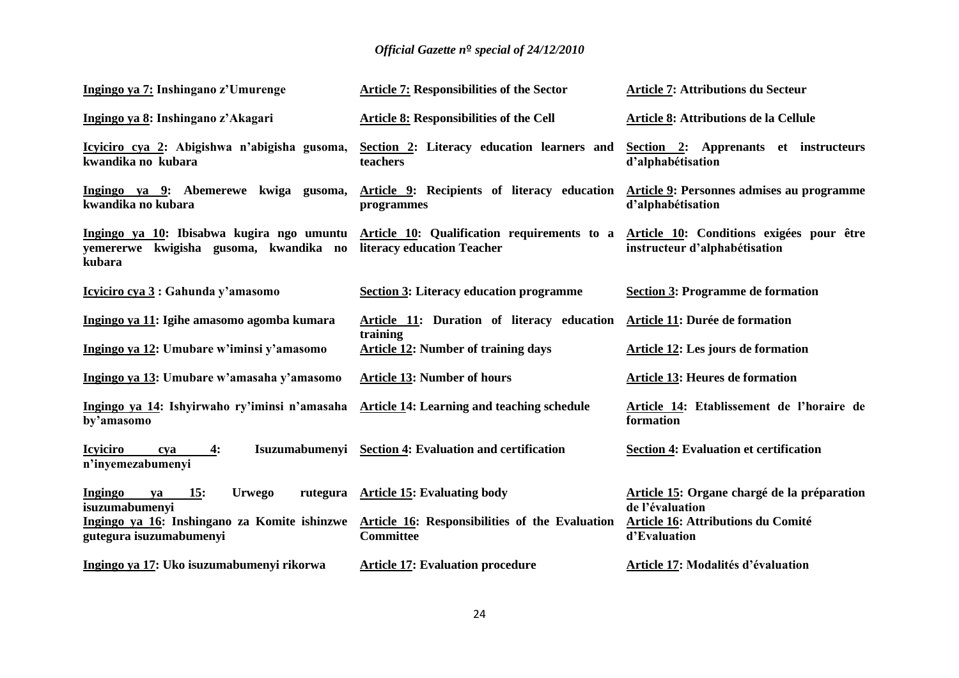| Ingingo ya 7: Inshingano z'Umurenge                                                           | <b>Article 7: Responsibilities of the Sector</b>                          | <b>Article 7: Attributions du Secteur</b>                                 |
|-----------------------------------------------------------------------------------------------|---------------------------------------------------------------------------|---------------------------------------------------------------------------|
| Ingingo ya 8: Inshingano z'Akagari                                                            | <b>Article 8: Responsibilities of the Cell</b>                            | Article 8: Attributions de la Cellule                                     |
| Icyiciro cya 2: Abigishwa n'abigisha gusoma,<br>kwandika no kubara                            | Section 2: Literacy education learners and<br>teachers                    | Section 2: Apprenants et instructeurs<br>d'alphabétisation                |
| Ingingo ya 9: Abemerewe kwiga gusoma,<br>kwandika no kubara                                   | Article 9: Recipients of literacy education<br>programmes                 | Article 9: Personnes admises au programme<br>d'alphabétisation            |
| Ingingo ya 10: Ibisabwa kugira ngo umuntu<br>yemererwe kwigisha gusoma, kwandika no<br>kubara | Article 10: Qualification requirements to a<br>literacy education Teacher | Article 10: Conditions exigées pour être<br>instructeur d'alphabétisation |
| <u>Icyiciro cya 3</u> : Gahunda y'amasomo                                                     | <b>Section 3: Literacy education programme</b>                            | <b>Section 3: Programme de formation</b>                                  |
| Ingingo ya 11: Igihe amasomo agomba kumara                                                    | Article 11: Duration of literacy education<br>training                    | Article 11: Durée de formation                                            |
| Ingingo ya 12: Umubare w'iminsi y'amasomo                                                     | <b>Article 12: Number of training days</b>                                | <b>Article 12: Les jours de formation</b>                                 |
| Ingingo ya 13: Umubare w'amasaha y'amasomo                                                    | <b>Article 13: Number of hours</b>                                        | <b>Article 13: Heures de formation</b>                                    |
| Ingingo ya 14: Ishyirwaho ry'iminsi n'amasaha<br>by'amasomo                                   | <b>Article 14: Learning and teaching schedule</b>                         | Article 14: Etablissement de l'horaire de<br>formation                    |
| <b>Icyiciro</b><br>$\overline{4}$ :<br>cya<br>n'inyemezabumenyi                               | Isuzumabumenyi Section 4: Evaluation and certification                    | <b>Section 4: Evaluation et certification</b>                             |
| 15:<br>Ingingo<br><b>Urwego</b><br>rutegura<br>ya<br>isuzumabumenyi                           | <b>Article 15: Evaluating body</b>                                        | Article 15: Organe chargé de la préparation<br>de l'évaluation            |
| Ingingo ya 16: Inshingano za Komite ishinzwe<br>gutegura isuzumabumenyi                       | <b>Article 16: Responsibilities of the Evaluation</b><br><b>Committee</b> | <b>Article 16: Attributions du Comité</b><br>d'Evaluation                 |
| Ingingo ya 17: Uko isuzumabumenyi rikorwa                                                     | <b>Article 17: Evaluation procedure</b>                                   | Article 17: Modalités d'évaluation                                        |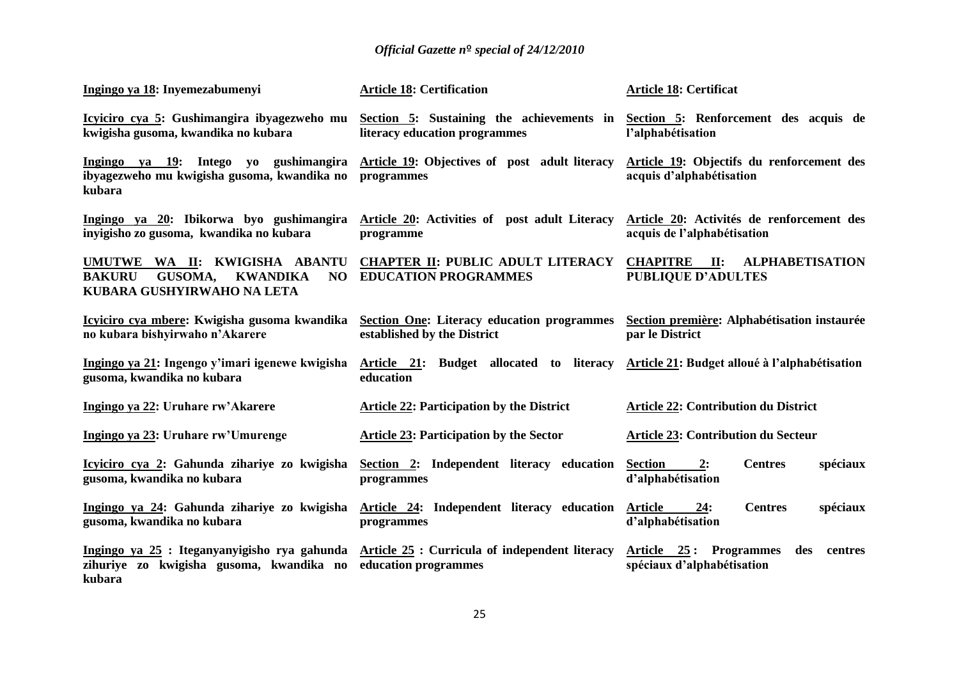| Ingingo ya 18: Inyemezabumenyi                                                                                                                                         | <b>Article 18: Certification</b>                                           | <b>Article 18: Certificat</b>                                              |
|------------------------------------------------------------------------------------------------------------------------------------------------------------------------|----------------------------------------------------------------------------|----------------------------------------------------------------------------|
| Icyiciro cya 5: Gushimangira ibyagezweho mu<br>kwigisha gusoma, kwandika no kubara                                                                                     | Section 5: Sustaining the achievements in<br>literacy education programmes | Section 5: Renforcement des acquis de<br>l'alphabétisation                 |
| Ingingo ya 19: Intego yo gushimangira<br>ibyagezweho mu kwigisha gusoma, kwandika no<br>kubara                                                                         | <b>Article 19:</b> Objectives of post adult literacy<br>programmes         | Article 19: Objectifs du renforcement des<br>acquis d'alphabétisation      |
| Ingingo ya 20: Ibikorwa byo gushimangira<br>inyigisho zo gusoma, kwandika no kubara                                                                                    | Article 20: Activities of post adult Literacy<br>programme                 | Article 20: Activités de renforcement des<br>acquis de l'alphabétisation   |
| UMUTWE WA II: KWIGISHA ABANTU<br>NO<br><b>BAKURU</b><br><b>GUSOMA,</b><br><b>KWANDIKA</b><br>KUBARA GUSHYIRWAHO NA LETA                                                | <b>CHAPTER II: PUBLIC ADULT LITERACY</b><br><b>EDUCATION PROGRAMMES</b>    | <b>CHAPITRE</b> II:<br><b>ALPHABETISATION</b><br><b>PUBLIQUE D'ADULTES</b> |
| Icyiciro cya mbere: Kwigisha gusoma kwandika<br>no kubara bishyirwaho n'Akarere                                                                                        | Section One: Literacy education programmes<br>established by the District  | Section première: Alphabétisation instaurée<br>par le District             |
| Ingingo ya 21: Ingengo y'imari igenewe kwigisha<br>gusoma, kwandika no kubara                                                                                          | Article 21: Budget allocated to literacy<br>education                      | Article 21: Budget alloué à l'alphabétisation                              |
| Ingingo ya 22: Uruhare rw'Akarere                                                                                                                                      | <b>Article 22: Participation by the District</b>                           | <b>Article 22: Contribution du District</b>                                |
| Ingingo ya 23: Uruhare rw'Umurenge                                                                                                                                     | <b>Article 23: Participation by the Sector</b>                             | <b>Article 23: Contribution du Secteur</b>                                 |
| Icyiciro cya 2: Gahunda zihariye zo kwigisha<br>gusoma, kwandika no kubara                                                                                             | Section 2: Independent literacy education<br>programmes                    | <b>Section</b><br>2:<br><b>Centres</b><br>spéciaux<br>d'alphabétisation    |
| Ingingo ya 24: Gahunda zihariye zo kwigisha<br>gusoma, kwandika no kubara                                                                                              | Article 24: Independent literacy education<br>programmes                   | <b>Centres</b><br>spéciaux<br><b>Article</b><br>24:<br>d'alphabétisation   |
| Ingingo ya 25 : Iteganyanyigisho rya gahunda Article 25 : Curricula of independent literacy<br>zihuriye zo kwigisha gusoma, kwandika no education-programmes<br>kubara |                                                                            | Article 25: Programmes<br>des<br>centres<br>spéciaux d'alphabétisation     |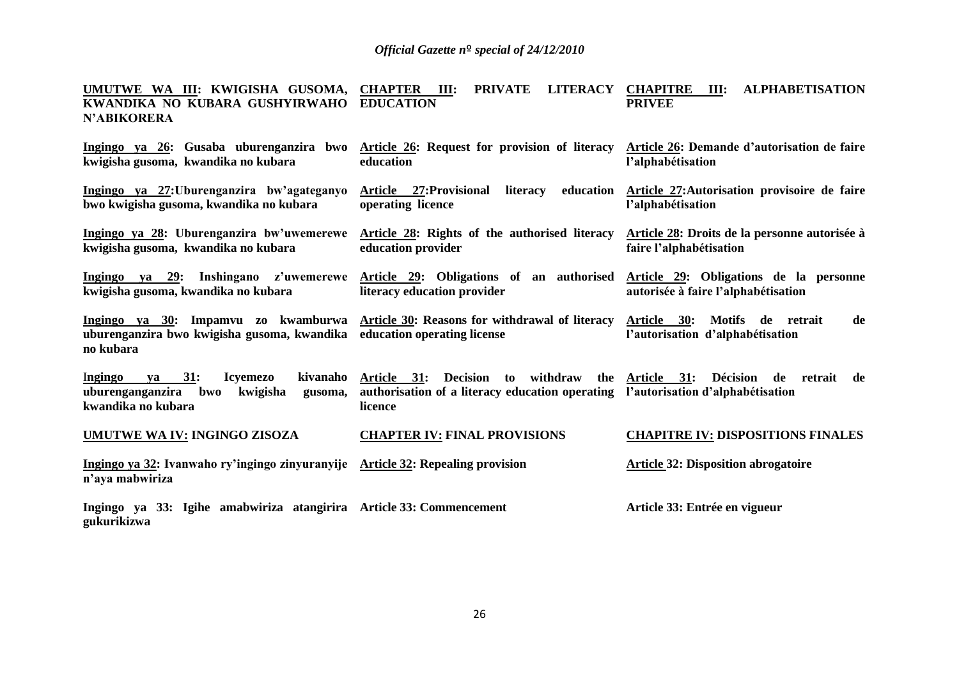### **UMUTWE WA III: KWIGISHA GUSOMA, KWANDIKA NO KUBARA GUSHYIRWAHO N'ABIKORERA CHAPTER III: PRIVATE LITERACY EDUCATION CHAPITRE III: ALPHABETISATION PRIVEE**

| Ingingo ya 26: Gusaba uburenganzira bwo<br>kwigisha gusoma, kwandika no kubara                                                                                             | Article 26: Request for provision of literacy<br>education                                                                                                   | Article 26: Demande d'autorisation de faire<br>l'alphabétisation                            |
|----------------------------------------------------------------------------------------------------------------------------------------------------------------------------|--------------------------------------------------------------------------------------------------------------------------------------------------------------|---------------------------------------------------------------------------------------------|
| Ingingo ya 27: Uburenganzira bw'agateganyo<br>bwo kwigisha gusoma, kwandika no kubara                                                                                      | education<br>Article 27: Provisional<br>literacy<br>operating licence                                                                                        | Article 27: Autorisation provisoire de faire<br>l'alphabétisation                           |
| Ingingo ya 28: Uburenganzira bw'uwemerewe<br>kwigisha gusoma, kwandika no kubara                                                                                           | Article 28: Rights of the authorised literacy<br>education provider                                                                                          | Article 28: Droits de la personne autorisée à<br>faire l'alphabétisation                    |
| Ingingo ya 29: Inshingano z'uwemerewe Article 29: Obligations of an authorised<br>kwigisha gusoma, kwandika no kubara                                                      | literacy education provider                                                                                                                                  | Article 29: Obligations de la personne<br>autorisée à faire l'alphabétisation               |
| Ingingo ya 30: Impamvu zo kwamburwa Article 30: Reasons for withdrawal of literacy<br>uburenganzira bwo kwigisha gusoma, kwandika education operating license<br>no kubara |                                                                                                                                                              | Motifs de retrait<br><b>Article</b><br><b>30:</b><br>de<br>l'autorisation d'alphabétisation |
| kivanaho<br>Ingingo<br>31:<br><b>Icyemezo</b><br>va<br>uburenganganzira bwo<br>kwigisha<br>gusoma,<br>kwandika no kubara                                                   | to withdraw the Article 31:<br><b>Decision</b><br>Article 31:<br>authorisation of a literacy education operating l'autorisation d'alphabétisation<br>licence | <b>Décision</b><br>retrait<br>de<br>de                                                      |
| <b>UMUTWE WA IV: INGINGO ZISOZA</b>                                                                                                                                        | <b>CHAPTER IV: FINAL PROVISIONS</b>                                                                                                                          | <b>CHAPITRE IV: DISPOSITIONS FINALES</b>                                                    |
| Ingingo ya 32: Ivanwaho ry'ingingo zinyuranyije Article 32: Repealing provision<br>n'aya mabwiriza                                                                         |                                                                                                                                                              | <b>Article 32: Disposition abrogatoire</b>                                                  |
| Ingingo ya 33: Igihe amabwiriza atangirira Article 33: Commencement<br>gukurikizwa                                                                                         |                                                                                                                                                              | Article 33: Entrée en vigueur                                                               |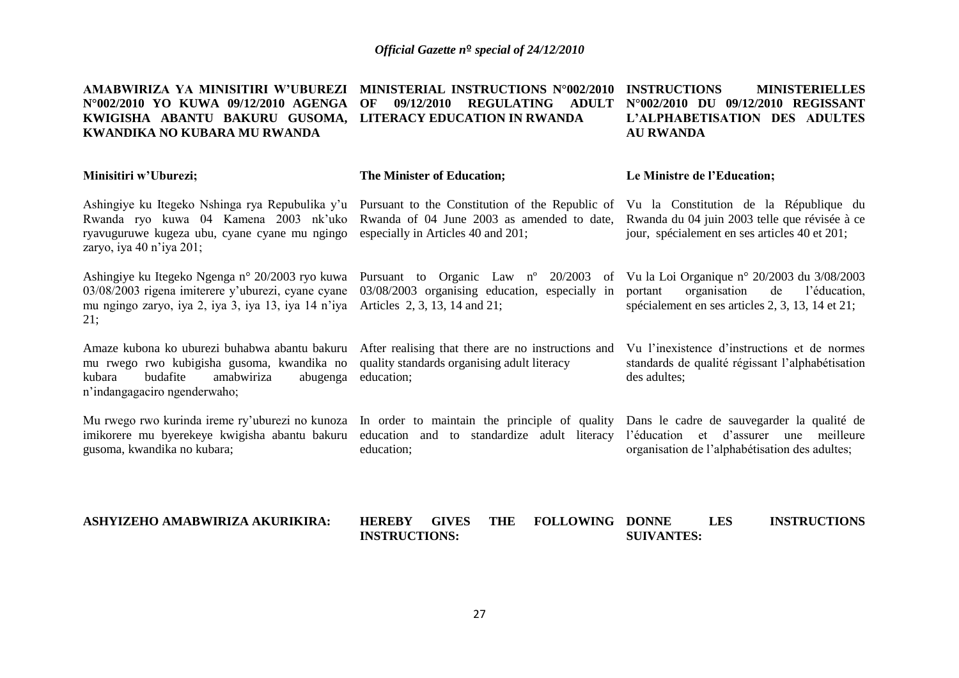| AMABWIRIZA YA MINISITIRI W'UBUREZI<br>N°002/2010 YO KUWA 09/12/2010 AGENGA<br>KWIGISHA ABANTU BAKURU GUSOMA, LITERACY EDUCATION IN RWANDA<br><b>KWANDIKA NO KUBARA MU RWANDA</b> | MINISTERIAL INSTRUCTIONS N°002/2010<br>09/12/2010<br>OF<br><b>REGULATING</b><br><b>ADULT</b>                                        | <b>INSTRUCTIONS</b><br><b>MINISTERIELLES</b><br>N°002/2010 DU 09/12/2010 REGISSANT<br>L'ALPHABETISATION DES ADULTES<br><b>AU RWANDA</b>             |
|----------------------------------------------------------------------------------------------------------------------------------------------------------------------------------|-------------------------------------------------------------------------------------------------------------------------------------|-----------------------------------------------------------------------------------------------------------------------------------------------------|
| Minisitiri w'Uburezi;                                                                                                                                                            | The Minister of Education;                                                                                                          | Le Ministre de l'Education;                                                                                                                         |
| Ashingiye ku Itegeko Nshinga rya Repubulika y'u<br>Rwanda ryo kuwa 04 Kamena 2003 nk'uko<br>ryavuguruwe kugeza ubu, cyane cyane mu ngingo<br>zaryo, iya 40 n'iya 201;            | Pursuant to the Constitution of the Republic of<br>Rwanda of 04 June 2003 as amended to date,<br>especially in Articles 40 and 201; | Vu la Constitution de la République du<br>Rwanda du 04 juin 2003 telle que révisée à ce<br>jour, spécialement en ses articles 40 et 201;            |
| Ashingiye ku Itegeko Ngenga n° 20/2003 ryo kuwa<br>03/08/2003 rigena imiterere y'uburezi, cyane cyane<br>mu ngingo zaryo, iya 2, iya 3, iya 13, iya 14 n'iya<br>21;              | Pursuant to Organic Law n° 20/2003<br>03/08/2003 organising education, especially in<br>Articles 2, 3, 13, 14 and 21;               | of Vu la Loi Organique nº 20/2003 du 3/08/2003<br>organisation<br>de<br>portant<br>l'éducation,<br>spécialement en ses articles 2, 3, 13, 14 et 21; |
| Amaze kubona ko uburezi buhabwa abantu bakuru<br>mu rwego rwo kubigisha gusoma, kwandika no<br>budafite<br>amabwiriza<br>kubara<br>abugenga<br>n'indangagaciro ngenderwaho;      | After realising that there are no instructions and<br>quality standards organising adult literacy<br>education;                     | Vu l'inexistence d'instructions et de normes<br>standards de qualité régissant l'alphabétisation<br>des adultes;                                    |
| Mu rwego rwo kurinda ireme ry'uburezi no kunoza In order to maintain the principle of quality<br>imikorere mu byerekeye kwigisha abantu bakuru<br>gusoma, kwandika no kubara;    | education and to standardize adult literacy<br>education;                                                                           | Dans le cadre de sauvegarder la qualité de<br>l'éducation et d'assurer une meilleure<br>organisation de l'alphabétisation des adultes;              |
| ASHYIZEHO AMABWIRIZA AKURIKIRA:                                                                                                                                                  | <b>HEREBY</b><br><b>GIVES</b><br><b>THE</b><br><b>FOLLOWING</b><br><b>INSTRUCTIONS:</b>                                             | <b>LES</b><br><b>INSTRUCTIONS</b><br><b>DONNE</b><br><b>SUIVANTES:</b>                                                                              |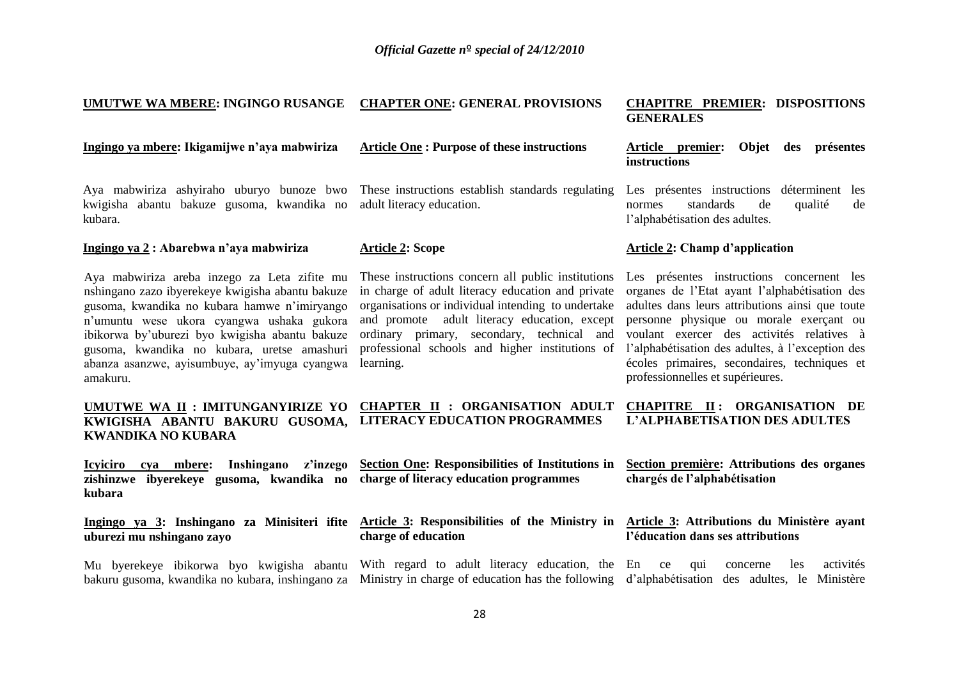### **UMUTWE WA MBERE: INGINGO RUSANGE CHAPTER ONE: GENERAL PROVISIONS CHAPITRE PREMIER: DISPOSITIONS**

**Ingingo ya mbere: Ikigamijwe n'aya mabwiriza**

### **Article One : Purpose of these instructions**

Aya mabwiriza ashyiraho uburyo bunoze bwo kwigisha abantu bakuze gusoma, kwandika no kubara.

### **Ingingo ya 2 : Abarebwa n'aya mabwiriza**

Aya mabwiriza areba inzego za Leta zifite mu nshingano zazo ibyerekeye kwigisha abantu bakuze gusoma, kwandika no kubara hamwe n'imiryango n'umuntu wese ukora cyangwa ushaka gukora ibikorwa by'uburezi byo kwigisha abantu bakuze gusoma, kwandika no kubara, uretse amashuri abanza asanzwe, ayisumbuye, ay'imyuga cyangwa amakuru.

**UMUTWE WA II : IMITUNGANYIRIZE YO KWIGISHA ABANTU BAKURU GUSOMA, LITERACY EDUCATION PROGRAMMES KWANDIKA NO KUBARA**

**Icyiciro cya mbere: Inshingano z'inzego zishinzwe ibyerekeye gusoma, kwandika no charge of literacy education programmes kubara**

**Ingingo ya 3: Inshingano za Minisiteri ifite uburezi mu nshingano zayo**

Mu byerekeye ibikorwa byo kwigisha abantu bakuru gusoma, kwandika no kubara, inshingano za Ministry in charge of education has the following d'alphabétisation des adultes, le Ministère

These instructions establish standards regulating adult literacy education.

### **Article 2: Scope**

**charge of education** 

These instructions concern all public institutions in charge of adult literacy education and private organisations or individual intending to undertake and promote adult literacy education, except ordinary primary, secondary, technical and professional schools and higher institutions of learning.

# **GENERALES**

### **Article premier: Objet des présentes instructions**

Les présentes instructions déterminent les normes standards de qualité de l'alphabétisation des adultes.

### **Article 2: Champ d'application**

Les présentes instructions concernent les organes de l'Etat ayant l'alphabétisation des adultes dans leurs attributions ainsi que toute personne physique ou morale exerçant ou voulant exercer des activités relatives à l'alphabétisation des adultes, à l'exception des écoles primaires, secondaires, techniques et professionnelles et supérieures.

### **CHAPTER II : ORGANISATION ADULT CHAPITRE II : ORGANISATION DE L'ALPHABETISATION DES ADULTES**

**Section One: Responsibilities of Institutions in Section première: Attributions des organes chargés de l'alphabétisation** 

### **Article 3: Responsibilities of the Ministry in Article 3: Attributions du Ministère ayant l'éducation dans ses attributions**

With regard to adult literacy education, the En ce qui concerne les activités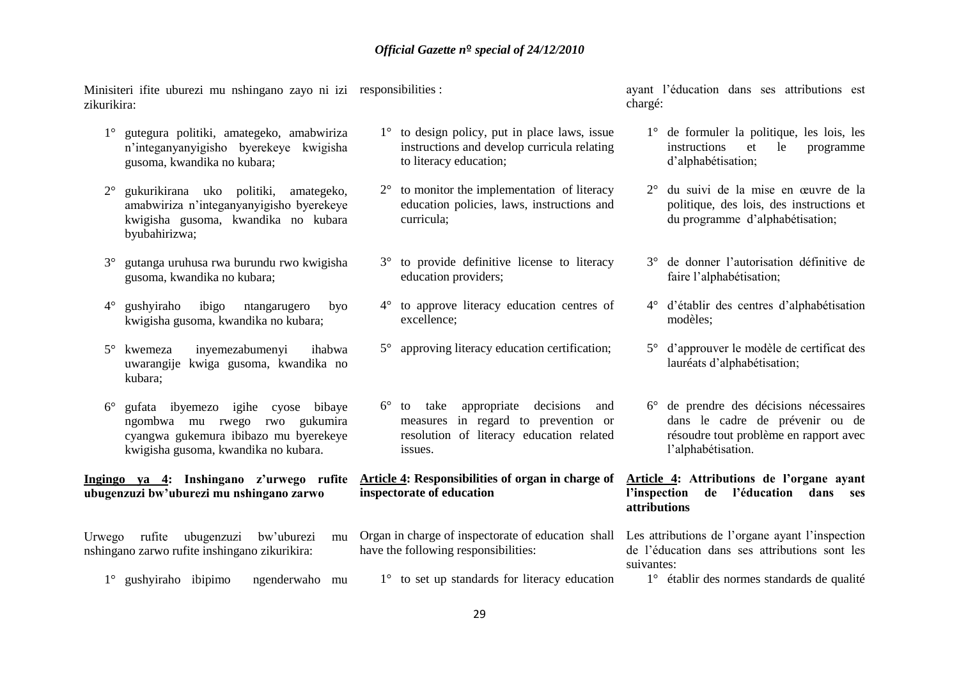Minisiteri ifite uburezi mu nshingano zayo ni izi responsibilities : zikurikira:

- 1° gutegura politiki, amategeko, amabwiriza n'integanyanyigisho byerekeye kwigisha gusoma, kwandika no kubara;
- 2° gukurikirana uko politiki, amategeko, amabwiriza n'integanyanyigisho byerekeye kwigisha gusoma, kwandika no kubara byubahirizwa;
- 3° gutanga uruhusa rwa burundu rwo kwigisha gusoma, kwandika no kubara;
- 4° gushyiraho ibigo ntangarugero byo kwigisha gusoma, kwandika no kubara;
- 5° kwemeza inyemezabumenyi ihabwa uwarangije kwiga gusoma, kwandika no kubara;
- 6° gufata ibyemezo igihe cyose bibaye ngombwa mu rwego rwo gukumira cyangwa gukemura ibibazo mu byerekeye kwigisha gusoma, kwandika no kubara.

**Ingingo ya 4: Inshingano z'urwego rufite ubugenzuzi bw'uburezi mu nshingano zarwo**

Urwego rufite ubugenzuzi bw'uburezi mu nshingano zarwo rufite inshingano zikurikira:

1° gushyiraho ibipimo ngenderwaho mu

- 1° to design policy, put in place laws, issue instructions and develop curricula relating to literacy education;
- 2° to monitor the implementation of literacy education policies, laws, instructions and curricula;
- 3° to provide definitive license to literacy education providers;
- 4° to approve literacy education centres of excellence;
- 5° approving literacy education certification;
- 6° to take appropriate decisions and measures in regard to prevention or resolution of literacy education related issues.

**Article 4: Responsibilities of organ in charge of inspectorate of education** 

- Organ in charge of inspectorate of educationshall Les attributions de l'organe ayant l'inspection have the following responsibilities:
- 1° to set up standards for literacy education

ayant l'éducation dans ses attributions est chargé:

- 1° de formuler la politique, les lois, les instructions et le programme d'alphabétisation;
- 2° du suivi de la mise en œuvre de la politique, des lois, des instructions et du programme d'alphabétisation;
- 3° de donner l'autorisation définitive de faire l'alphabétisation;
- 4° d'établir des centres d'alphabétisation modèles;
- 5° d'approuver le modèle de certificat des lauréats d'alphabétisation;
- 6° de prendre des décisions nécessaires dans le cadre de prévenir ou de résoudre tout problème en rapport avec l'alphabétisation.

### **Article 4: Attributions de l'organe ayant l'inspection de l'éducation dans ses attributions**

de l'éducation dans ses attributions sont les suivantes:

1° établir des normes standards de qualité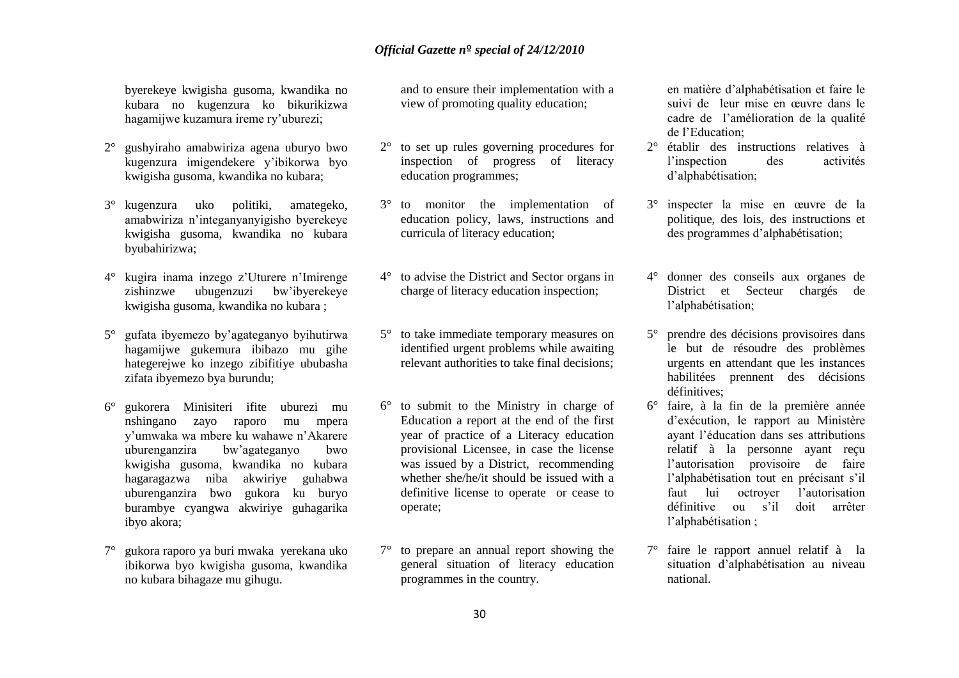byerekeye kwigisha gusoma, kwandika no kubara no kugenzura ko bikurikizwa hagamijwe kuzamura ireme ry'uburezi;

- 2° gushyiraho amabwiriza agena uburyo bwo kugenzura imigendekere y'ibikorwa byo kwigisha gusoma, kwandika no kubara;
- 3° kugenzura uko politiki, amategeko, amabwiriza n'integanyanyigisho byerekeye kwigisha gusoma, kwandika no kubara byubahirizwa;
- 4° kugira inama inzego z'Uturere n'Imirenge zishinzwe ubugenzuzi bw'ibyerekeye kwigisha gusoma, kwandika no kubara ;
- 5° gufata ibyemezo by'agateganyo byihutirwa hagamijwe gukemura ibibazo mu gihe hategerejwe ko inzego zibifitiye ububasha zifata ibyemezo bya burundu;
- 6° gukorera Minisiteri ifite uburezi mu nshingano zayo raporo mu mpera y'umwaka wa mbere ku wahawe n'Akarere uburenganzira bw'agateganyo bwo kwigisha gusoma, kwandika no kubara hagaragazwa niba akwiriye guhabwa uburenganzira bwo gukora ku buryo burambye cyangwa akwiriye guhagarika ibyo akora;
- 7° gukora raporo ya buri mwaka yerekana uko ibikorwa byo kwigisha gusoma, kwandika no kubara bihagaze mu gihugu.

and to ensure their implementation with a view of promoting quality education;

- 2° to set up rules governing procedures for inspection of progress of literacy education programmes;
- 3° to monitor the implementation of education policy, laws, instructions and curricula of literacy education;
- 4° to advise the District and Sector organs in charge of literacy education inspection;
- 5° to take immediate temporary measures on identified urgent problems while awaiting relevant authorities to take final decisions;
- 6° to submit to the Ministry in charge of Education a report at the end of the first year of practice of a Literacy education provisional Licensee, in case the license was issued by a District, recommending whether she/he/it should be issued with a definitive license to operate or cease to operate;
- 7° to prepare an annual report showing the general situation of literacy education programmes in the country.

en matière d'alphabétisation et faire le suivi de leur mise en œuvre dans le cadre de l'amélioration de la qualité de l'Education;

- 2° établir des instructions relatives à l'inspection des activités d'alphabétisation;
- 3° inspecter la mise en œuvre de la politique, des lois, des instructions et des programmes d'alphabétisation;
- 4° donner des conseils aux organes de District et Secteur chargés de l'alphabétisation;
- 5° prendre des décisions provisoires dans le but de résoudre des problèmes urgents en attendant que les instances habilitées prennent des décisions définitives;
- 6° faire, à la fin de la première année d'exécution, le rapport au Ministère ayant l'éducation dans ses attributions relatif à la personne ayant reçu l'autorisation provisoire de faire l'alphabétisation tout en précisant s'il faut lui octroyer l'autorisation définitive ou s'il doit arrêter l'alphabétisation ;
- 7° faire le rapport annuel relatif à la situation d'alphabétisation au niveau national.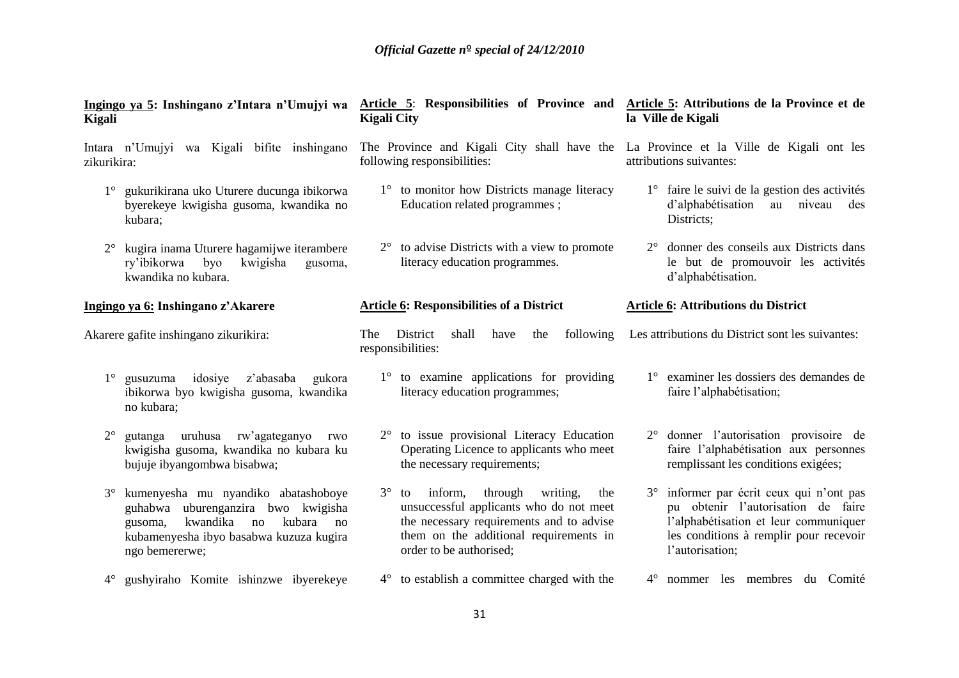| Ingingo ya 5: Inshingano z'Intara n'Umujyi wa<br>Kigali                                                                                                                                          | Article 5: Responsibilities of Province and Article 5: Attributions de la Province et de<br><b>Kigali City</b>                                                                                             | la Ville de Kigali                                                                                                                                                                   |
|--------------------------------------------------------------------------------------------------------------------------------------------------------------------------------------------------|------------------------------------------------------------------------------------------------------------------------------------------------------------------------------------------------------------|--------------------------------------------------------------------------------------------------------------------------------------------------------------------------------------|
| Intara n'Umujyi wa Kigali bifite inshingano<br>zikurikira:                                                                                                                                       | The Province and Kigali City shall have the La Province et la Ville de Kigali ont les<br>following responsibilities:                                                                                       | attributions suivantes:                                                                                                                                                              |
| 1° gukurikirana uko Uturere ducunga ibikorwa<br>byerekeye kwigisha gusoma, kwandika no<br>kubara;                                                                                                | 1° to monitor how Districts manage literacy<br>Education related programmes;                                                                                                                               | $1^\circ$ faire le suivi de la gestion des activités<br>d'alphabétisation<br>au niveau<br>des<br>Districts;                                                                          |
| kugira inama Uturere hagamijwe iterambere<br>$2^{\circ}$<br>ry'ibikorwa<br>kwigisha<br>byo<br>gusoma,<br>kwandika no kubara.                                                                     | $2^{\circ}$ to advise Districts with a view to promote<br>literacy education programmes.                                                                                                                   | 2° donner des conseils aux Districts dans<br>le but de promouvoir les activités<br>d'alphabétisation.                                                                                |
| Ingingo ya 6: Inshingano z'Akarere                                                                                                                                                               | <b>Article 6: Responsibilities of a District</b>                                                                                                                                                           | <b>Article 6: Attributions du District</b>                                                                                                                                           |
| Akarere gafite inshingano zikurikira:                                                                                                                                                            | District<br>following<br><b>The</b><br>shall<br>have<br>the<br>responsibilities:                                                                                                                           | Les attributions du District sont les suivantes:                                                                                                                                     |
| idosiye<br>$1^{\circ}$<br>gusuzuma<br>z'abasaba<br>gukora<br>ibikorwa byo kwigisha gusoma, kwandika<br>no kubara;                                                                                | 1° to examine applications for providing<br>literacy education programmes;                                                                                                                                 | 1° examiner les dossiers des demandes de<br>faire l'alphabétisation;                                                                                                                 |
| gutanga uruhusa rw'agateganyo<br>$2^{\circ}$<br>rwo<br>kwigisha gusoma, kwandika no kubara ku<br>bujuje ibyangombwa bisabwa;                                                                     | 2° to issue provisional Literacy Education<br>Operating Licence to applicants who meet<br>the necessary requirements;                                                                                      | 2° donner l'autorisation provisoire de<br>faire l'alphabétisation aux personnes<br>remplissant les conditions exigées;                                                               |
| kumenyesha mu nyandiko abatashoboye<br>$3^\circ$<br>guhabwa uburenganzira bwo kwigisha<br>kwandika<br>kubara<br>no<br>gusoma,<br>no<br>kubamenyesha ibyo basabwa kuzuza kugira<br>ngo bemererwe; | $3^{\circ}$ to inform, through writing,<br>the<br>unsuccessful applicants who do not meet<br>the necessary requirements and to advise<br>them on the additional requirements in<br>order to be authorised; | 3° informer par écrit ceux qui n'ont pas<br>pu obtenir l'autorisation de faire<br>l'alphabétisation et leur communiquer<br>les conditions à remplir pour recevoir<br>l'autorisation; |
| gushyiraho Komite ishinzwe ibyerekeye<br>$4^{\circ}$                                                                                                                                             | $4^{\circ}$ to establish a committee charged with the                                                                                                                                                      | 4° nommer les membres du Comité                                                                                                                                                      |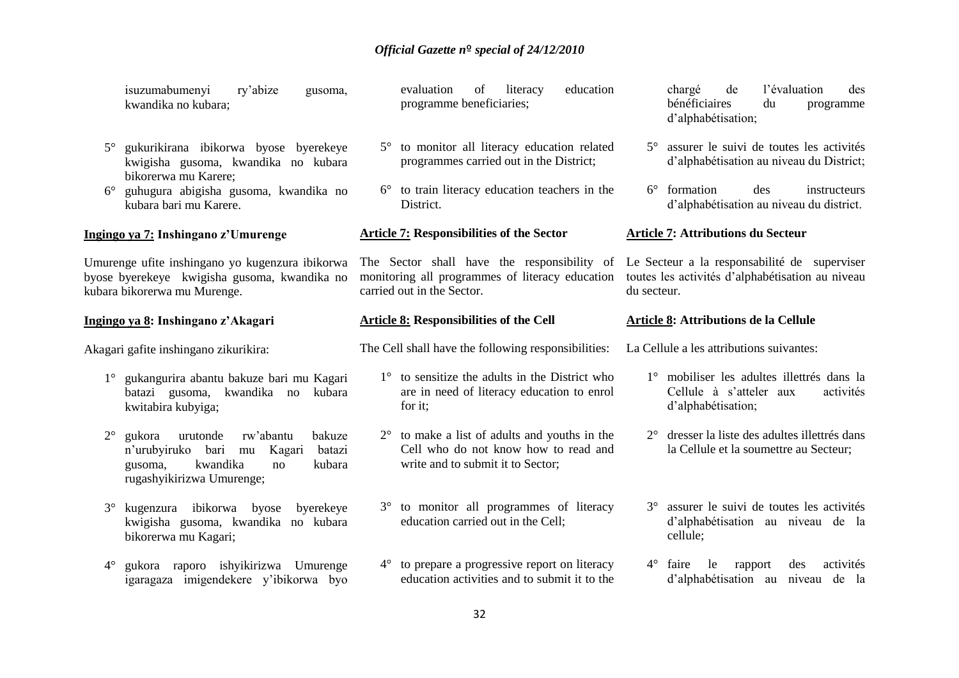|             | ry'abize<br>isuzumabumenyi<br>gusoma,<br>kwandika no kubara;                                                                                                    | education<br>evaluation<br>of<br>literacy<br>programme beneficiaries;                                                               | l'évaluation<br>chargé<br>de<br>des<br>bénéficiaires<br>du<br>programme<br>d'alphabétisation;                   |
|-------------|-----------------------------------------------------------------------------------------------------------------------------------------------------------------|-------------------------------------------------------------------------------------------------------------------------------------|-----------------------------------------------------------------------------------------------------------------|
| $5^{\circ}$ | gukurikirana ibikorwa byose byerekeye<br>kwigisha gusoma, kwandika no kubara<br>bikorerwa mu Karere;                                                            | 5° to monitor all literacy education related<br>programmes carried out in the District;                                             | 5° assurer le suivi de toutes les activités<br>d'alphabétisation au niveau du District;                         |
| $6^{\circ}$ | guhugura abigisha gusoma, kwandika no<br>kubara bari mu Karere.                                                                                                 | 6° to train literacy education teachers in the<br>District.                                                                         | $6^\circ$ formation<br>des<br>instructeurs<br>d'alphabétisation au niveau du district.                          |
|             | Ingingo ya 7: Inshingano z'Umurenge                                                                                                                             | <b>Article 7: Responsibilities of the Sector</b>                                                                                    | <b>Article 7: Attributions du Secteur</b>                                                                       |
|             | Umurenge ufite inshingano yo kugenzura ibikorwa<br>byose byerekeye kwigisha gusoma, kwandika no<br>kubara bikorerwa mu Murenge.                                 | The Sector shall have the responsibility of<br>monitoring all programmes of literacy education<br>carried out in the Sector.        | Le Secteur a la responsabilité de superviser<br>toutes les activités d'alphabétisation au niveau<br>du secteur. |
|             | Ingingo ya 8: Inshingano z'Akagari                                                                                                                              | <b>Article 8: Responsibilities of the Cell</b>                                                                                      | Article 8: Attributions de la Cellule                                                                           |
|             | Akagari gafite inshingano zikurikira:                                                                                                                           | The Cell shall have the following responsibilities:                                                                                 | La Cellule a les attributions suivantes:                                                                        |
| $1^{\circ}$ | gukangurira abantu bakuze bari mu Kagari<br>batazi gusoma, kwandika no<br>kubara<br>kwitabira kubyiga;                                                          | $1^\circ$ to sensitize the adults in the District who<br>are in need of literacy education to enrol<br>for it;                      | 1° mobiliser les adultes illettrés dans la<br>Cellule à s'atteler aux<br>activités<br>d'alphabétisation;        |
| $2^{\circ}$ | bakuze<br>rw'abantu<br>gukora<br>urutonde<br>n'urubyiruko<br>bari<br>batazi<br>Kagari<br>mu<br>kwandika<br>kubara<br>gusoma,<br>no<br>rugashyikirizwa Umurenge; | $2^{\circ}$ to make a list of adults and youths in the<br>Cell who do not know how to read and<br>write and to submit it to Sector; | 2° dresser la liste des adultes illettrés dans<br>la Cellule et la soumettre au Secteur;                        |
| $3^\circ$   | kugenzura ibikorwa byose<br>byerekeye<br>kwigisha gusoma, kwandika no kubara<br>bikorerwa mu Kagari;                                                            | 3° to monitor all programmes of literacy<br>education carried out in the Cell;                                                      | 3° assurer le suivi de toutes les activités<br>d'alphabétisation au niveau de la<br>cellule;                    |
| $4^\circ$   | gukora raporo ishyikirizwa Umurenge<br>igaragaza imigendekere y'ibikorwa byo                                                                                    | 4° to prepare a progressive report on literacy<br>education activities and to submit it to the                                      | $4^\circ$ faire<br>le<br>rapport<br>des<br>activités<br>d'alphabétisation au niveau de la                       |
|             |                                                                                                                                                                 | 32                                                                                                                                  |                                                                                                                 |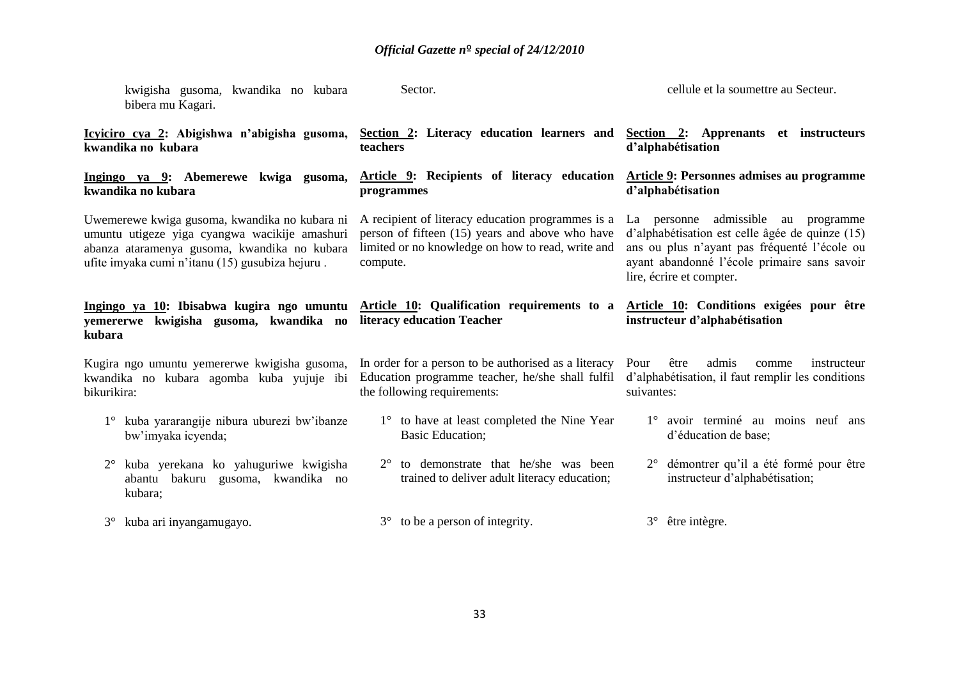| kwigisha gusoma, kwandika no kubara<br>bibera mu Kagari.                                                                                                                                          | Sector.                                                                                                                                                               | cellule et la soumettre au Secteur.                                                                                                                                                                                |
|---------------------------------------------------------------------------------------------------------------------------------------------------------------------------------------------------|-----------------------------------------------------------------------------------------------------------------------------------------------------------------------|--------------------------------------------------------------------------------------------------------------------------------------------------------------------------------------------------------------------|
| Icyiciro cya 2: Abigishwa n'abigisha gusoma,<br>kwandika no kubara                                                                                                                                | Section 2: Literacy education learners and<br>teachers                                                                                                                | Section 2: Apprenants et instructeurs<br>d'alphabétisation                                                                                                                                                         |
| Ingingo ya 9: Abemerewe kwiga gusoma,<br>kwandika no kubara                                                                                                                                       | Article 9: Recipients of literacy education<br>programmes                                                                                                             | Article 9: Personnes admises au programme<br>d'alphabétisation                                                                                                                                                     |
| Uwemerewe kwiga gusoma, kwandika no kubara ni<br>umuntu utigeze yiga cyangwa wacikije amashuri<br>abanza ataramenya gusoma, kwandika no kubara<br>ufite imyaka cumi n'itanu (15) gusubiza hejuru. | A recipient of literacy education programmes is a<br>person of fifteen (15) years and above who have<br>limited or no knowledge on how to read, write and<br>compute. | La personne admissible au programme<br>d'alphabétisation est celle âgée de quinze (15)<br>ans ou plus n'ayant pas fréquenté l'école ou<br>ayant abandonné l'école primaire sans savoir<br>lire, écrire et compter. |
| Ingingo ya 10: Ibisabwa kugira ngo umuntu Article 10: Qualification requirements to a                                                                                                             |                                                                                                                                                                       | Article 10: Conditions exigées pour être                                                                                                                                                                           |
| kwigisha gusoma, kwandika no<br>yemererwe<br>kubara                                                                                                                                               | literacy education Teacher                                                                                                                                            | instructeur d'alphabétisation                                                                                                                                                                                      |
| Kugira ngo umuntu yemererwe kwigisha gusoma,<br>kwandika no kubara agomba kuba yujuje ibi<br>bikurikira:                                                                                          | In order for a person to be authorised as a literacy<br>Education programme teacher, he/she shall fulfil<br>the following requirements:                               | admis<br>Pour<br>être<br>comme<br>instructeur<br>d'alphabétisation, il faut remplir les conditions<br>suivantes:                                                                                                   |
| kuba yararangije nibura uburezi bw'ibanze<br>bw'imyaka icyenda;                                                                                                                                   | 1° to have at least completed the Nine Year<br><b>Basic Education;</b>                                                                                                | 1° avoir terminé au moins neuf ans<br>d'éducation de base;                                                                                                                                                         |
| kuba yerekana ko yahuguriwe kwigisha<br>$2^{\circ}$<br>abantu bakuru gusoma, kwandika no<br>kubara;                                                                                               | to demonstrate that he/she was been<br>$2^{\circ}$<br>trained to deliver adult literacy education;                                                                    | démontrer qu'il a été formé pour être<br>$2^{\circ}$<br>instructeur d'alphabétisation;                                                                                                                             |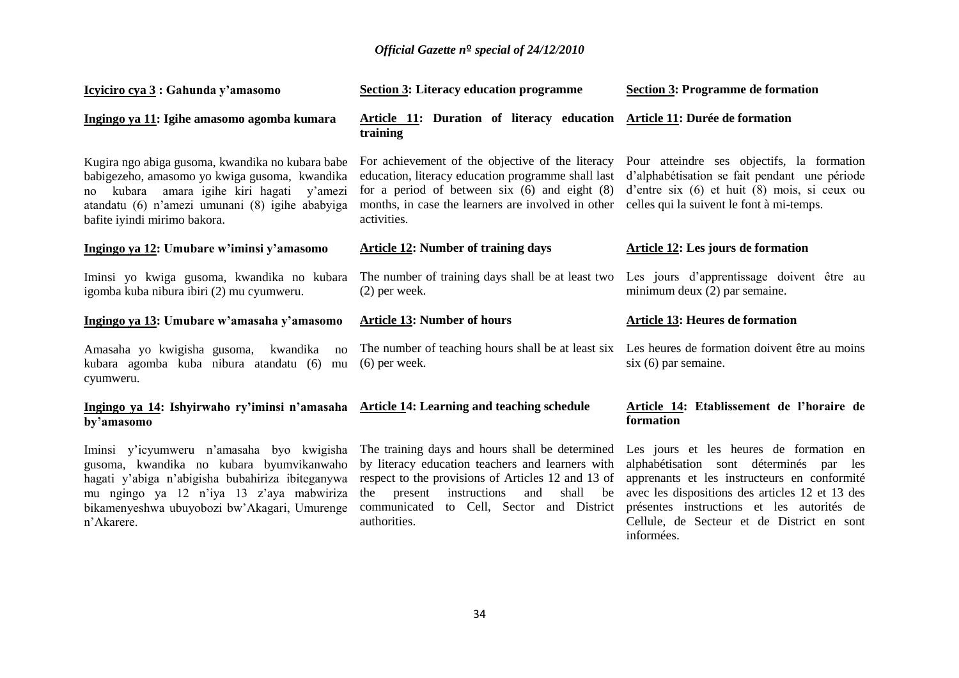| Icyiciro cya 3 : Gahunda y'amasomo                                                                                                                                                                                                   | <b>Section 3: Literacy education programme</b>                                                                                                                                                                                   | <b>Section 3: Programme de formation</b>                                                                                                                                                 |
|--------------------------------------------------------------------------------------------------------------------------------------------------------------------------------------------------------------------------------------|----------------------------------------------------------------------------------------------------------------------------------------------------------------------------------------------------------------------------------|------------------------------------------------------------------------------------------------------------------------------------------------------------------------------------------|
| Ingingo ya 11: Igihe amasomo agomba kumara                                                                                                                                                                                           | Article 11: Duration of literacy education<br>training                                                                                                                                                                           | Article 11: Durée de formation                                                                                                                                                           |
| Kugira ngo abiga gusoma, kwandika no kubara babe<br>babigezeho, amasomo yo kwiga gusoma, kwandika<br>kubara amara igihe kiri hagati y'amezi<br>no<br>atandatu (6) n'amezi umunani (8) igihe ababyiga<br>bafite iyindi mirimo bakora. | For achievement of the objective of the literacy<br>education, literacy education programme shall last<br>for a period of between six $(6)$ and eight $(8)$<br>months, in case the learners are involved in other<br>activities. | Pour atteindre ses objectifs, la formation<br>d'alphabétisation se fait pendant une période<br>d'entre six (6) et huit (8) mois, si ceux ou<br>celles qui la suivent le font à mi-temps. |
| Ingingo ya 12: Umubare w'iminsi y'amasomo                                                                                                                                                                                            | <b>Article 12: Number of training days</b>                                                                                                                                                                                       | Article 12: Les jours de formation                                                                                                                                                       |
| Iminsi yo kwiga gusoma, kwandika no kubara<br>igomba kuba nibura ibiri (2) mu cyumweru.                                                                                                                                              | The number of training days shall be at least two<br>$(2)$ per week.                                                                                                                                                             | Les jours d'apprentissage doivent être au<br>minimum deux (2) par semaine.                                                                                                               |
|                                                                                                                                                                                                                                      |                                                                                                                                                                                                                                  |                                                                                                                                                                                          |
| Ingingo ya 13: Umubare w'amasaha y'amasomo                                                                                                                                                                                           | <b>Article 13: Number of hours</b>                                                                                                                                                                                               | <b>Article 13: Heures de formation</b>                                                                                                                                                   |
| Amasaha yo kwigisha gusoma, kwandika<br>no<br>kubara agomba kuba nibura atandatu (6)<br>mu<br>cyumweru.                                                                                                                              | The number of teaching hours shall be at least six<br>$(6)$ per week.                                                                                                                                                            | Les heures de formation doivent être au moins<br>$s$ ix $(6)$ par semaine.                                                                                                               |
| Ingingo ya 14: Ishyirwaho ry'iminsi n'amasaha<br>by'amasomo                                                                                                                                                                          | <b>Article 14: Learning and teaching schedule</b>                                                                                                                                                                                | Article 14: Etablissement de l'horaire de<br>formation                                                                                                                                   |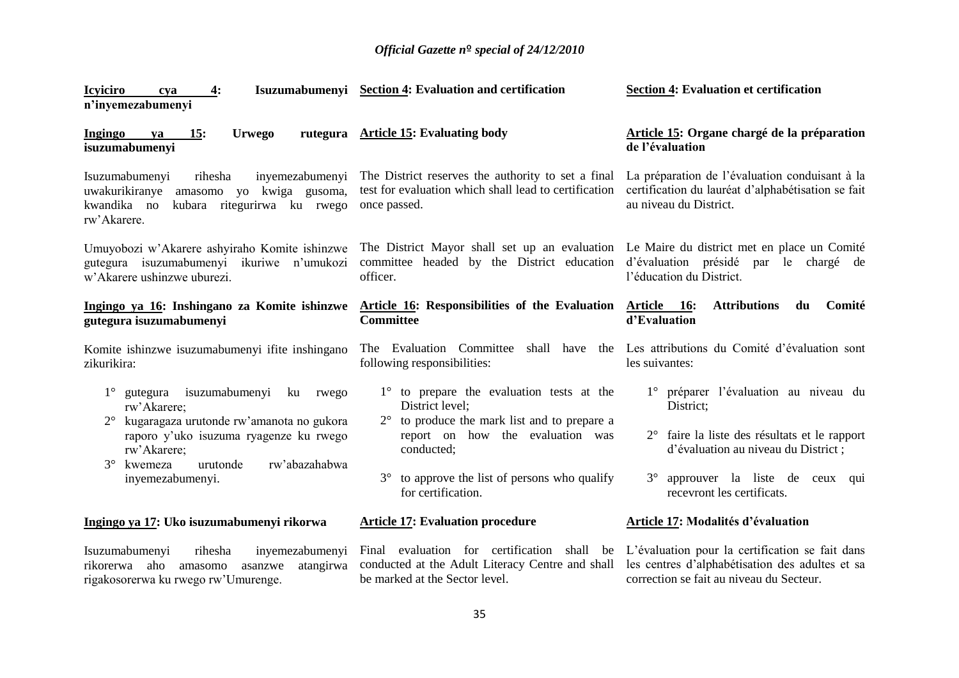| <b>Icyiciro</b><br>4:<br>cva<br>n'inyemezabumenyi                                                                                                                                                                                   | Isuzumabumenyi Section 4: Evaluation and certification                                                                                                                                                                                      | <b>Section 4: Evaluation et certification</b>                                                                                                                                                                 |
|-------------------------------------------------------------------------------------------------------------------------------------------------------------------------------------------------------------------------------------|---------------------------------------------------------------------------------------------------------------------------------------------------------------------------------------------------------------------------------------------|---------------------------------------------------------------------------------------------------------------------------------------------------------------------------------------------------------------|
| 15:<br><b>Urwego</b><br>Ingingo<br>ya<br>isuzumabumenyi                                                                                                                                                                             | rutegura Article 15: Evaluating body                                                                                                                                                                                                        | Article 15: Organe chargé de la préparation<br>de l'évaluation                                                                                                                                                |
| Isuzumabumenyi<br>rihesha<br>inyemezabumenyi<br>uwakurikiranye<br>amasomo yo kwiga gusoma,<br>kwandika no<br>kubara ritegurirwa ku rwego<br>rw'Akarere.                                                                             | The District reserves the authority to set a final<br>test for evaluation which shall lead to certification<br>once passed.                                                                                                                 | La préparation de l'évaluation conduisant à la<br>certification du lauréat d'alphabétisation se fait<br>au niveau du District.                                                                                |
| Umuyobozi w'Akarere ashyiraho Komite ishinzwe<br>gutegura isuzumabumenyi ikuriwe n'umukozi<br>w'Akarere ushinzwe uburezi.                                                                                                           | The District Mayor shall set up an evaluation Le Maire du district met en place un Comité<br>committee headed by the District education<br>officer.                                                                                         | d'évaluation présidé<br>par le chargé de<br>l'éducation du District.                                                                                                                                          |
| Ingingo ya 16: Inshingano za Komite ishinzwe<br>gutegura isuzumabumenyi                                                                                                                                                             | Article 16: Responsibilities of the Evaluation Article 16:<br><b>Committee</b>                                                                                                                                                              | <b>Attributions</b><br>du<br>Comité<br>d'Evaluation                                                                                                                                                           |
| Komite ishinzwe isuzumabumenyi ifite inshingano<br>zikurikira:                                                                                                                                                                      | The Evaluation Committee<br>shall have<br>following responsibilities:                                                                                                                                                                       | the Les attributions du Comité d'évaluation sont<br>les suivantes:                                                                                                                                            |
| isuzumabumenyi ku<br>gutegura<br>rwego<br>rw'Akarere;<br>kugaragaza urutonde rw'amanota no gukora<br>raporo y'uko isuzuma ryagenze ku rwego<br>rw'Akarere;<br>$3^\circ$<br>rw'abazahabwa<br>kwemeza<br>urutonde<br>inyemezabumenyi. | 1° to prepare the evaluation tests at the<br>District level;<br>$2^{\circ}$ to produce the mark list and to prepare a<br>report on how the evaluation was<br>conducted;<br>to approve the list of persons who qualify<br>for certification. | 1° préparer l'évaluation au niveau du<br>District;<br>2° faire la liste des résultats et le rapport<br>d'évaluation au niveau du District;<br>3° approuver la liste de ceux qui<br>recevront les certificats. |
| Ingingo ya 17: Uko isuzumabumenyi rikorwa                                                                                                                                                                                           | <b>Article 17: Evaluation procedure</b>                                                                                                                                                                                                     | Article 17: Modalités d'évaluation                                                                                                                                                                            |
| inyemezabumenyi<br>Isuzumabumenyi<br>rihesha<br>rikorerwa aho<br>atangirwa<br>amasomo<br>asanzwe<br>rigakosorerwa ku rwego rw'Umurenge.                                                                                             | Final evaluation for certification<br>conducted at the Adult Literacy Centre and shall<br>be marked at the Sector level.                                                                                                                    | shall be L'évaluation pour la certification se fait dans<br>les centres d'alphabétisation des adultes et sa<br>correction se fait au niveau du Secteur.                                                       |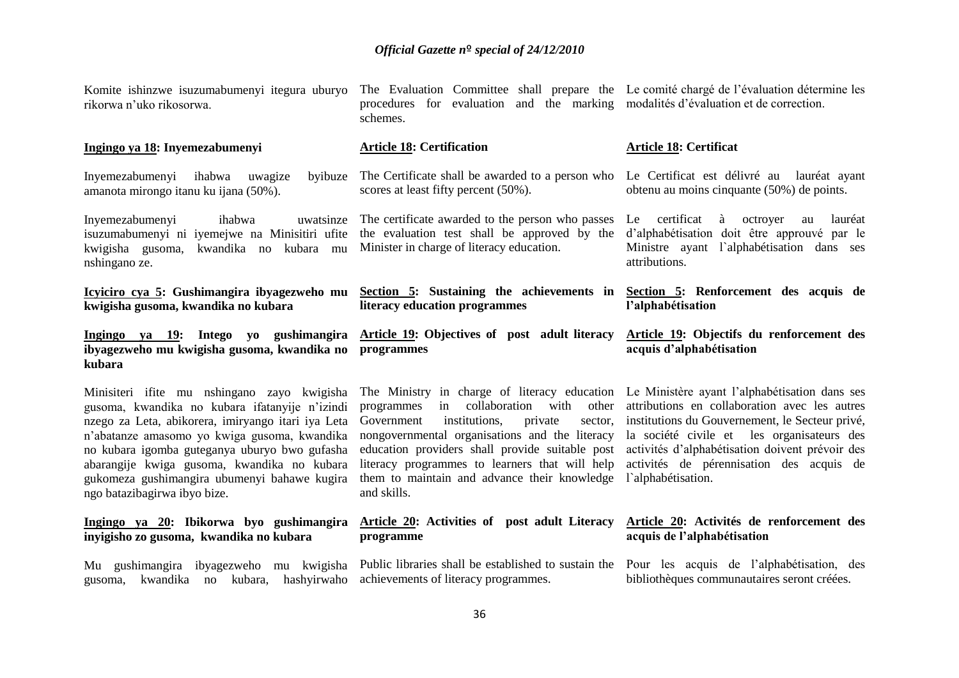The Evaluation Committee shall prepare the

| gusoma, kwandika no kubara ifatanyije n'izindi<br>nzego za Leta, abikorera, imiryango itari iya Leta<br>n'abatanze amasomo yo kwiga gusoma, kwandika<br>no kubara igomba guteganya uburyo bwo gufasha<br>abarangije kwiga gusoma, kwandika no kubara<br>gukomeza gushimangira ubumenyi bahawe kugira<br>ngo batazibagirwa ibyo bize. | in collaboration with<br>other<br>programmes<br>Government<br>institutions,<br>private<br>sector,<br>nongovernmental organisations and the literacy<br>education providers shall provide suitable post<br>literacy programmes to learners that will help<br>them to maintain and advance their knowledge<br>and skills. | attributions en collaboration avec les autres<br>institutions du Gouvernement, le Secteur privé,<br>la société civile et les organisateurs des<br>activités d'alphabétisation doivent prévoir des<br>activités de pérennisation des acquis de<br>l'alphabétisation. |
|--------------------------------------------------------------------------------------------------------------------------------------------------------------------------------------------------------------------------------------------------------------------------------------------------------------------------------------|-------------------------------------------------------------------------------------------------------------------------------------------------------------------------------------------------------------------------------------------------------------------------------------------------------------------------|---------------------------------------------------------------------------------------------------------------------------------------------------------------------------------------------------------------------------------------------------------------------|
| Minisiteri ifite mu nshingano zayo kwigisha                                                                                                                                                                                                                                                                                          | The Ministry in charge of literacy education Le Ministère ayant l'alphabétisation dans ses                                                                                                                                                                                                                              |                                                                                                                                                                                                                                                                     |
| Ingingo ya 19: Intego yo gushimangira<br>ibyagezweho mu kwigisha gusoma, kwandika no<br>kubara                                                                                                                                                                                                                                       | <b>Article 19:</b> Objectives of post adult literacy<br>programmes                                                                                                                                                                                                                                                      | Article 19: Objectifs du renforcement des<br>acquis d'alphabétisation                                                                                                                                                                                               |
| Icyiciro cya 5: Gushimangira ibyagezweho mu<br>kwigisha gusoma, kwandika no kubara                                                                                                                                                                                                                                                   | Section 5: Sustaining the achievements in Section 5: Renforcement des acquis de<br>literacy education programmes                                                                                                                                                                                                        | l'alphabétisation                                                                                                                                                                                                                                                   |
| Inyemezabumenyi<br>ihabwa<br>uwatsinze<br>isuzumabumenyi ni iyemejwe na Minisitiri ufite<br>kwigisha gusoma, kwandika no kubara<br>mu<br>nshingano ze.                                                                                                                                                                               | The certificate awarded to the person who passes<br>the evaluation test shall be approved by the<br>Minister in charge of literacy education.                                                                                                                                                                           | certificat<br>octroyer<br>Le<br>à<br>lauréat<br>au<br>d'alphabétisation doit être approuvé par le<br>Ministre ayant l'alphabétisation dans ses<br>attributions.                                                                                                     |
| Inyemezabumenyi ihabwa<br>uwagize<br>byibuze<br>amanota mirongo itanu ku ijana (50%).                                                                                                                                                                                                                                                | The Certificate shall be awarded to a person who<br>scores at least fifty percent (50%).                                                                                                                                                                                                                                | Le Certificat est délivré au lauréat ayant<br>obtenu au moins cinquante (50%) de points.                                                                                                                                                                            |
| Ingingo ya 18: Inyemezabumenyi                                                                                                                                                                                                                                                                                                       | <b>Article 18: Certification</b>                                                                                                                                                                                                                                                                                        | <b>Article 18: Certificat</b>                                                                                                                                                                                                                                       |
|                                                                                                                                                                                                                                                                                                                                      |                                                                                                                                                                                                                                                                                                                         |                                                                                                                                                                                                                                                                     |

gusoma, kwandika no kubara, hashyirwaho achievements of literacy programmes.

Komite ishinzwe isuzumabumenyi itegura uburyo

Mu gushimangira ibyagezweho mu kwigisha Public libraries shall be established to sustain the Pour les acquis de l'alphabétisation, des

bibliothèques communautaires seront créées.

Le comité chargé de l'évaluation détermine les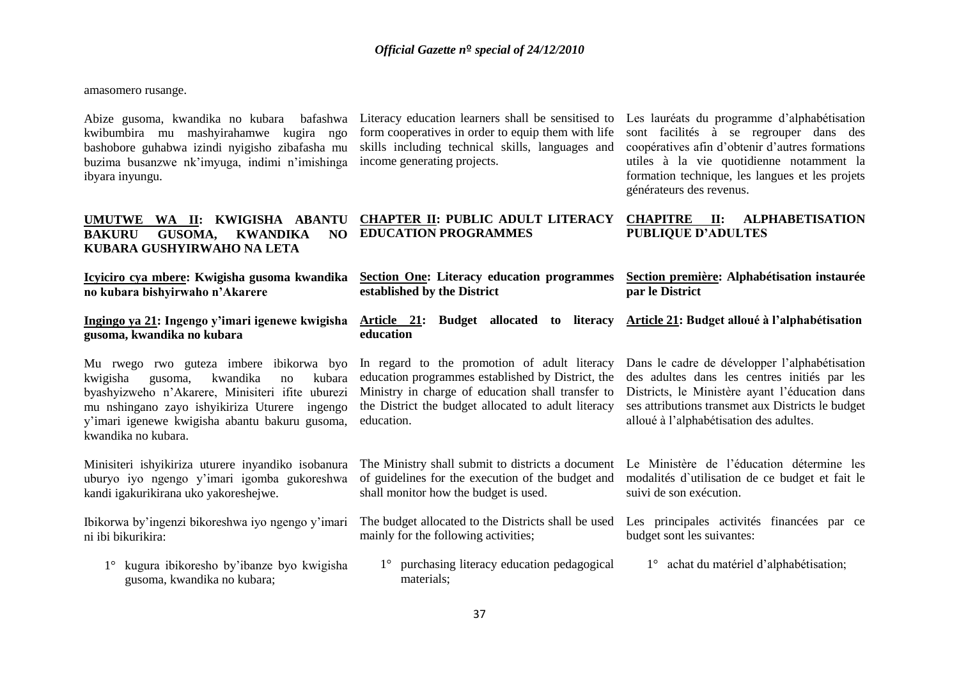amasomero rusange.

kwibumbira mu mashyirahamwe kugira ngo bashobore guhabwa izindi nyigisho zibafasha mu buzima busanzwe nk'imyuga, indimi n'imishinga income generating projects. ibyara inyungu.

Abize gusoma, kwandika no kubara bafashwa Literacy education learners shall be sensitised to form cooperatives in order to equip them with life skills including technical skills, languages and

Les lauréats du programme d'alphabétisation sont facilités à se regrouper dans des coopératives afin d'obtenir d'autres formations utiles à la vie quotidienne notamment la formation technique, les langues et les projets générateurs des revenus.

### **UMUTWE WA II: KWIGISHA ABANTU BAKURU GUSOMA, KWANDIKA NO EDUCATION PROGRAMMES KUBARA GUSHYIRWAHO NA LETA CHAPTER II: PUBLIC ADULT LITERACY CHAPITRE II: ALPHABETISATION PUBLIQUE D'ADULTES**

| Icyiciro cya mbere: Kwigisha gusoma kwandika                                                                                                                                                                                                                             | <b>Section One: Literacy education programmes</b>                                                                                                                                                                           | Section première: Alphabétisation instaurée                                                                                                                                                                                                     |
|--------------------------------------------------------------------------------------------------------------------------------------------------------------------------------------------------------------------------------------------------------------------------|-----------------------------------------------------------------------------------------------------------------------------------------------------------------------------------------------------------------------------|-------------------------------------------------------------------------------------------------------------------------------------------------------------------------------------------------------------------------------------------------|
| no kubara bishyirwaho n'Akarere                                                                                                                                                                                                                                          | established by the District                                                                                                                                                                                                 | par le District                                                                                                                                                                                                                                 |
| Ingingo ya 21: Ingengo y'imari igenewe kwigisha<br>gusoma, kwandika no kubara                                                                                                                                                                                            | <u>Article 21:</u><br>Budget<br>allocated to literacy<br>education                                                                                                                                                          | Article 21: Budget alloué à l'alphabétisation                                                                                                                                                                                                   |
| Mu rwego rwo guteza imbere ibikorwa byo<br>kwandika<br>kubara<br>kwigisha<br>gusoma,<br>no<br>byashyizweho n'Akarere, Minisiteri ifite uburezi<br>mu nshingano zayo ishyikiriza Uturere ingengo<br>y'imari igenewe kwigisha abantu bakuru gusoma,<br>kwandika no kubara. | In regard to the promotion of adult literacy<br>education programmes established by District, the<br>Ministry in charge of education shall transfer to<br>the District the budget allocated to adult literacy<br>education. | Dans le cadre de développer l'alphabétisation<br>des adultes dans les centres initiés par les<br>Districts, le Ministère ayant l'éducation dans<br>ses attributions transmet aux Districts le budget<br>alloué à l'alphabétisation des adultes. |
| Minisiteri ishyikiriza uturere inyandiko isobanura                                                                                                                                                                                                                       | The Ministry shall submit to districts a document                                                                                                                                                                           | Le Ministère de l'éducation détermine les                                                                                                                                                                                                       |
| uburyo iyo ngengo y'imari igomba gukoreshwa                                                                                                                                                                                                                              | of guidelines for the execution of the budget and                                                                                                                                                                           | modalités d'utilisation de ce budget et fait le                                                                                                                                                                                                 |
| kandi igakurikirana uko yakoreshejwe.                                                                                                                                                                                                                                    | shall monitor how the budget is used.                                                                                                                                                                                       | suivi de son exécution.                                                                                                                                                                                                                         |
| Ibikorwa by'ingenzi bikoreshwa iyo ngengo y'imari                                                                                                                                                                                                                        | The budget allocated to the Districts shall be used                                                                                                                                                                         | Les principales activités financées par ce                                                                                                                                                                                                      |
| ni ibi bikurikira:                                                                                                                                                                                                                                                       | mainly for the following activities;                                                                                                                                                                                        | budget sont les suivantes:                                                                                                                                                                                                                      |
| kugura ibikoresho by'ibanze byo kwigisha                                                                                                                                                                                                                                 | 1° purchasing literacy education pedagogical                                                                                                                                                                                | achat du matériel d'alphabétisation;                                                                                                                                                                                                            |
| gusoma, kwandika no kubara;                                                                                                                                                                                                                                              | materials;                                                                                                                                                                                                                  | $1^{\circ}$                                                                                                                                                                                                                                     |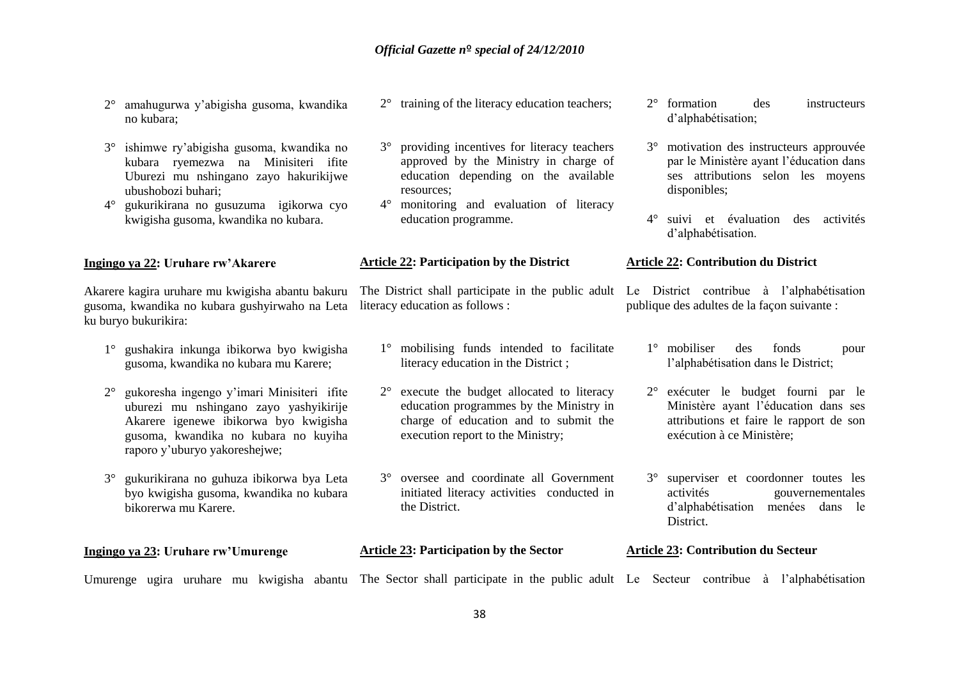- 2° amahugurwa y'abigisha gusoma, kwandika no kubara;
- 3° ishimwe ry'abigisha gusoma, kwandika no kubara ryemezwa na Minisiteri ifite Uburezi mu nshingano zayo hakurikijwe ubushobozi buhari;
- 4° gukurikirana no gusuzuma igikorwa cyo kwigisha gusoma, kwandika no kubara.

### **Ingingo ya 22: Uruhare rw'Akarere**

Akarere kagira uruhare mu kwigisha abantu bakuru gusoma, kwandika no kubara gushyirwaho na Leta ku buryo bukurikira:

- 1° gushakira inkunga ibikorwa byo kwigisha gusoma, kwandika no kubara mu Karere;
- 2° gukoresha ingengo y'imari Minisiteri ifite uburezi mu nshingano zayo yashyikirije Akarere igenewe ibikorwa byo kwigisha gusoma, kwandika no kubara no kuyiha raporo y'uburyo yakoreshejwe;
- 3° gukurikirana no guhuza ibikorwa bya Leta byo kwigisha gusoma, kwandika no kubara bikorerwa mu Karere.

**Ingingo ya 23: Uruhare rw'Umurenge**

- 2° training of the literacy education teachers;
- 3° providing incentives for literacy teachers approved by the Ministry in charge of education depending on the available resources;
- 4° monitoring and evaluation of literacy education programme.

### **Article 22: Participation by the District**

literacy education as follows :

- 1° mobilising funds intended to facilitate literacy education in the District ;
- 2° execute the budget allocated to literacy education programmes by the Ministry in charge of education and to submit the execution report to the Ministry;
- 3° oversee and coordinate all Government initiated literacy activities conducted in the District.
- **Article 23: Participation by the Sector**
- 2° formation des instructeurs d'alphabétisation;
- 3° motivation des instructeurs approuvée par le Ministère ayant l'éducation dans ses attributions selon les moyens disponibles;
- 4° suivi et évaluation des activités d'alphabétisation.

### **Article 22: Contribution du District**

The District shall participate in the public adult Le District contribue à l'alphabétisation publique des adultes de la façon suivante :

- 1° mobiliser des fonds pour l'alphabétisation dans le District;
- 2° exécuter le budget fourni par le Ministère ayant l'éducation dans ses attributions et faire le rapport de son exécution à ce Ministère;
- 3° superviser et coordonner toutes les activités gouvernementales d'alphabétisation menées dans le District.

### **Article 23: Contribution du Secteur**

Umurenge ugira uruhare mu kwigisha abantu The Sector shall participate in the public adult Le Secteur contribue à l'alphabétisation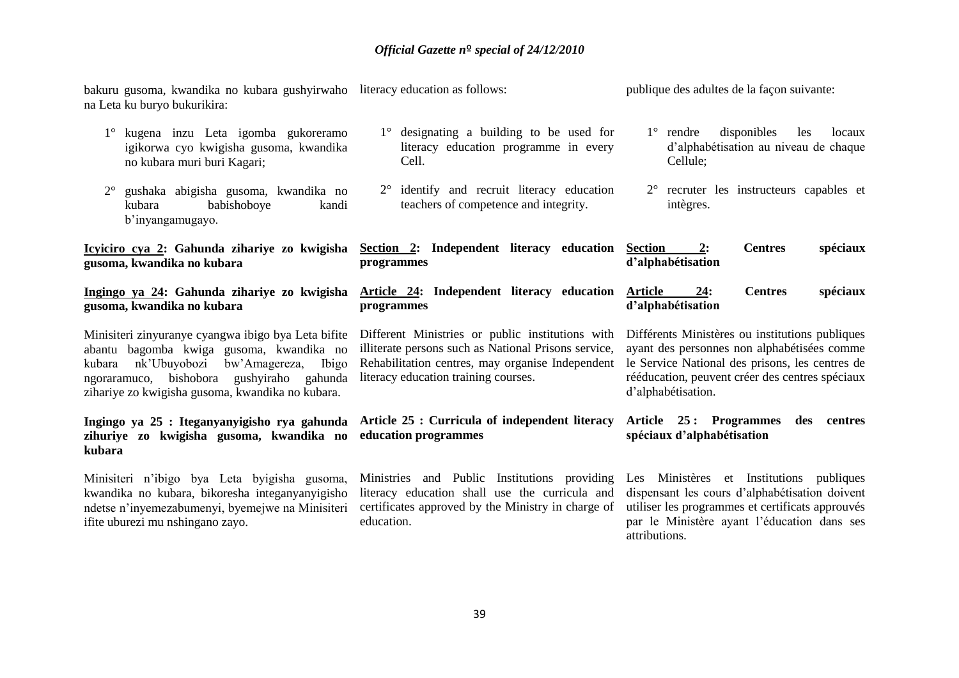| bakuru gusoma, kwandika no kubara gushyirwaho literacy education as follows:<br>na Leta ku buryo bukurikira:                                                                                                                                         |                                                                                                                                                                                                      | publique des adultes de la façon suivante:                                                                                                                                                                                 |
|------------------------------------------------------------------------------------------------------------------------------------------------------------------------------------------------------------------------------------------------------|------------------------------------------------------------------------------------------------------------------------------------------------------------------------------------------------------|----------------------------------------------------------------------------------------------------------------------------------------------------------------------------------------------------------------------------|
| 1° kugena inzu Leta igomba gukoreramo<br>igikorwa cyo kwigisha gusoma, kwandika<br>no kubara muri buri Kagari;                                                                                                                                       | 1° designating a building to be used for<br>literacy education programme in every<br>Cell.                                                                                                           | disponibles<br>$1^{\circ}$ rendre<br>les<br>locaux<br>d'alphabétisation au niveau de chaque<br>Cellule;                                                                                                                    |
| gushaka abigisha gusoma, kwandika no<br>$2^{\circ}$<br>babishoboye<br>kubara<br>kandi<br>b'inyangamugayo.                                                                                                                                            | 2° identify and recruit literacy education<br>teachers of competence and integrity.                                                                                                                  | 2° recruter les instructeurs capables et<br>intègres.                                                                                                                                                                      |
| Icyiciro cya 2: Gahunda zihariye zo kwigisha<br>gusoma, kwandika no kubara                                                                                                                                                                           | Section 2: Independent literacy education<br>programmes                                                                                                                                              | <b>Centres</b><br>spéciaux<br><b>Section</b><br>2:<br>d'alphabétisation                                                                                                                                                    |
| Ingingo ya 24: Gahunda zihariye zo kwigisha<br>gusoma, kwandika no kubara                                                                                                                                                                            | <b>Article 24: Independent literacy education</b><br>programmes                                                                                                                                      | 24:<br><b>Centres</b><br>spéciaux<br><b>Article</b><br>d'alphabétisation                                                                                                                                                   |
| Minisiteri zinyuranye cyangwa ibigo bya Leta bifite<br>abantu bagomba kwiga gusoma, kwandika no<br>nk'Ubuyobozi<br>bw'Amagereza,<br>Ibigo<br>kubara<br>ngoraramuco, bishobora gushyiraho gahunda<br>zihariye zo kwigisha gusoma, kwandika no kubara. | Different Ministries or public institutions with<br>illiterate persons such as National Prisons service,<br>Rehabilitation centres, may organise Independent<br>literacy education training courses. | Différents Ministères ou institutions publiques<br>ayant des personnes non alphabétisées comme<br>le Service National des prisons, les centres de<br>rééducation, peuvent créer des centres spéciaux<br>d'alphabétisation. |
| Ingingo ya 25 : Iteganyanyigisho rya gahunda<br>zihuriye zo kwigisha gusoma, kwandika no<br>kubara                                                                                                                                                   | Article 25 : Curricula of independent literacy<br>education programmes                                                                                                                               | Article 25: Programmes<br>des centres<br>spéciaux d'alphabétisation                                                                                                                                                        |
| Minisiteri n'ibigo bya Leta byigisha gusoma,<br>kwandika no kubara, bikoresha integanyanyigisho<br>ndetse n'inyemezabumenyi, byemejwe na Minisiteri<br>ifite uburezi mu nshingano zayo.                                                              | Ministries and Public Institutions providing<br>literacy education shall use the curricula and<br>certificates approved by the Ministry in charge of<br>education.                                   | Les Ministères et Institutions publiques<br>dispensant les cours d'alphabétisation doivent<br>utiliser les programmes et certificats approuvés<br>par le Ministère ayant l'éducation dans ses<br>attributions.             |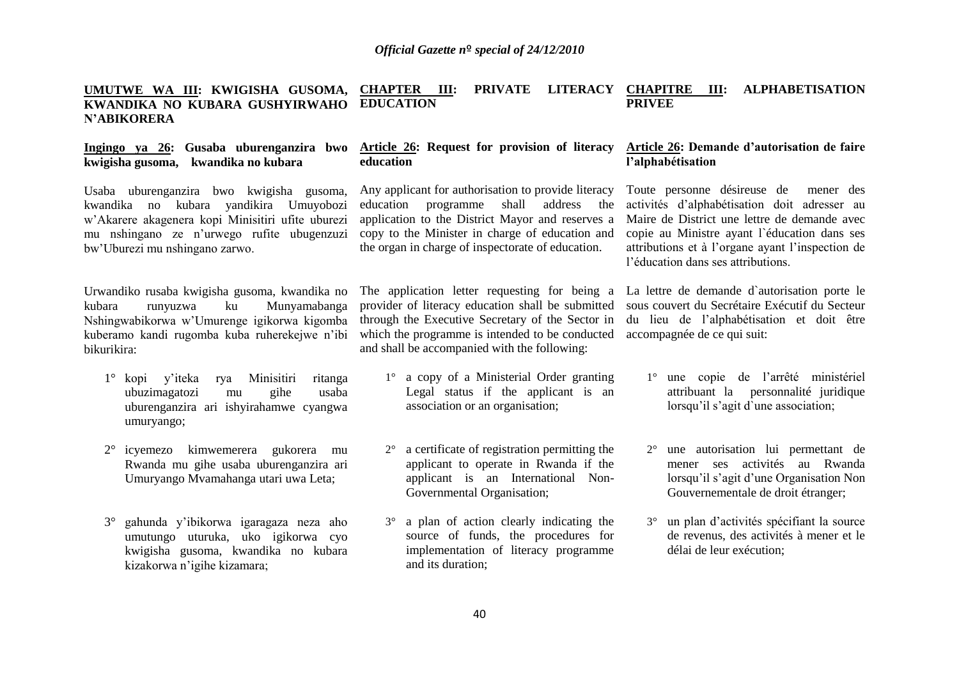### **UMUTWE WA III: KWIGISHA GUSOMA, KWANDIKA NO KUBARA GUSHYIRWAHO N'ABIKORERA CHAPTER III: PRIVATE LITERACY CHAPITRE III: ALPHABETISATION EDUCATION PRIVEE**

### **Ingingo ya 26: Gusaba uburenganzira bwo kwigisha gusoma, kwandika no kubara**

Usaba uburenganzira bwo kwigisha gusoma, kwandika no kubara yandikira Umuyobozi w'Akarere akagenera kopi Minisitiri ufite uburezi mu nshingano ze n'urwego rufite ubugenzuzi bw'Uburezi mu nshingano zarwo.

Urwandiko rusaba kwigisha gusoma, kwandika no kubara runyuzwa ku Munyamabanga Nshingwabikorwa w'Umurenge igikorwa kigomba kuberamo kandi rugomba kuba ruherekejwe n'ibi bikurikira:

- 1° kopi y'iteka rya Minisitiri ritanga ubuzimagatozi mu gihe usaba uburenganzira ari ishyirahamwe cyangwa umuryango;
- 2° icyemezo kimwemerera gukorera mu Rwanda mu gihe usaba uburenganzira ari Umuryango Mvamahanga utari uwa Leta;
- 3° gahunda y'ibikorwa igaragaza neza aho umutungo uturuka, uko igikorwa cyo kwigisha gusoma, kwandika no kubara kizakorwa n'igihe kizamara;

### **Article 26: Request for provision of literacy education**

Any applicant for authorisation to provide literacy education programme shall address the application to the District Mayor and reserves a copy to the Minister in charge of education and the organ in charge of inspectorate of education.

The application letter requesting for being a provider of literacy education shall be submitted through the Executive Secretary of the Sector in which the programme is intended to be conducted and shall be accompanied with the following:

- 1° a copy of a Ministerial Order granting Legal status if the applicant is an association or an organisation;
- 2° a certificate of registration permitting the applicant to operate in Rwanda if the applicant is an International Non-Governmental Organisation;
- 3° a plan of action clearly indicating the source of funds, the procedures for implementation of literacy programme and its duration;

### **Article 26: Demande d'autorisation de faire l'alphabétisation**

Toute personne désireuse de mener des activités d'alphabétisation doit adresser au Maire de District une lettre de demande avec copie au Ministre ayant l`éducation dans ses attributions et à l'organe ayant l'inspection de l'éducation dans ses attributions.

La lettre de demande d`autorisation porte le sous couvert du Secrétaire Exécutif du Secteur du lieu de l'alphabétisation et doit être accompagnée de ce qui suit:

- 1° une copie de l'arrêté ministériel attribuant la personnalité juridique lorsqu'il s'agit d`une association;
- 2° une autorisation lui permettant de mener ses activités au Rwanda lorsqu'il s'agit d'une Organisation Non Gouvernementale de droit étranger;
- 3° un plan d'activités spécifiant la source de revenus, des activités à mener et le délai de leur exécution;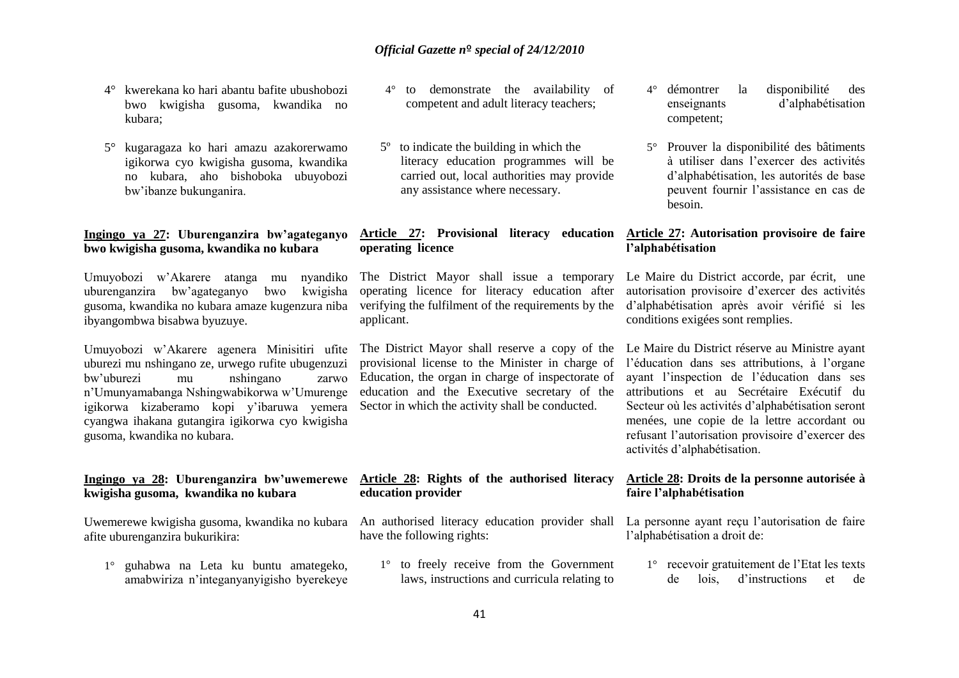- 4° kwerekana ko hari abantu bafite ubushobozi bwo kwigisha gusoma, kwandika no kubara;
- 5° kugaragaza ko hari amazu azakorerwamo igikorwa cyo kwigisha gusoma, kwandika no kubara, aho bishoboka ubuyobozi bw'ibanze bukunganira.

### **Ingingo ya 27: Uburenganzira bw'agateganyo bwo kwigisha gusoma, kwandika no kubara**

Umuyobozi w'Akarere atanga mu nyandiko uburenganzira bw'agateganyo bwo kwigisha gusoma, kwandika no kubara amaze kugenzura niba ibyangombwa bisabwa byuzuye.

Umuyobozi w'Akarere agenera Minisitiri ufite uburezi mu nshingano ze, urwego rufite ubugenzuzi bw'uburezi mu nshingano zarwo n'Umunyamabanga Nshingwabikorwa w'Umurenge igikorwa kizaberamo kopi y'ibaruwa yemera cyangwa ihakana gutangira igikorwa cyo kwigisha gusoma, kwandika no kubara.

### **Ingingo ya 28: Uburenganzira bw'uwemerewe kwigisha gusoma, kwandika no kubara**

Uwemerewe kwigisha gusoma, kwandika no kubara afite uburenganzira bukurikira:

1° guhabwa na Leta ku buntu amategeko, amabwiriza n'integanyanyigisho byerekeye

- 4° to demonstrate the availability of competent and adult literacy teachers;
- 5º to indicate the building in which the literacy education programmes will be carried out, local authorities may provide any assistance where necessary.

### **Article 27: Provisional literacy education Article 27: Autorisation provisoire de faire operating licence**

The District Mayor shall issue a temporary operating licence for literacy education after verifying the fulfilment of the requirements by the applicant.

The District Mayor shall reserve a copy of the provisional license to the Minister in charge of Education, the organ in charge of inspectorate of education and the Executive secretary of the Sector in which the activity shall be conducted.

### 4° démontrer la disponibilité des enseignants d'alphabétisation competent;

5° Prouver la disponibilité des bâtiments à utiliser dans l'exercer des activités d'alphabétisation, les autorités de base peuvent fournir l'assistance en cas de besoin.

# **l'alphabétisation**

Le Maire du District accorde, par écrit, une autorisation provisoire d'exercer des activités d'alphabétisation après avoir vérifié si les conditions exigées sont remplies.

Le Maire du District réserve au Ministre ayant l'éducation dans ses attributions, à l'organe ayant l'inspection de l'éducation dans ses attributions et au Secrétaire Exécutif du Secteur où les activités d'alphabétisation seront menées, une copie de la lettre accordant ou refusant l'autorisation provisoire d'exercer des activités d'alphabétisation.

### **Article 28: Rights of the authorised literacy Article 28: Droits de la personne autorisée à faire l'alphabétisation**

An authorised literacy education provider shall have the following rights:

1° to freely receive from the Government laws, instructions and curricula relating to

La personne ayant reçu l'autorisation de faire l'alphabétisation a droit de:

1° recevoir gratuitement de l'Etat les texts de lois, d'instructions et de

**education provider**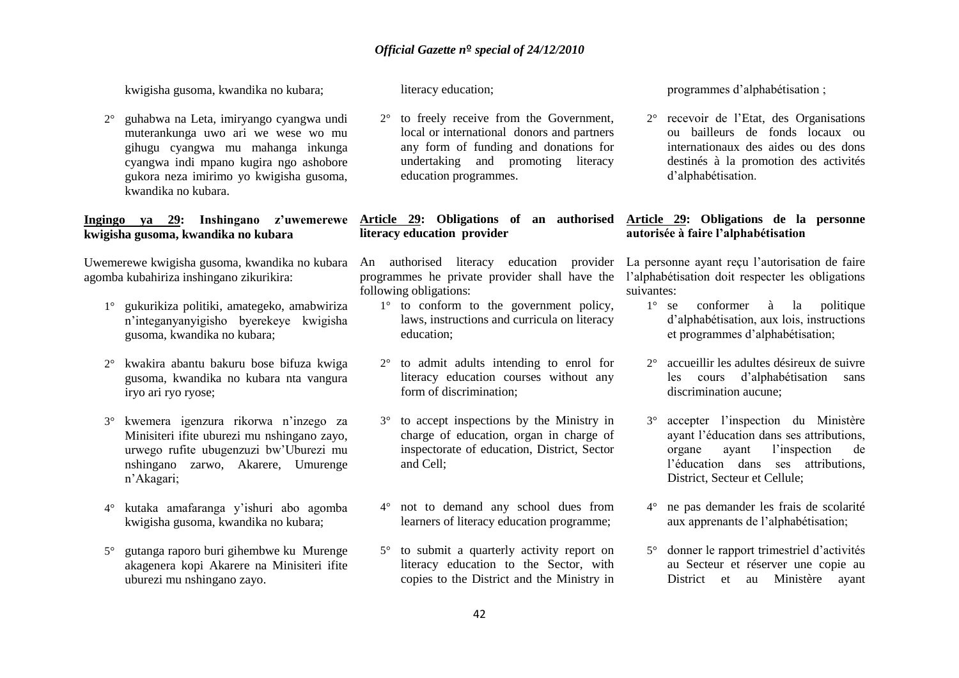kwigisha gusoma, kwandika no kubara;

2° guhabwa na Leta, imiryango cyangwa undi muterankunga uwo ari we wese wo mu gihugu cyangwa mu mahanga inkunga cyangwa indi mpano kugira ngo ashobore gukora neza imirimo yo kwigisha gusoma, kwandika no kubara.

### **Ingingo ya 29: Inshingano z'uwemerewe kwigisha gusoma, kwandika no kubara**

Uwemerewe kwigisha gusoma, kwandika no kubara agomba kubahiriza inshingano zikurikira:

- 1° gukurikiza politiki, amategeko, amabwiriza n'integanyanyigisho byerekeye kwigisha gusoma, kwandika no kubara;
- 2° kwakira abantu bakuru bose bifuza kwiga gusoma, kwandika no kubara nta vangura iryo ari ryo ryose;
- 3° kwemera igenzura rikorwa n'inzego za Minisiteri ifite uburezi mu nshingano zayo, urwego rufite ubugenzuzi bw'Uburezi mu nshingano zarwo, Akarere, Umurenge n'Akagari;
- 4° kutaka amafaranga y'ishuri abo agomba kwigisha gusoma, kwandika no kubara;
- 5° gutanga raporo buri gihembwe ku Murenge akagenera kopi Akarere na Minisiteri ifite uburezi mu nshingano zayo.

literacy education;

2° to freely receive from the Government, local or international donors and partners any form of funding and donations for undertaking and promoting literacy education programmes.

### **Article 29: Obligations of an authorised Article 29: Obligations de la personne literacy education provider**

programmes he private provider shall have the l'alphabétisation doit respecter les obligations following obligations:

- 1° to conform to the government policy, laws, instructions and curricula on literacy education;
- 2° to admit adults intending to enrol for literacy education courses without any form of discrimination;
- 3° to accept inspections by the Ministry in charge of education, organ in charge of inspectorate of education, District, Sector and Cell;
- 4° not to demand any school dues from learners of literacy education programme;
- 5° to submit a quarterly activity report on literacy education to the Sector, with copies to the District and the Ministry in

programmes d'alphabétisation ;

2° recevoir de l'Etat, des Organisations ou bailleurs de fonds locaux ou internationaux des aides ou des dons destinés à la promotion des activités d'alphabétisation.

# **autorisée à faire l'alphabétisation**

An authorised literacy education provider La personne ayant reçu l'autorisation de faire suivantes:

- 1° se conformer à la politique d'alphabétisation, aux lois, instructions et programmes d'alphabétisation;
- 2° accueillir les adultes désireux de suivre les cours d'alphabétisation sans discrimination aucune;
- 3° accepter l'inspection du Ministère ayant l'éducation dans ses attributions, organe ayant l'inspection de l'éducation dans ses attributions, District, Secteur et Cellule;
- 4° ne pas demander les frais de scolarité aux apprenants de l'alphabétisation;
- 5° donner le rapport trimestriel d'activités au Secteur et réserver une copie au District et au Ministère ayant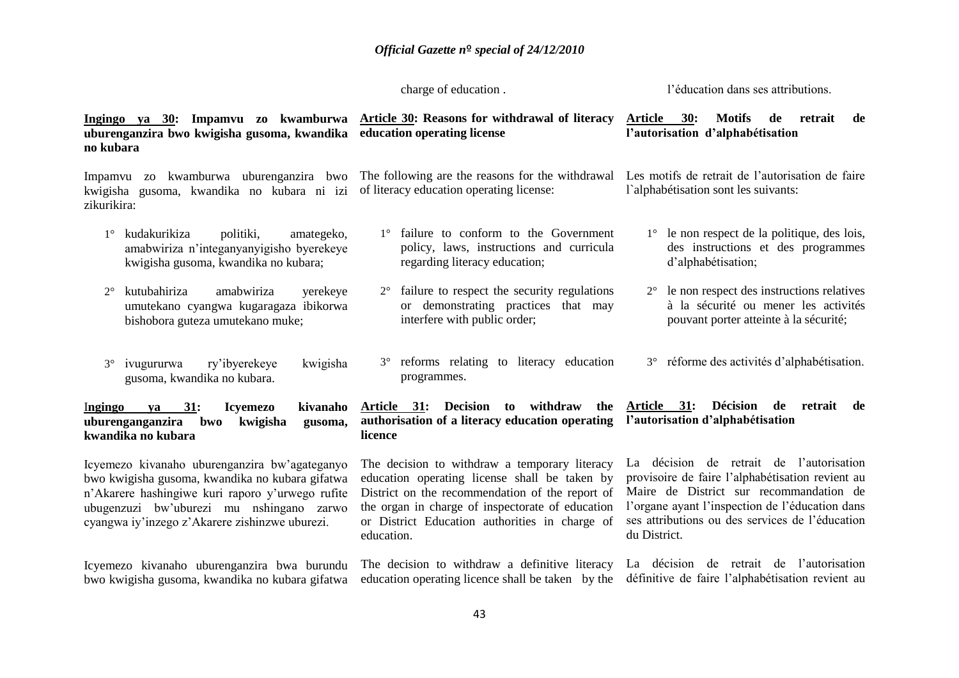charge of education .

l'éducation dans ses attributions.

| Ingingo ya 30: Impamvu zo kwamburwa <u>Article-30</u> : Reasons-for-withdrawal-of-literacy<br>uburenganzira bwo kwigisha gusoma, kwandika<br>no kubara                                                                                             | education operating license                                                                                                                                                                                                                                           | 30:<br><b>Motifs</b><br><b>Article</b><br>de<br>retrait<br>de<br>l'autorisation d'alphabétisation                                                                                                                                                             |  |  |
|----------------------------------------------------------------------------------------------------------------------------------------------------------------------------------------------------------------------------------------------------|-----------------------------------------------------------------------------------------------------------------------------------------------------------------------------------------------------------------------------------------------------------------------|---------------------------------------------------------------------------------------------------------------------------------------------------------------------------------------------------------------------------------------------------------------|--|--|
| Impamvu zo kwamburwa uburenganzira bwo<br>kwigisha gusoma, kwandika no kubara ni izi<br>zikurikira:                                                                                                                                                | The following are the reasons for the withdrawal<br>of literacy education operating license:                                                                                                                                                                          | Les motifs de retrait de l'autorisation de faire<br>l'alphabétisation sont les suivants:                                                                                                                                                                      |  |  |
| kudakurikiza<br>politiki,<br>amategeko,<br>$1^{\circ}$<br>amabwiriza n'integanyanyigisho byerekeye<br>kwigisha gusoma, kwandika no kubara;                                                                                                         | 1° failure to conform to the Government<br>policy, laws, instructions and curricula<br>regarding literacy education;                                                                                                                                                  | $1^\circ$ le non respect de la politique, des lois,<br>des instructions et des programmes<br>d'alphabétisation;                                                                                                                                               |  |  |
| kutubahiriza<br>amabwiriza<br>yerekeye<br>$2^{\circ}$<br>umutekano cyangwa kugaragaza ibikorwa<br>bishobora guteza umutekano muke;                                                                                                                 | $2^{\circ}$ failure to respect the security regulations<br>or demonstrating practices that may<br>interfere with public order;                                                                                                                                        | le non respect des instructions relatives<br>$2^{\circ}$<br>à la sécurité ou mener les activités<br>pouvant porter atteinte à la sécurité;                                                                                                                    |  |  |
| ry'ibyerekeye<br>kwigisha<br>$3^\circ$<br>ivugururwa<br>gusoma, kwandika no kubara.                                                                                                                                                                | 3° reforms relating to literacy education<br>programmes.                                                                                                                                                                                                              | 3° réforme des activités d'alphabétisation.                                                                                                                                                                                                                   |  |  |
| 31:<br>kivanaho<br><b>Icyemezo</b><br>Ingingo<br>ya<br>uburenganganzira<br>bwo<br>kwigisha<br>gusoma,<br>kwandika no kubara                                                                                                                        | Decision to withdraw the<br>Article 31:<br>authorisation of a literacy education operating<br>licence                                                                                                                                                                 | Décision<br>Article 31:<br>de retrait<br>de<br>l'autorisation d'alphabétisation                                                                                                                                                                               |  |  |
| Icyemezo kivanaho uburenganzira bw'agateganyo<br>bwo kwigisha gusoma, kwandika no kubara gifatwa<br>n'Akarere hashingiwe kuri raporo y'urwego rufite<br>ubugenzuzi bw'uburezi mu nshingano zarwo<br>cyangwa iy'inzego z'Akarere zishinzwe uburezi. | The decision to withdraw a temporary literacy<br>education operating license shall be taken by<br>District on the recommendation of the report of<br>the organ in charge of inspectorate of education<br>or District Education authorities in charge of<br>education. | La décision de retrait de l'autorisation<br>provisoire de faire l'alphabétisation revient au<br>Maire de District sur recommandation de<br>l'organe ayant l'inspection de l'éducation dans<br>ses attributions ou des services de l'éducation<br>du District. |  |  |
| Icyemezo kivanaho uburenganzira bwa burundu<br>bwo kwigisha gusoma, kwandika no kubara gifatwa                                                                                                                                                     | The decision to withdraw a definitive literacy<br>education operating licence shall be taken by the                                                                                                                                                                   | La décision de retrait de l'autorisation<br>définitive de faire l'alphabétisation revient au                                                                                                                                                                  |  |  |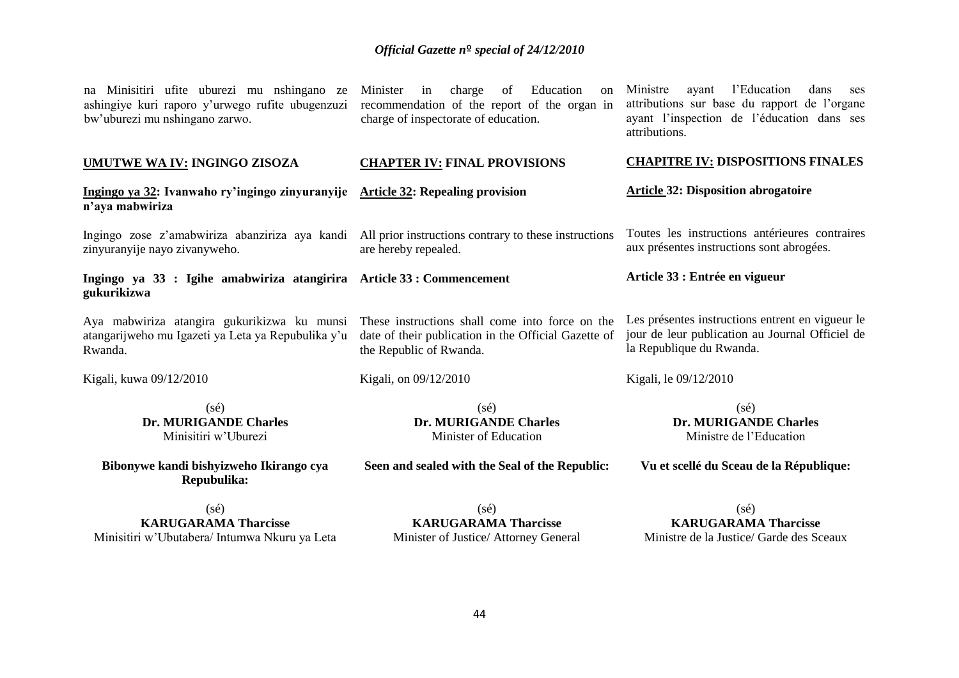| na Minisitiri ufite uburezi mu nshingano ze<br>ashingiye kuri raporo y'urwego rufite ubugenzuzi<br>bw'uburezi mu nshingano zarwo.                            | charge<br>Education<br>Minister<br>of<br>in<br><sub>on</sub><br>recommendation of the report of the organ in<br>charge of inspectorate of education. | l'Education<br>dans<br>Ministre<br>ayant<br>ses<br>attributions sur base du rapport de l'organe<br>ayant l'inspection de l'éducation dans ses<br>attributions. |
|--------------------------------------------------------------------------------------------------------------------------------------------------------------|------------------------------------------------------------------------------------------------------------------------------------------------------|----------------------------------------------------------------------------------------------------------------------------------------------------------------|
| <b>UMUTWE WA IV: INGINGO ZISOZA</b>                                                                                                                          | <b>CHAPTER IV: FINAL PROVISIONS</b>                                                                                                                  | <b>CHAPITRE IV: DISPOSITIONS FINALES</b>                                                                                                                       |
| Ingingo ya 32: Ivanwaho ry'ingingo zinyuranyije Article 32: Repealing provision<br>n'aya mabwiriza                                                           |                                                                                                                                                      | <b>Article 32: Disposition abrogatoire</b>                                                                                                                     |
| Ingingo zose z'amabwiriza abanziriza aya kandi All prior instructions contrary to these instructions<br>zinyuranyije nayo zivanyweho.                        | are hereby repealed.                                                                                                                                 | Toutes les instructions antérieures contraires<br>aux présentes instructions sont abrogées.                                                                    |
| Ingingo ya 33 : Igihe amabwiriza atangirira Article 33 : Commencement<br>gukurikizwa                                                                         |                                                                                                                                                      | Article 33 : Entrée en vigueur                                                                                                                                 |
|                                                                                                                                                              |                                                                                                                                                      |                                                                                                                                                                |
| Aya mabwiriza atangira gukurikizwa ku munsi These instructions shall come into force on the<br>atangarijweho mu Igazeti ya Leta ya Repubulika y'u<br>Rwanda. | date of their publication in the Official Gazette of<br>the Republic of Rwanda.                                                                      | Les présentes instructions entrent en vigueur le<br>jour de leur publication au Journal Officiel de<br>la Republique du Rwanda.                                |
| Kigali, kuwa 09/12/2010                                                                                                                                      | Kigali, on 09/12/2010                                                                                                                                | Kigali, le 09/12/2010                                                                                                                                          |

**Bibonywe kandi bishyizweho Ikirango cya Repubulika:**

**Seen and sealed with the Seal of the Republic:**

**Vu et scellé du Sceau de la République:**

(sé) **KARUGARAMA Tharcisse** Minisitiri w'Ubutabera/ Intumwa Nkuru ya Leta

(sé) **KARUGARAMA Tharcisse** Minister of Justice/ Attorney General

(sé) **KARUGARAMA Tharcisse** Ministre de la Justice/ Garde des Sceaux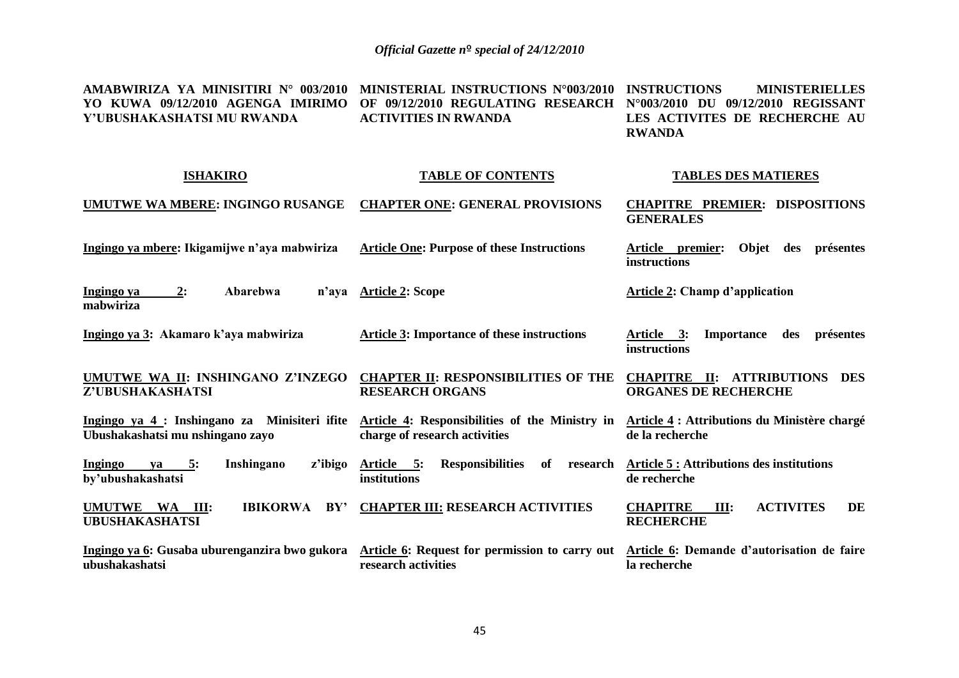| AMABWIRIZA YA MINISITIRI N° 003/2010<br>YO KUWA 09/12/2010 AGENGA IMIRIMO<br>Y'UBUSHAKASHATSI MU RWANDA | MINISTERIAL INSTRUCTIONS N°003/2010<br>OF 09/12/2010 REGULATING RESEARCH<br><b>ACTIVITIES IN RWANDA</b> | <b>INSTRUCTIONS</b><br><b>MINISTERIELLES</b><br>N°003/2010 DU 09/12/2010 REGISSANT<br>LES ACTIVITES DE RECHERCHE AU<br><b>RWANDA</b> |
|---------------------------------------------------------------------------------------------------------|---------------------------------------------------------------------------------------------------------|--------------------------------------------------------------------------------------------------------------------------------------|
| <b>ISHAKIRO</b>                                                                                         | <b>TABLE OF CONTENTS</b>                                                                                | <b>TABLES DES MATIERES</b>                                                                                                           |
| UMUTWE WA MBERE: INGINGO RUSANGE                                                                        | <b>CHAPTER ONE: GENERAL PROVISIONS</b>                                                                  | <b>CHAPITRE PREMIER: DISPOSITIONS</b><br><b>GENERALES</b>                                                                            |
| Ingingo ya mbere: Ikigamijwe n'aya mabwiriza                                                            | <b>Article One: Purpose of these Instructions</b>                                                       | Article premier: Objet des présentes<br>instructions                                                                                 |
| Ingingo ya<br>Abarebwa<br>2:<br>n'aya<br>mabwiriza                                                      | <b>Article 2: Scope</b>                                                                                 | <b>Article 2: Champ d'application</b>                                                                                                |
| Ingingo ya 3: Akamaro k'aya mabwiriza                                                                   | <b>Article 3: Importance of these instructions</b>                                                      | Importance des présentes<br>Article 3:<br>instructions                                                                               |
| UMUTWE WA II: INSHINGANO Z'INZEGO<br>Z'UBUSHAKASHATSI                                                   | <b>CHAPTER II: RESPONSIBILITIES OF THE</b><br><b>RESEARCH ORGANS</b>                                    | <b>CHAPITRE II: ATTRIBUTIONS DES</b><br><b>ORGANES DE RECHERCHE</b>                                                                  |
| Ingingo ya 4 : Inshingano za Minisiteri ifite<br>Ubushakashatsi mu nshingano zayo                       | Article 4: Responsibilities of the Ministry in<br>charge of research activities                         | Article 4 : Attributions du Ministère chargé<br>de la recherche                                                                      |
| Inshingano<br>Ingingo<br>ya 5:<br>z'ibigo<br>by'ubushakashatsi                                          | Article 5:<br>Responsibilities of research<br>institutions                                              | <b>Article 5: Attributions des institutions</b><br>de recherche                                                                      |
| UMUTWE WA III:<br>IBIKORWA BY'<br><b>UBUSHAKASHATSI</b>                                                 | <b>CHAPTER III: RESEARCH ACTIVITIES</b>                                                                 | <b>ACTIVITES</b><br><b>CHAPITRE</b><br>III:<br>DE<br><b>RECHERCHE</b>                                                                |
| Ingingo ya 6: Gusaba uburenganzira bwo gukora<br>ubushakashatsi                                         | Article 6: Request for permission to carry out<br>research activities                                   | Article 6: Demande d'autorisation de faire<br>la recherche                                                                           |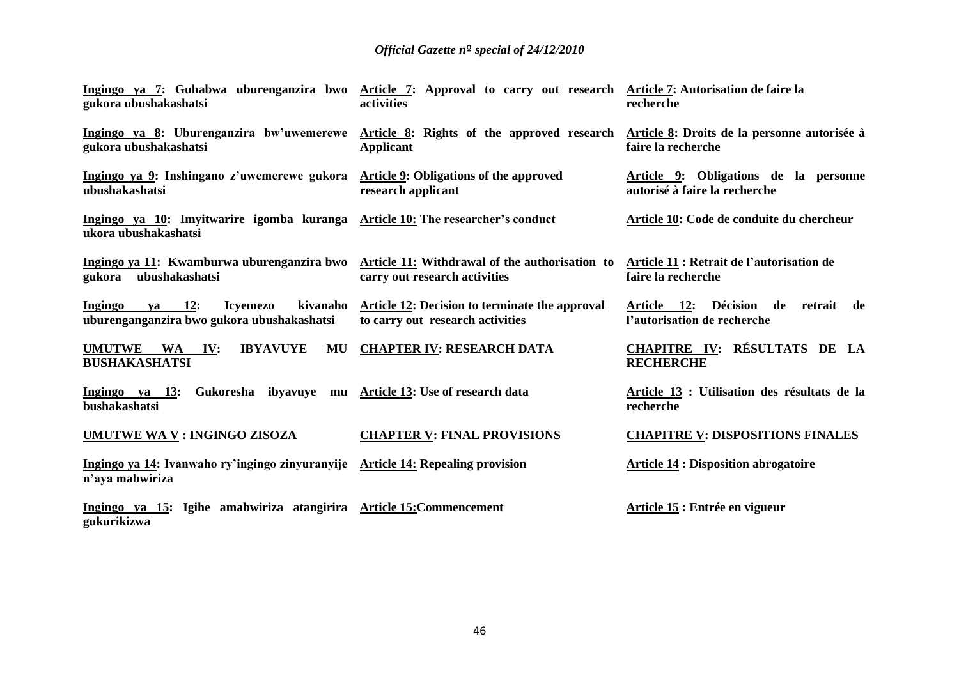| Ingingo ya 7: Guhabwa uburenganzira bwo Article 7: Approval to carry out research Article 7: Autorisation de faire la<br>gukora ubushakashatsi | activities                                                                         | recherche                                                              |
|------------------------------------------------------------------------------------------------------------------------------------------------|------------------------------------------------------------------------------------|------------------------------------------------------------------------|
| Ingingo ya 8: Uburenganzira bw'uwemerewe Article 8: Rights of the approved research<br>gukora ubushakashatsi                                   | <b>Applicant</b>                                                                   | Article 8: Droits de la personne autorisée à<br>faire la recherche     |
| Ingingo ya 9: Inshingano z'uwemerewe gukora Article 9: Obligations of the approved<br>ubushakashatsi                                           | research applicant                                                                 | Article 9: Obligations de la personne<br>autorisé à faire la recherche |
| Ingingo ya 10: Imyitwarire igomba kuranga Article 10: The researcher's conduct<br>ukora ubushakashatsi                                         |                                                                                    | Article 10: Code de conduite du chercheur                              |
| Ingingo ya 11: Kwamburwa uburenganzira bwo Article 11: Withdrawal of the authorisation to<br>ubushakashatsi<br>gukora                          | carry out research activities                                                      | Article 11 : Retrait de l'autorisation de<br>faire la recherche        |
| <b>Ingingo</b><br><b>12:</b><br><b>Icyemezo</b><br>kivanaho<br>va<br>uburenganganzira bwo gukora ubushakashatsi                                | Article 12: Decision to terminate the approval<br>to carry out research activities | Article 12: Décision de retrait de<br>l'autorisation de recherche      |
| <b>UMUTWE</b><br><b>IBYAVUYE</b><br>MU<br>WA<br>IV:<br><b>BUSHAKASHATSI</b>                                                                    | <b>CHAPTER IV: RESEARCH DATA</b>                                                   | <b>CHAPITRE IV: RÉSULTATS DE LA</b><br><b>RECHERCHE</b>                |
| Ingingo ya 13:<br>bushakashatsi                                                                                                                | Gukoresha ibyavuye mu Article 13: Use of research data                             | Article 13 : Utilisation des résultats de la<br>recherche              |
| UMUTWE WA V : INGINGO ZISOZA                                                                                                                   | <b>CHAPTER V: FINAL PROVISIONS</b>                                                 | <b>CHAPITRE V: DISPOSITIONS FINALES</b>                                |
| Ingingo ya 14: Ivanwaho ry'ingingo zinyuranyije Article 14: Repealing provision<br>n'aya mabwiriza                                             |                                                                                    | <b>Article 14 : Disposition abrogatoire</b>                            |
| Ingingo ya 15: Igihe amabwiriza atangirira Article 15: Commencement<br>gukurikizwa                                                             |                                                                                    | Article 15 : Entrée en vigueur                                         |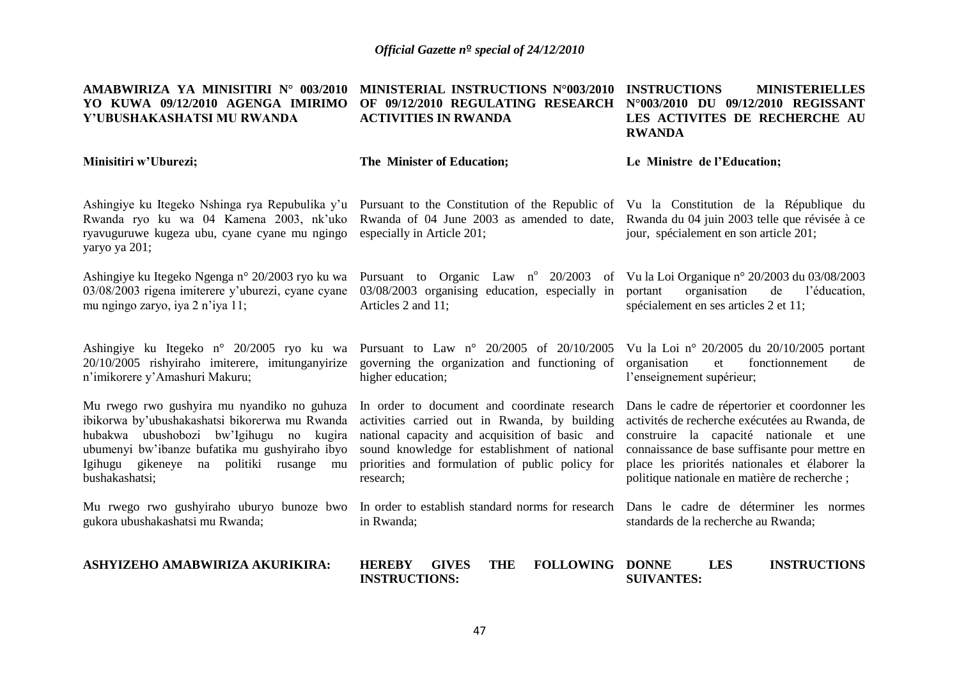| AMABWIRIZA YA MINISITIRI N° 003/2010<br>YO KUWA 09/12/2010 AGENGA IMIRIMO<br>Y'UBUSHAKASHATSI MU RWANDA                                                                                                                                                          | MINISTERIAL INSTRUCTIONS N°003/2010<br>OF 09/12/2010 REGULATING RESEARCH<br><b>ACTIVITIES IN RWANDA</b>                                                                                                                                                          | <b>INSTRUCTIONS</b><br><b>MINISTERIELLES</b><br>N°003/2010 DU 09/12/2010 REGISSANT<br>LES ACTIVITES DE RECHERCHE AU<br><b>RWANDA</b>                                                                                                                                                           |
|------------------------------------------------------------------------------------------------------------------------------------------------------------------------------------------------------------------------------------------------------------------|------------------------------------------------------------------------------------------------------------------------------------------------------------------------------------------------------------------------------------------------------------------|------------------------------------------------------------------------------------------------------------------------------------------------------------------------------------------------------------------------------------------------------------------------------------------------|
| Minisitiri w'Uburezi;                                                                                                                                                                                                                                            | The Minister of Education;                                                                                                                                                                                                                                       | Le Ministre de l'Education;                                                                                                                                                                                                                                                                    |
| Ashingiye ku Itegeko Nshinga rya Repubulika y'u<br>Rwanda ryo ku wa 04 Kamena 2003, nk'uko<br>ryavuguruwe kugeza ubu, cyane cyane mu ngingo<br>yaryo ya 201;                                                                                                     | Pursuant to the Constitution of the Republic of Vu la Constitution de la République du<br>Rwanda of 04 June 2003 as amended to date,<br>especially in Article 201;                                                                                               | Rwanda du 04 juin 2003 telle que révisée à ce<br>jour, spécialement en son article 201;                                                                                                                                                                                                        |
| Ashingiye ku Itegeko Ngenga n° 20/2003 ryo ku wa<br>03/08/2003 rigena imiterere y'uburezi, cyane cyane<br>mu ngingo zaryo, iya 2 n'iya 11;                                                                                                                       | Pursuant to Organic Law n° 20/2003 of Vu la Loi Organique n° 20/2003 du 03/08/2003<br>03/08/2003 organising education, especially in<br>Articles 2 and 11;                                                                                                       | portant<br>organisation<br>de<br>l'éducation,<br>spécialement en ses articles 2 et 11;                                                                                                                                                                                                         |
| Ashingiye ku Itegeko n° 20/2005 ryo ku wa Pursuant to Law n° 20/2005 of 20/10/2005<br>20/10/2005 rishyiraho imiterere, imitunganyirize<br>n'imikorere y'Amashuri Makuru;                                                                                         | governing the organization and functioning of<br>higher education;                                                                                                                                                                                               | Vu la Loi nº 20/2005 du 20/10/2005 portant<br>fonctionnement<br>organisation<br>et<br>de<br>l'enseignement supérieur;                                                                                                                                                                          |
| Mu rwego rwo gushyira mu nyandiko no guhuza<br>ibikorwa by'ubushakashatsi bikorerwa mu Rwanda<br>hubakwa ubushobozi bw'Igihugu<br>no<br>kugira<br>ubumenyi bw'ibanze bufatika mu gushyiraho ibyo<br>Igihugu gikeneye na politiki rusange<br>mu<br>bushakashatsi; | In order to document and coordinate research<br>activities carried out in Rwanda, by building<br>national capacity and acquisition of basic and<br>sound knowledge for establishment of national<br>priorities and formulation of public policy for<br>research; | Dans le cadre de répertorier et coordonner les<br>activités de recherche exécutées au Rwanda, de<br>construire la capacité nationale et une<br>connaissance de base suffisante pour mettre en<br>place les priorités nationales et élaborer la<br>politique nationale en matière de recherche; |
| Mu rwego rwo gushyiraho uburyo bunoze bwo<br>gukora ubushakashatsi mu Rwanda;                                                                                                                                                                                    | In order to establish standard norms for research<br>in Rwanda;                                                                                                                                                                                                  | Dans le cadre de déterminer les normes<br>standards de la recherche au Rwanda;                                                                                                                                                                                                                 |
| ASHYIZEHO AMABWIRIZA AKURIKIRA:                                                                                                                                                                                                                                  | <b>HEREBY</b><br><b>THE</b><br><b>FOLLOWING DONNE</b><br><b>GIVES</b><br><b>INSTRUCTIONS:</b>                                                                                                                                                                    | <b>LES</b><br><b>INSTRUCTIONS</b><br><b>SUIVANTES:</b>                                                                                                                                                                                                                                         |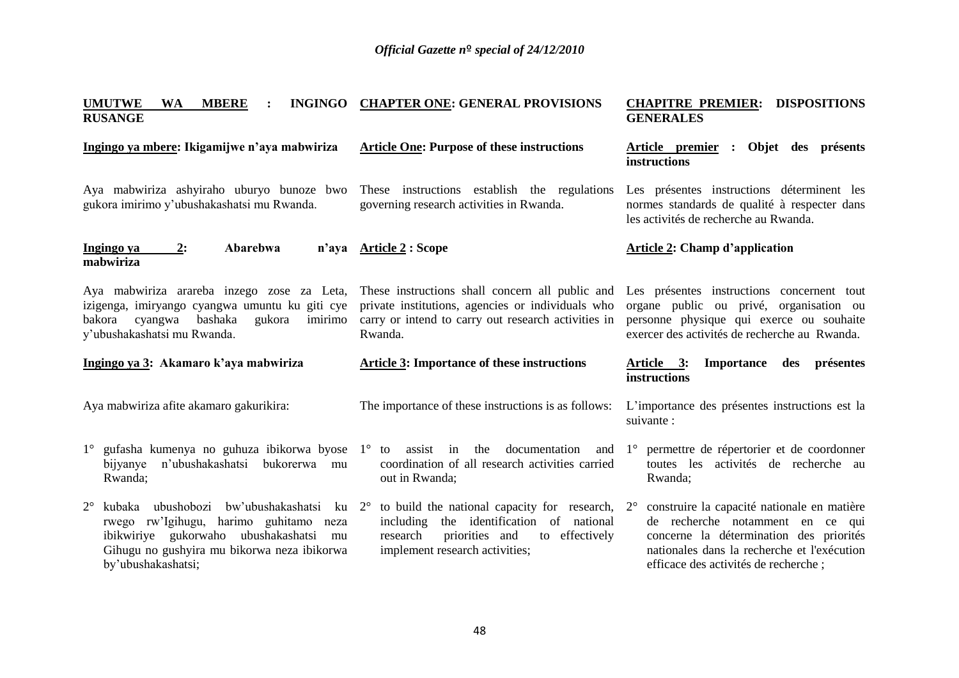| <b>UMUTWE</b><br><b>MBERE</b><br><b>INGINGO</b><br><b>WA</b><br><b>RUSANGE</b>                                                                                                   | <b>CHAPTER ONE: GENERAL PROVISIONS</b>                                                                                                                                 | <b>CHAPITRE PREMIER:</b><br><b>DISPOSITIONS</b><br><b>GENERALES</b>                                                                                                                |  |  |  |
|----------------------------------------------------------------------------------------------------------------------------------------------------------------------------------|------------------------------------------------------------------------------------------------------------------------------------------------------------------------|------------------------------------------------------------------------------------------------------------------------------------------------------------------------------------|--|--|--|
| Ingingo ya mbere: Ikigamijwe n'aya mabwiriza                                                                                                                                     | <b>Article One: Purpose of these instructions</b>                                                                                                                      | Article premier : Objet des présents<br>instructions                                                                                                                               |  |  |  |
| Aya mabwiriza ashyiraho uburyo bunoze bwo<br>gukora imirimo y'ubushakashatsi mu Rwanda.                                                                                          | These instructions establish the regulations<br>governing research activities in Rwanda.                                                                               | Les présentes instructions déterminent les<br>normes standards de qualité à respecter dans<br>les activités de recherche au Rwanda.                                                |  |  |  |
| Abarebwa<br>Ingingo ya<br>2:<br>mabwiriza                                                                                                                                        | n'aya Article 2 : Scope                                                                                                                                                | <b>Article 2: Champ d'application</b>                                                                                                                                              |  |  |  |
| Aya mabwiriza arareba inzego zose za Leta,<br>izigenga, imiryango cyangwa umuntu ku giti cye<br>bashaka<br>cyangwa<br>gukora<br>imirimo<br>bakora<br>y'ubushakashatsi mu Rwanda. | These instructions shall concern all public and<br>private institutions, agencies or individuals who<br>carry or intend to carry out research activities in<br>Rwanda. | Les présentes instructions concernent tout<br>organe public ou privé, organisation ou<br>personne physique qui exerce ou souhaite<br>exercer des activités de recherche au Rwanda. |  |  |  |
| Ingingo ya 3: Akamaro k'aya mabwiriza                                                                                                                                            | <b>Article 3: Importance of these instructions</b>                                                                                                                     | <u>Article 3:</u><br><b>Importance</b><br>des présentes<br>instructions                                                                                                            |  |  |  |
|                                                                                                                                                                                  |                                                                                                                                                                        |                                                                                                                                                                                    |  |  |  |
| Aya mabwiriza afite akamaro gakurikira:                                                                                                                                          | The importance of these instructions is as follows:                                                                                                                    | L'importance des présentes instructions est la<br>suivante :                                                                                                                       |  |  |  |
| $1^{\circ}$ gufasha kumenya no guhuza ibikorwa byose $1^{\circ}$ to assist in the documentation<br>n'ubushakashatsi<br>bukorerwa mu<br>bijyanye<br>Rwanda;                       | coordination of all research activities carried<br>out in Rwanda;                                                                                                      | and 1° permettre de répertorier et de coordonner<br>toutes les activités de recherche au<br>Rwanda;                                                                                |  |  |  |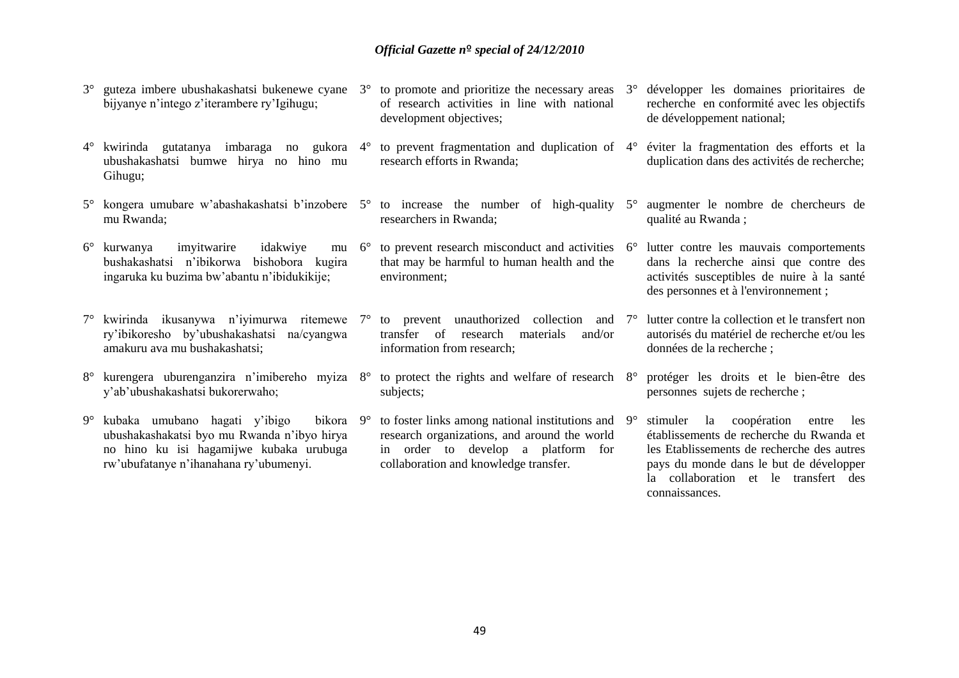- 3° guteza imbere ubushakashatsi bukenewe cyane bijyanye n'intego z'iterambere ry'Igihugu; to promote and prioritize the necessary areas of research activities in line with national development objectives; de développement national;
- 4° kwirinda gutatanya imbaraga no gukora ubushakashatsi bumwe hirya no hino mu Gihugu;
- 5° kongera umubare w'abashakashatsi b'inzobere 5° to increase the number of high-quality mu Rwanda;
- 6° kurwanya imyitwarire idakwiye mu bushakashatsi n'ibikorwa bishobora kugira ingaruka ku buzima bw'abantu n'ibidukikije;
- 7° kwirinda ikusanywa n'iyimurwa ritemewe ry'ibikoresho by'ubushakashatsi na/cyangwa amakuru ava mu bushakashatsi;
- 8° kurengera uburenganzira n'imibereho myiza y'ab'ubushakashatsi bukorerwaho;
- 9° kubaka umubano hagati y'ibigo bikora ubushakashakatsi byo mu Rwanda n'ibyo hirya no hino ku isi hagamijwe kubaka urubuga rw'ubufatanye n'ihanahana ry'ubumenyi.
- 
- 4° to prevent fragmentation and duplication of 4° éviter la fragmentation des efforts et la research efforts in Rwanda;
- researchers in Rwanda;
- to prevent research misconduct and activities  $6^\circ$ that may be harmful to human health and the environment;
- 7° to prevent unauthorized collection and transfer of research materials and/or information from research;
- to protect the rights and welfare of research  $8^\circ$ subjects;
- 9° to foster links among national institutions and research organizations, and around the world in order to develop a platform for collaboration and knowledge transfer.
- 3° développer les domaines prioritaires de recherche en conformité avec les objectifs
- duplication dans des activités de recherche;
- 5° augmenter le nombre de chercheurs de qualité au Rwanda ;
- lutter contre les mauvais comportements dans la recherche ainsi que contre des activités susceptibles de nuire à la santé des personnes et à l'environnement ;
- lutter contre la collection et le transfert non autorisés du matériel de recherche et/ou les données de la recherche ;
- 8° protéger les droits et le bien-être des personnes sujets de recherche ;
- 9° stimuler la coopération entre les établissements de recherche du Rwanda et les Etablissements de recherche des autres pays du monde dans le but de développer la collaboration et le transfert des connaissances.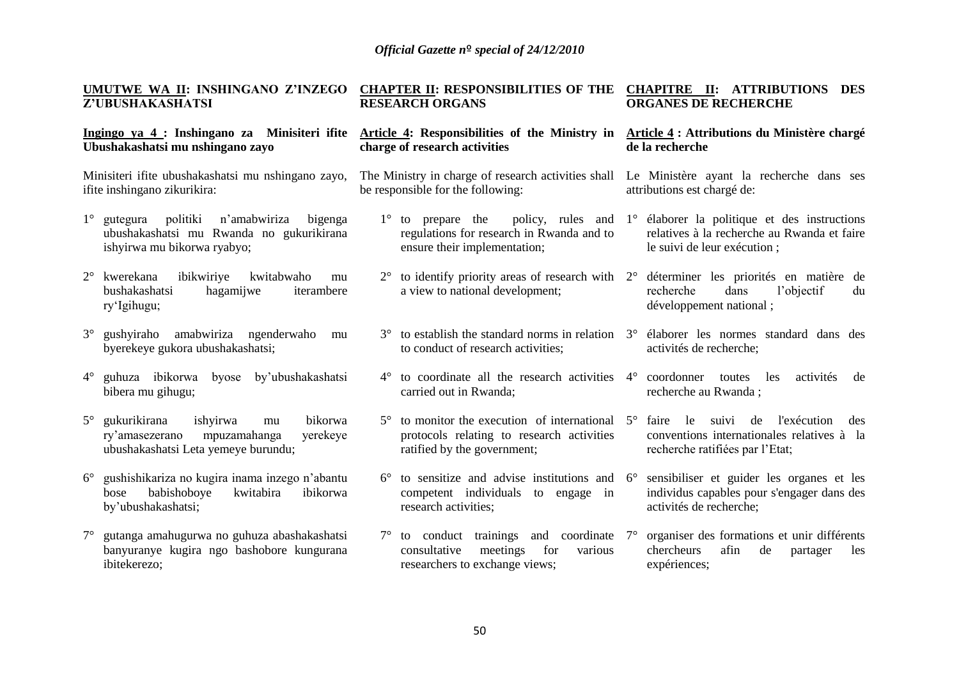|             | UMUTWE WA II: INSHINGANO Z'INZEGO<br>Z'UBUSHAKASHATSI                                                                          | <b>CHAPTER II: RESPONSIBILITIES OF THE</b><br><b>RESEARCH ORGANS</b>                     |                                                                                                                                                 |                                                                         | <b>CHAPITRE II: ATTRIBUTIONS DES</b><br><b>ORGANES DE RECHERCHE</b>                                                                          |  |  |
|-------------|--------------------------------------------------------------------------------------------------------------------------------|------------------------------------------------------------------------------------------|-------------------------------------------------------------------------------------------------------------------------------------------------|-------------------------------------------------------------------------|----------------------------------------------------------------------------------------------------------------------------------------------|--|--|
|             | Ingingo ya 4 : Inshingano za Minisiteri ifite<br>Ubushakashatsi mu nshingano zayo                                              |                                                                                          | Article 4: Responsibilities of the Ministry in<br>charge of research activities                                                                 | Article 4 : Attributions du Ministère chargé<br>de la recherche         |                                                                                                                                              |  |  |
|             | Minisiteri ifite ubushakashatsi mu nshingano zayo,<br>ifite inshingano zikurikira:                                             | The Ministry in charge of research activities shall<br>be responsible for the following: |                                                                                                                                                 | Le Ministère ayant la recherche dans ses<br>attributions est chargé de: |                                                                                                                                              |  |  |
| $1^{\circ}$ | politiki<br>gutegura<br>n'amabwiriza<br>bigenga<br>ubushakashatsi mu Rwanda no gukurikirana<br>ishyirwa mu bikorwa ryabyo;     |                                                                                          | $1^{\circ}$ to prepare the<br>regulations for research in Rwanda and to<br>ensure their implementation;                                         |                                                                         | policy, rules and 1° élaborer la politique et des instructions<br>relatives à la recherche au Rwanda et faire<br>le suivi de leur exécution; |  |  |
|             | $2^{\circ}$ kwerekana<br>ibikwiriye<br>kwitabwaho<br>mu<br>bushakashatsi<br>hagamijwe<br>iterambere<br>ry'Igihugu;             |                                                                                          | to identify priority areas of research with $2^{\circ}$ déterminer les priorités en matière de<br>a view to national development;               |                                                                         | dans<br>l'objectif<br>recherche<br>du<br>développement national;                                                                             |  |  |
| $3^\circ$   | gushyiraho amabwiriza ngenderwaho<br>mu<br>byerekeye gukora ubushakashatsi;                                                    |                                                                                          | $3^{\circ}$ to establish the standard norms in relation $3^{\circ}$ élaborer les normes standard dans des<br>to conduct of research activities; |                                                                         | activités de recherche;                                                                                                                      |  |  |
| $4^{\circ}$ | guhuza ibikorwa<br>byose<br>by'ubushakashatsi<br>bibera mu gihugu;                                                             | $4^\circ$                                                                                | to coordinate all the research activities 4° coordonner<br>carried out in Rwanda;                                                               |                                                                         | activités<br>toutes<br>les<br>de<br>recherche au Rwanda;                                                                                     |  |  |
| $5^{\circ}$ | gukurikirana<br>ishyirwa<br>bikorwa<br>mu<br>ry'amasezerano<br>mpuzamahanga<br>yerekeye<br>ubushakashatsi Leta yemeye burundu; | $5^\circ$                                                                                | to monitor the execution of international $5^\circ$ faire<br>protocols relating to research activities<br>ratified by the government;           |                                                                         | le<br>suivi<br>l'exécution<br>de<br>des<br>conventions internationales relatives à la<br>recherche ratifiées par l'Etat;                     |  |  |
| $6^{\circ}$ | gushishikariza no kugira inama inzego n'abantu<br>babishoboye<br>kwitabira<br>ibikorwa<br>bose<br>by'ubushakashatsi;           | $6^{\circ}$                                                                              | to sensitize and advise institutions and $6^\circ$<br>competent individuals to engage in<br>research activities;                                |                                                                         | sensibiliser et guider les organes et les<br>individus capables pour s'engager dans des<br>activités de recherche;                           |  |  |
| $7^{\circ}$ | gutanga amahugurwa no guhuza abashakashatsi<br>banyuranye kugira ngo bashobore kungurana                                       | $7^\circ$                                                                                | to conduct trainings<br>and coordinate<br>consultative<br>meetings<br>for<br>various                                                            | $7^{\circ}$                                                             | organiser des formations et unir différents<br>chercheurs<br>afin<br>de<br>partager<br>les                                                   |  |  |

researchers to exchange views;

expériences;

ibitekerezo;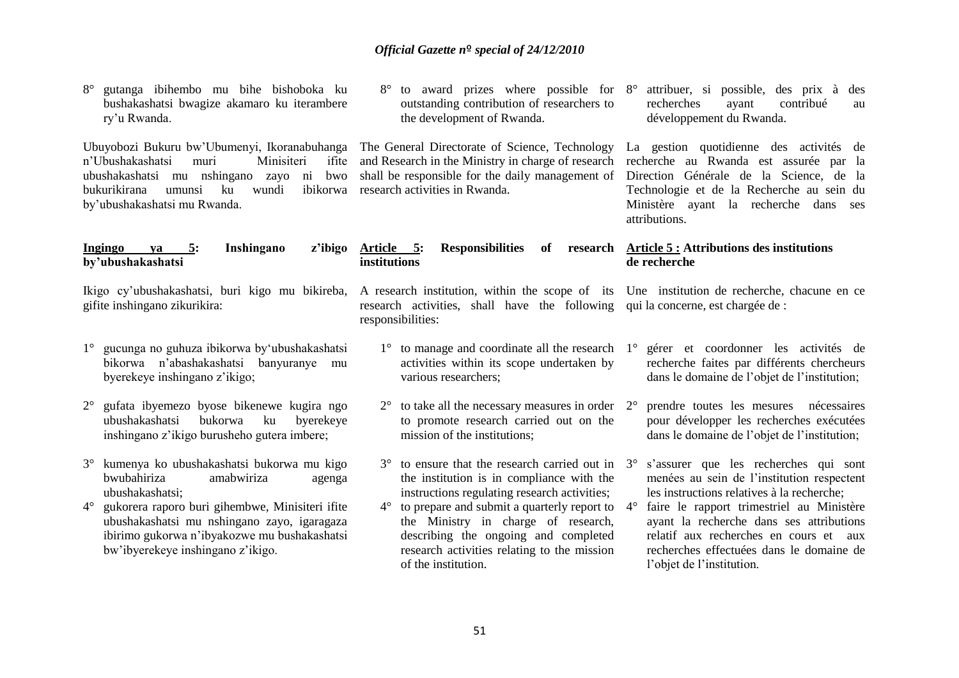| to award prizes where possible for 8°<br>outstanding contribution of researchers to<br>the development of Rwanda.                                                                                                                                           | attribuer, si possible, des prix à des<br>contribué<br>recherches<br>ayant<br>au<br>développement du Rwanda.                                                                                                                                                                                                                                                                                                                                                                                                                                                                                                                         |  |  |
|-------------------------------------------------------------------------------------------------------------------------------------------------------------------------------------------------------------------------------------------------------------|--------------------------------------------------------------------------------------------------------------------------------------------------------------------------------------------------------------------------------------------------------------------------------------------------------------------------------------------------------------------------------------------------------------------------------------------------------------------------------------------------------------------------------------------------------------------------------------------------------------------------------------|--|--|
| shall be responsible for the daily management of                                                                                                                                                                                                            | La gestion quotidienne des activités de<br>recherche au Rwanda est assurée par la<br>Direction Générale de la Science, de la<br>Technologie et de la Recherche au sein du<br>Ministère ayant la recherche dans ses<br>attributions.                                                                                                                                                                                                                                                                                                                                                                                                  |  |  |
| <b>Responsibilities</b><br>Article 5:<br>of<br>institutions                                                                                                                                                                                                 | research Article 5 : Attributions des institutions<br>de recherche                                                                                                                                                                                                                                                                                                                                                                                                                                                                                                                                                                   |  |  |
| responsibilities:                                                                                                                                                                                                                                           |                                                                                                                                                                                                                                                                                                                                                                                                                                                                                                                                                                                                                                      |  |  |
| activities within its scope undertaken by<br>various researchers;                                                                                                                                                                                           | gérer et coordonner les activités de<br>recherche faites par différents chercheurs<br>dans le domaine de l'objet de l'institution;                                                                                                                                                                                                                                                                                                                                                                                                                                                                                                   |  |  |
| $2^{\circ}$<br>to promote research carried out on the<br>mission of the institutions;                                                                                                                                                                       | prendre toutes les mesures nécessaires<br>pour développer les recherches exécutées<br>dans le domaine de l'objet de l'institution;                                                                                                                                                                                                                                                                                                                                                                                                                                                                                                   |  |  |
| $3^\circ$<br>the institution is in compliance with the<br>instructions regulating research activities;<br>the Ministry in charge of research,<br>describing the ongoing and completed<br>research activities relating to the mission<br>of the institution. | s'assurer que les recherches qui sont<br>menées au sein de l'institution respectent<br>les instructions relatives à la recherche;<br>faire le rapport trimestriel au Ministère<br>ayant la recherche dans ses attributions<br>relatif aux recherches en cours et aux<br>recherches effectuées dans le domaine de<br>l'objet de l'institution.                                                                                                                                                                                                                                                                                        |  |  |
|                                                                                                                                                                                                                                                             | Ubuyobozi Bukuru bw'Ubumenyi, Ikoranabuhanga The General Directorate of Science, Technology<br>and Research in the Ministry in charge of research<br>research activities in Rwanda.<br>A research institution, within the scope of its Une institution de recherche, chacune en ce<br>research activities, shall have the following qui la concerne, est chargée de :<br>$1^{\circ}$ to manage and coordinate all the research $1^{\circ}$<br>to take all the necessary measures in order $2^{\circ}$<br>to ensure that the research carried out in $3^\circ$<br>$4^{\circ}$ to prepare and submit a quarterly report to $4^{\circ}$ |  |  |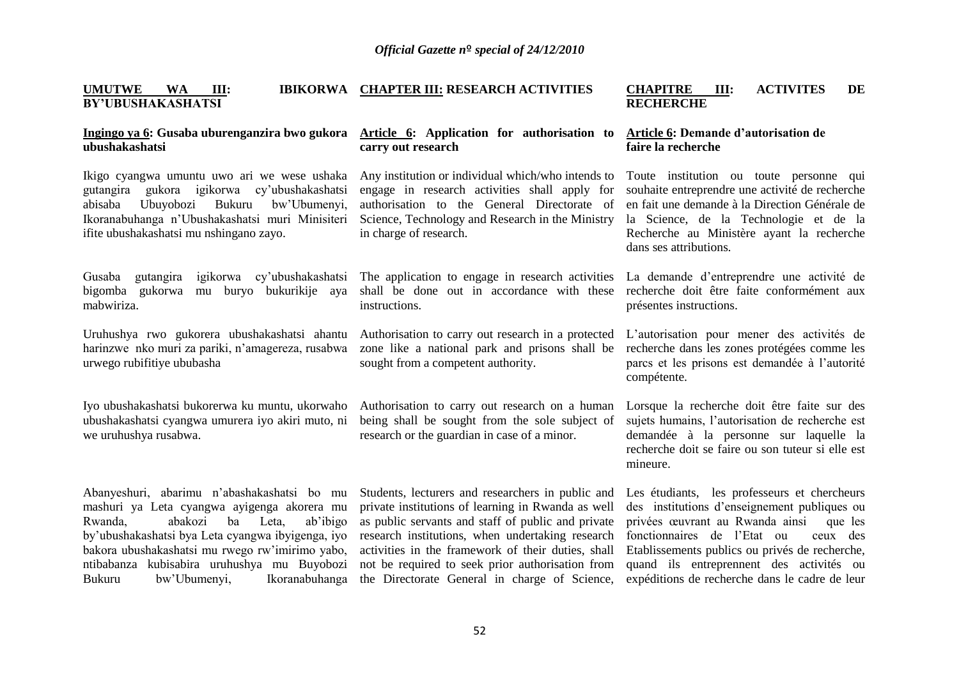**CHAPITRE III: ACTIVITES DE** 

expéditions de recherche dans le cadre de leur

**UMUTWE WA III: IBIKORWA CHAPTER III: RESEARCH ACTIVITIES** 

Bukuru bw'Ubumenyi, Ikoranabuhanga

### **BY'UBUSHAKASHATSI Ingingo ya 6: Gusaba uburenganzira bwo gukora ubushakashatsi**  Ikigo cyangwa umuntu uwo ari we wese ushaka gutangira gukora igikorwa cy'ubushakashatsi abisaba Ubuyobozi Bukuru bw'Ubumenyi, Ikoranabuhanga n'Ubushakashatsi muri Minisiteri ifite ubushakashatsi mu nshingano zayo. Gusaba gutangira igikorwa cy'ubushakashatsi bigomba gukorwa mu buryo bukurikije aya mabwiriza. Uruhushya rwo gukorera ubushakashatsi ahantu harinzwe nko muri za pariki, n'amagereza, rusabwa urwego rubifitiye ububasha Iyo ubushakashatsi bukorerwa ku muntu, ukorwaho ubushakashatsi cyangwa umurera iyo akiri muto, ni we uruhushya rusabwa. Abanyeshuri, abarimu n'abashakashatsi bo mu mashuri ya Leta cyangwa ayigenga akorera mu Rwanda, abakozi ba Leta, ab'ibigo by'ubushakashatsi bya Leta cyangwa ibyigenga, iyo bakora ubushakashatsi mu rwego rw'imirimo yabo, ntibabanza kubisabira uruhushya mu Buyobozi **Article 6: Application for authorisation to carry out research**  Any institution or individual which/who intends to engage in research activities shall apply for authorisation to the General Directorate of Science, Technology and Research in the Ministry in charge of research. The application to engage in research activities shall be done out in accordance with these instructions. Authorisation to carry out research in a protected zone like a national park and prisons shall be sought from a competent authority. Authorisation to carry out research on a human being shall be sought from the sole subject of research or the guardian in case of a minor. Students, lecturers and researchers in public and private institutions of learning in Rwanda as well as public servants and staff of public and private research institutions, when undertaking research activities in the framework of their duties, shall not be required to seek prior authorisation from **RECHERCHE Article 6: Demande d'autorisation de faire la recherche**  Toute institution ou toute personne qui souhaite entreprendre une activité de recherche en fait une demande à la Direction Générale de la Science, de la Technologie et de la Recherche au Ministère ayant la recherche dans ses attributions. La demande d'entreprendre une activité de recherche doit être faite conformément aux présentes instructions. L'autorisation pour mener des activités de recherche dans les zones protégées comme les parcs et les prisons est demandée à l'autorité compétente. Lorsque la recherche doit être faite sur des sujets humains, l'autorisation de recherche est demandée à la personne sur laquelle la recherche doit se faire ou son tuteur si elle est mineure. Les étudiants, les professeurs et chercheurs des institutions d'enseignement publiques ou privées œuvrant au Rwanda ainsi que les fonctionnaires de l'Etat ou ceux des Etablissements publics ou privés de recherche, quand ils entreprennent des activités ou

the Directorate General in charge of Science,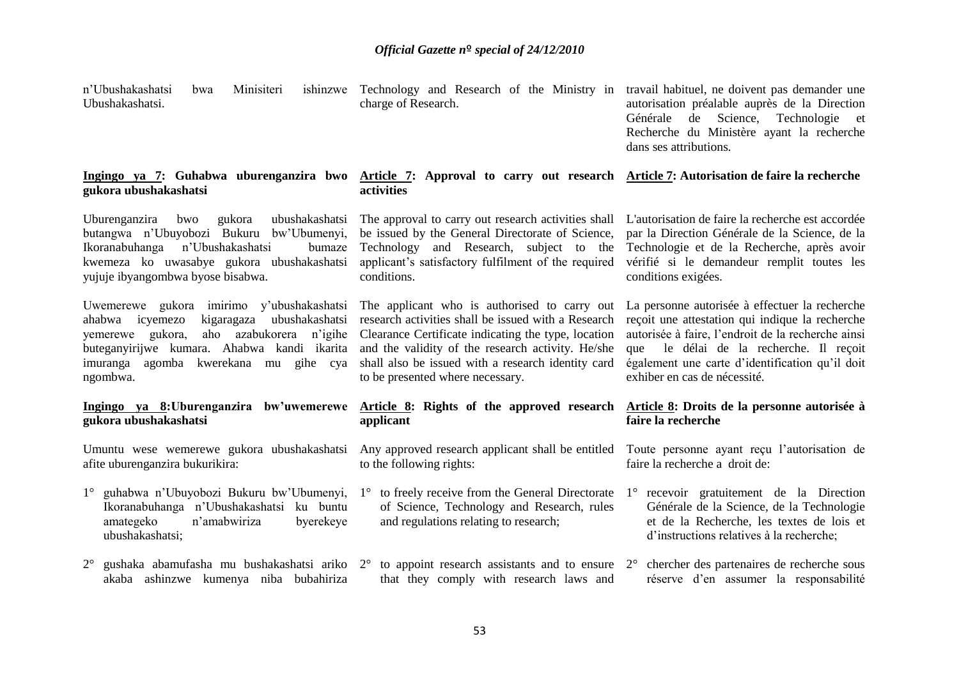Technology and Research of the Ministry in travail habituel, ne doivent pas demander une

n'Ubushakashatsi bwa Minisiteri

| Ubushakashatsi.                                                                                                                                                                                                                              | charge of Research.                                                                                                                                                                                                                                                                                       | autorisation préalable auprès de la Direction<br>Générale de Science, Technologie et<br>Recherche du Ministère ayant la recherche<br>dans ses attributions.                                                                                                                           |
|----------------------------------------------------------------------------------------------------------------------------------------------------------------------------------------------------------------------------------------------|-----------------------------------------------------------------------------------------------------------------------------------------------------------------------------------------------------------------------------------------------------------------------------------------------------------|---------------------------------------------------------------------------------------------------------------------------------------------------------------------------------------------------------------------------------------------------------------------------------------|
| Ingingo ya 7: Guhabwa uburenganzira bwo<br>gukora ubushakashatsi                                                                                                                                                                             | Article 7: Approval to carry out research Article 7: Autorisation de faire la recherche<br>activities                                                                                                                                                                                                     |                                                                                                                                                                                                                                                                                       |
| Uburenganzira<br>bwo<br>gukora<br>ubushakashatsi<br>butangwa n'Ubuyobozi Bukuru bw'Ubumenyi,<br>Ikoranabuhanga<br>n'Ubushakashatsi<br>bumaze<br>kwemeza ko uwasabye gukora ubushakashatsi<br>yujuje ibyangombwa byose bisabwa.               | The approval to carry out research activities shall<br>be issued by the General Directorate of Science,<br>Technology and Research, subject to the<br>applicant's satisfactory fulfilment of the required<br>conditions.                                                                                  | L'autorisation de faire la recherche est accordée<br>par la Direction Générale de la Science, de la<br>Technologie et de la Recherche, après avoir<br>vérifié si le demandeur remplit toutes les<br>conditions exigées.                                                               |
| Uwemerewe gukora imirimo y'ubushakashatsi<br>kigaragaza ubushakashatsi<br>ahabwa icyemezo<br>yemerewe gukora,<br>aho azabukorera n'igihe<br>buteganyirijwe kumara. Ahabwa kandi ikarita<br>imuranga agomba kwerekana mu gihe cya<br>ngombwa. | The applicant who is authorised to carry out<br>research activities shall be issued with a Research<br>Clearance Certificate indicating the type, location<br>and the validity of the research activity. He/she<br>shall also be issued with a research identity card<br>to be presented where necessary. | La personne autorisée à effectuer la recherche<br>reçoit une attestation qui indique la recherche<br>autorisée à faire, l'endroit de la recherche ainsi<br>que le délai de la recherche. Il reçoit<br>également une carte d'identification qu'il doit<br>exhiber en cas de nécessité. |
| Ingingo ya 8: Uburenganzira bw'uwemerewe<br>gukora ubushakashatsi                                                                                                                                                                            | Article 8: Rights of the approved research<br>applicant                                                                                                                                                                                                                                                   | Article 8: Droits de la personne autorisée à<br>faire la recherche                                                                                                                                                                                                                    |
| Umuntu wese wemerewe gukora ubushakashatsi<br>afite uburenganzira bukurikira:                                                                                                                                                                | Any approved research applicant shall be entitled<br>to the following rights:                                                                                                                                                                                                                             | Toute personne ayant reçu l'autorisation de<br>faire la recherche a droit de:                                                                                                                                                                                                         |
| 1° guhabwa n'Ubuyobozi Bukuru bw'Ubumenyi,<br>Ikoranabuhanga n'Ubushakashatsi ku buntu<br>amategeko<br>n'amabwiriza<br>byerekeye<br>ubushakashatsi;                                                                                          | to freely receive from the General Directorate<br>$1^{\circ}$<br>of Science, Technology and Research, rules<br>and regulations relating to research;                                                                                                                                                      | 1° recevoir gratuitement de la Direction<br>Générale de la Science, de la Technologie<br>et de la Recherche, les textes de lois et<br>d'instructions relatives à la recherche;                                                                                                        |
| $2^{\circ}$ gushaka abamufasha mu bushakashatsi ariko $2^{\circ}$<br>akaba ashinzwe kumenya niba bubahiriza                                                                                                                                  | that they comply with research laws and                                                                                                                                                                                                                                                                   | to appoint research assistants and to ensure $2^{\circ}$ chercher des partenaires de recherche sous<br>réserve d'en assumer la responsabilité                                                                                                                                         |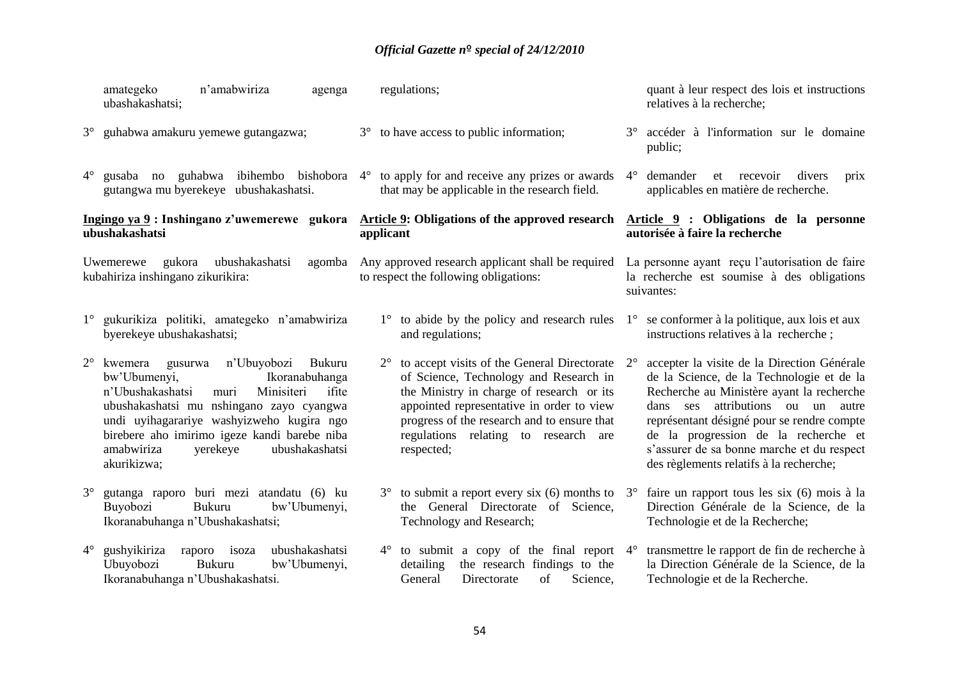|             | n'amabwiriza<br>amategeko<br>agenga<br>ubashakashatsi;                                                                                                                                                                                                                                                                         | regulations;                                                                                                                                                                                                                                                                                        | quant à leur respect des lois et instructions<br>relatives à la recherche;                                                                                                                                                                                                                                                                                               |
|-------------|--------------------------------------------------------------------------------------------------------------------------------------------------------------------------------------------------------------------------------------------------------------------------------------------------------------------------------|-----------------------------------------------------------------------------------------------------------------------------------------------------------------------------------------------------------------------------------------------------------------------------------------------------|--------------------------------------------------------------------------------------------------------------------------------------------------------------------------------------------------------------------------------------------------------------------------------------------------------------------------------------------------------------------------|
| $3^\circ$   | guhabwa amakuru yemewe gutangazwa;                                                                                                                                                                                                                                                                                             | 3° to have access to public information;                                                                                                                                                                                                                                                            | accéder à l'information sur le domaine<br>$3^\circ$<br>public;                                                                                                                                                                                                                                                                                                           |
| $4^{\circ}$ | gutangwa mu byerekeye ubushakashatsi.                                                                                                                                                                                                                                                                                          | gusaba no guhabwa ibihembo bishobora $4^{\circ}$ to apply for and receive any prizes or awards<br>that may be applicable in the research field.                                                                                                                                                     | $4^\circ$<br>demander<br>et recevoir<br>divers<br>prix<br>applicables en matière de recherche.                                                                                                                                                                                                                                                                           |
|             | Ingingo ya 9: Inshingano z'uwemerewe gukora<br>ubushakashatsi                                                                                                                                                                                                                                                                  | <b>Article 9: Obligations of the approved research</b><br>applicant                                                                                                                                                                                                                                 | Article 9 : Obligations de la personne<br>autorisée à faire la recherche                                                                                                                                                                                                                                                                                                 |
|             | gukora<br>ubushakashatsi<br>Uwemerewe<br>agomba<br>kubahiriza inshingano zikurikira:                                                                                                                                                                                                                                           | Any approved research applicant shall be required<br>to respect the following obligations:                                                                                                                                                                                                          | La personne ayant reçu l'autorisation de faire<br>la recherche est soumise à des obligations<br>suivantes:                                                                                                                                                                                                                                                               |
|             | 1° gukurikiza politiki, amategeko n'amabwiriza<br>byerekeye ubushakashatsi;                                                                                                                                                                                                                                                    | $1^\circ$ to abide by the policy and research rules<br>and regulations;                                                                                                                                                                                                                             | $1^\circ$ se conformer à la politique, aux lois et aux<br>instructions relatives à la recherche;                                                                                                                                                                                                                                                                         |
| $2^{\circ}$ | kwemera gusurwa<br>n'Ubuyobozi Bukuru<br>bw'Ubumenyi,<br>Ikoranabuhanga<br>Minisiteri<br>n'Ubushakashatsi<br>ifite<br>muri<br>ubushakashatsi mu nshingano zayo cyangwa<br>undi uyihagarariye washyizweho kugira ngo<br>birebere aho imirimo igeze kandi barebe niba<br>amabwiriza<br>yerekeye<br>ubushakashatsi<br>akurikizwa; | to accept visits of the General Directorate<br>$2^{\circ}$<br>of Science, Technology and Research in<br>the Ministry in charge of research or its<br>appointed representative in order to view<br>progress of the research and to ensure that<br>regulations relating to research are<br>respected; | accepter la visite de la Direction Générale<br>$2^{\circ}$<br>de la Science, de la Technologie et de la<br>Recherche au Ministère ayant la recherche<br>dans ses attributions ou un autre<br>représentant désigné pour se rendre compte<br>de la progression de la recherche et<br>s'assurer de sa bonne marche et du respect<br>des règlements relatifs à la recherche; |
| $3^\circ$   | gutanga raporo buri mezi atandatu (6) ku<br>Buyobozi<br>bw'Ubumenyi,<br>Bukuru<br>Ikoranabuhanga n'Ubushakashatsi;                                                                                                                                                                                                             | $3^{\circ}$ to submit a report every six (6) months to $3^{\circ}$<br>the General Directorate of Science,<br>Technology and Research;                                                                                                                                                               | faire un rapport tous les six (6) mois à la<br>Direction Générale de la Science, de la<br>Technologie et de la Recherche;                                                                                                                                                                                                                                                |
| $4^\circ$   | raporo isoza<br>gushyikiriza<br>ubushakashatsi<br>Ubuyobozi<br><b>Bukuru</b><br>bw'Ubumenyi,<br>Ikoranabuhanga n'Ubushakashatsi.                                                                                                                                                                                               | to submit a copy of the final report $4^\circ$<br>$4^{\circ}$<br>the research findings to the<br>detailing<br>General<br>Directorate<br>of<br>Science,                                                                                                                                              | transmettre le rapport de fin de recherche à<br>la Direction Générale de la Science, de la<br>Technologie et de la Recherche.                                                                                                                                                                                                                                            |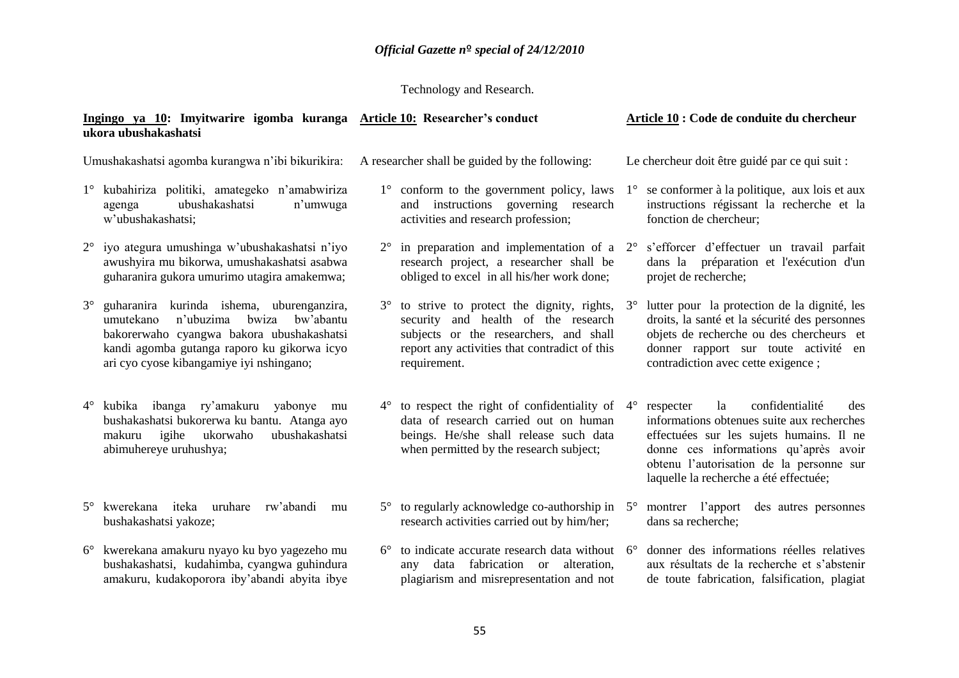### Technology and Research.

### **Ingingo ya 10: Imyitwarire igomba kuranga Article 10: Researcher's conduct ukora ubushakashatsi Article 10 : Code de conduite du chercheur**

Umushakashatsi agomba kurangwa n'ibi bikurikira:

- 1° kubahiriza politiki, amategeko n'amabwiriza agenga ubushakashatsi n'umwuga w'ubushakashatsi;
- 2° iyo ategura umushinga w'ubushakashatsi n'iyo awushyira mu bikorwa, umushakashatsi asabwa guharanira gukora umurimo utagira amakemwa;
- 3° guharanira kurinda ishema, uburenganzira, umutekano n'ubuzima bwiza bw'abantu bakorerwaho cyangwa bakora ubushakashatsi kandi agomba gutanga raporo ku gikorwa icyo ari cyo cyose kibangamiye iyi nshingano;
- 4° kubika ibanga ry'amakuru yabonye mu bushakashatsi bukorerwa ku bantu. Atanga ayo makuru igihe ukorwaho ubushakashatsi abimuhereye uruhushya;
- 5° kwerekana iteka uruhare rw'abandi mu bushakashatsi yakoze;
- 6° kwerekana amakuru nyayo ku byo yagezeho mu bushakashatsi, kudahimba, cyangwa guhindura amakuru, kudakoporora iby'abandi abyita ibye

A researcher shall be guided by the following:

- 1° conform to the government policy, laws and instructions governing research activities and research profession;
- $2^{\circ}$  in preparation and implementation of a  $2^{\circ}$ research project, a researcher shall be obliged to excel in all his/her work done;
- 3° to strive to protect the dignity, rights, security and health of the research subjects or the researchers, and shall report any activities that contradict of this requirement.
- 4° to respect the right of confidentiality of data of research carried out on human beings. He/she shall release such data when permitted by the research subject;
- $5^\circ$  to regularly acknowledge co-authorship in  $5^\circ$ research activities carried out by him/her;
- $6^{\circ}$  to indicate accurate research data without  $6^{\circ}$ any data fabrication or alteration, plagiarism and misrepresentation and not

Le chercheur doit être guidé par ce qui suit :

- 1° se conformer à la politique, aux lois et aux instructions régissant la recherche et la fonction de chercheur;
- 2° s'efforcer d'effectuer un travail parfait dans la préparation et l'exécution d'un projet de recherche;
- 3° lutter pour la protection de la dignité, les droits, la santé et la sécurité des personnes objets de recherche ou des chercheurs et donner rapport sur toute activité en contradiction avec cette exigence ;
- 4° respecter la confidentialité des informations obtenues suite aux recherches effectuées sur les sujets humains. Il ne donne ces informations qu'après avoir obtenu l'autorisation de la personne sur laquelle la recherche a été effectuée;
- montrer l'apport des autres personnes dans sa recherche;
- 6° donner des informations réelles relatives aux résultats de la recherche et s'abstenir de toute fabrication, falsification, plagiat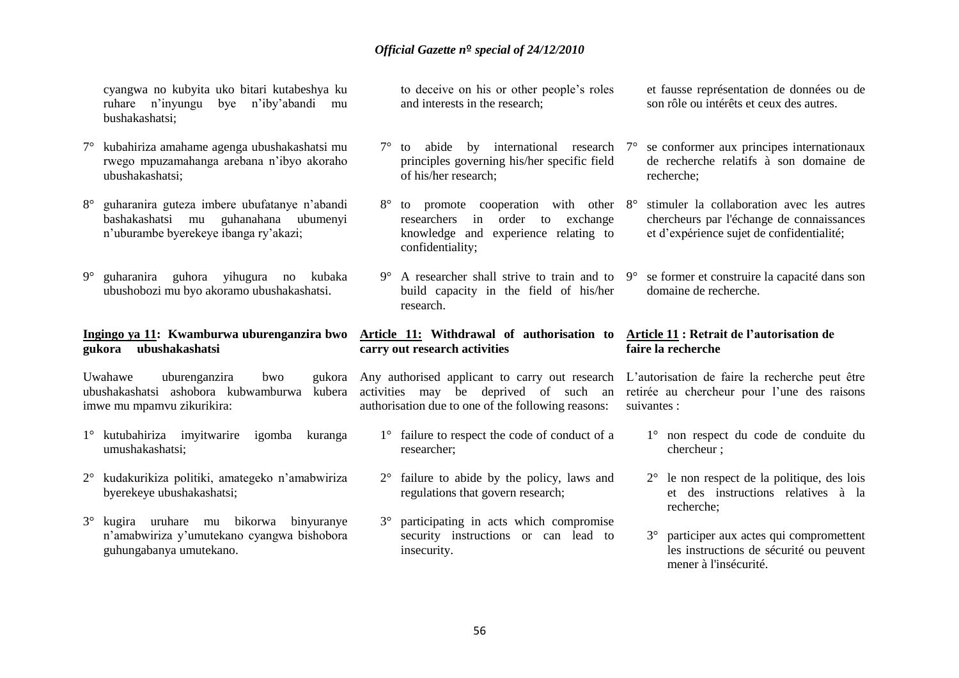cyangwa no kubyita uko bitari kutabeshya ku ruhare n'inyungu bye n'iby'abandi mu bushakashatsi;

- 7° kubahiriza amahame agenga ubushakashatsi mu rwego mpuzamahanga arebana n'ibyo akoraho ubushakashatsi;
- 8° guharanira guteza imbere ubufatanye n'abandi bashakashatsi mu guhanahana ubumenyi n'uburambe byerekeye ibanga ry'akazi;
- 9° guharanira guhora yihugura no kubaka ubushobozi mu byo akoramo ubushakashatsi.

### **Ingingo ya 11: Kwamburwa uburenganzira bwo gukora ubushakashatsi**

Uwahawe uburenganzira bwo gukora ubushakashatsi ashobora kubwamburwa kubera imwe mu mpamvu zikurikira:

- 1° kutubahiriza imyitwarire igomba kuranga umushakashatsi;
- 2° kudakurikiza politiki, amategeko n'amabwiriza byerekeye ubushakashatsi;
- 3° kugira uruhare mu bikorwa binyuranye n'amabwiriza y'umutekano cyangwa bishobora guhungabanya umutekano.

to deceive on his or other people's roles and interests in the research;

- $7^\circ$  to abide by international research  $7^\circ$ principles governing his/her specific field of his/her research;
- 8° to promote cooperation with other 8° researchers in order to exchange knowledge and experience relating to confidentiality;
- 9° A researcher shall strive to train and to build capacity in the field of his/her research.

### **Article 11: Withdrawal of authorisation to Article 11 : Retrait de l'autorisation de carry out research activities**

activities may be deprived of such an authorisation due to one of the following reasons:

- 1° failure to respect the code of conduct of a researcher;
- 2° failure to abide by the policy, laws and regulations that govern research;
- 3° participating in acts which compromise security instructions or can lead to insecurity.

et fausse représentation de données ou de son rôle ou intérêts et ceux des autres.

- 7° se conformer aux principes internationaux de recherche relatifs à son domaine de recherche;
- stimuler la collaboration avec les autres chercheurs par l'échange de connaissances et d'expérience sujet de confidentialité;
- 9° se former et construire la capacité dans son domaine de recherche.

# **faire la recherche**

Any authorised applicant to carry out research L'autorisation de faire la recherche peut être retirée au chercheur pour l'une des raisons suivantes :

- 1° non respect du code de conduite du chercheur ;
- 2° le non respect de la politique, des lois et des instructions relatives à la recherche;
- 3° participer aux actes qui compromettent les instructions de sécurité ou peuvent mener à l'insécurité.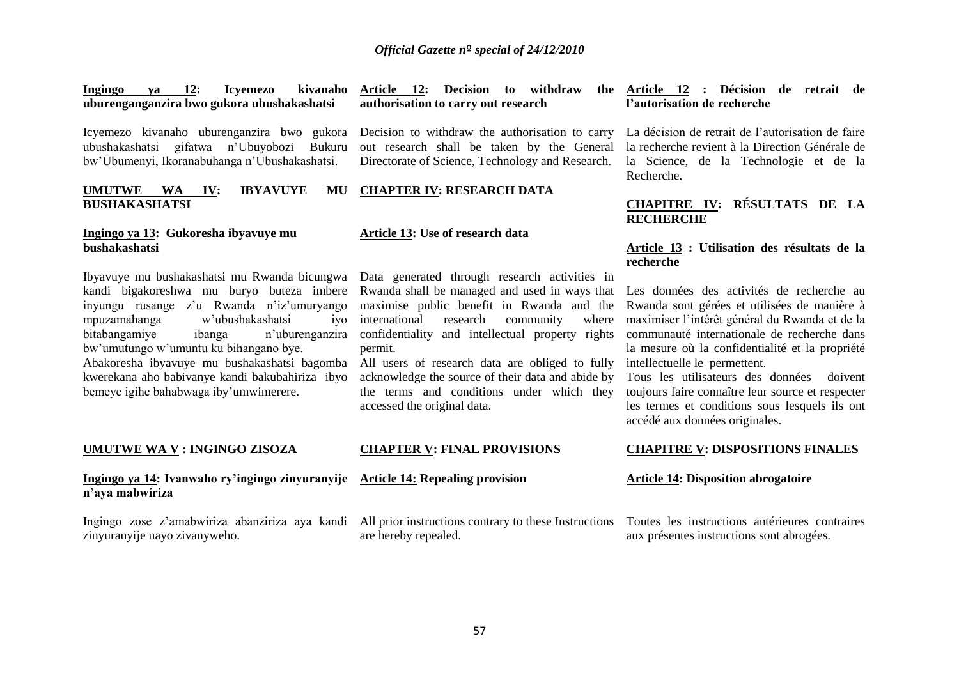| Ingingo ya 12: |  | Icvemezo                                   | kivanaho Article 12: Decision to withdraw |  |                                     |  |
|----------------|--|--------------------------------------------|-------------------------------------------|--|-------------------------------------|--|
|                |  | uburenganganzira bwo gukora ubushakashatsi |                                           |  | authorisation to carry out research |  |

Icyemezo kivanaho uburenganzira bwo gukora Decision to withdraw the authorisation to carry ubushakashatsi gifatwa n'Ubuyobozi Bukuru bw'Ubumenyi, Ikoranabuhanga n'Ubushakashatsi.

**UMUTWE WA IV: IBYAVUYE BUSHAKASHATSI CHAPTER IV: RESEARCH DATA**

### **Ingingo ya 13: Gukoresha ibyavuye mu bushakashatsi**

Ibyavuye mu bushakashatsi mu Rwanda bicungwa kandi bigakoreshwa mu buryo buteza imbere inyungu rusange z'u Rwanda n'iz'umuryango mpuzamahanga w'ubushakashatsi iyo bitabangamiye ibanga n'uburenganzira bw'umutungo w'umuntu ku bihangano bye. Abakoresha ibyavuye mu bushakashatsi bagomba kwerekana aho babivanye kandi bakubahiriza ibyo bemeye igihe bahabwaga iby'umwimerere.

### **UMUTWE WA V : INGINGO ZISOZA**

### **Ingingo ya 14: Ivanwaho ry'ingingo zinyuranyije Article 14: Repealing provision n'aya mabwiriza**

Ingingo zose z'amabwiriza abanziriza aya kandi zinyuranyije nayo zivanyweho.

out research shall be taken by the General Directorate of Science, Technology and Research.

### **Article 13: Use of research data**

Data generated through research activities in Rwanda shall be managed and used in ways that maximise public benefit in Rwanda and the international research community where confidentiality and intellectual property rights permit.

All users of research data are obliged to fully acknowledge the source of their data and abide by the terms and conditions under which they accessed the original data.

### **CHAPTER V: FINAL PROVISIONS**

All prior instructions contrary to these Instructions are hereby repealed.

**Article 12 : Décision de retrait de l'autorisation de recherche** 

> La décision de retrait de l'autorisation de faire la recherche revient à la Direction Générale de la Science, de la Technologie et de la Recherche.

### **CHAPITRE IV: RÉSULTATS DE LA RECHERCHE**

### **Article 13 : Utilisation des résultats de la recherche**

Les données des activités de recherche au Rwanda sont gérées et utilisées de manière à maximiser l'intérêt général du Rwanda et de la communauté internationale de recherche dans la mesure où la confidentialité et la propriété intellectuelle le permettent.

Tous les utilisateurs des données doivent toujours faire connaître leur source et respecter les termes et conditions sous lesquels ils ont accédé aux données originales.

### **CHAPITRE V: DISPOSITIONS FINALES**

### **Article 14: Disposition abrogatoire**

Toutes les instructions antérieures contraires aux présentes instructions sont abrogées.